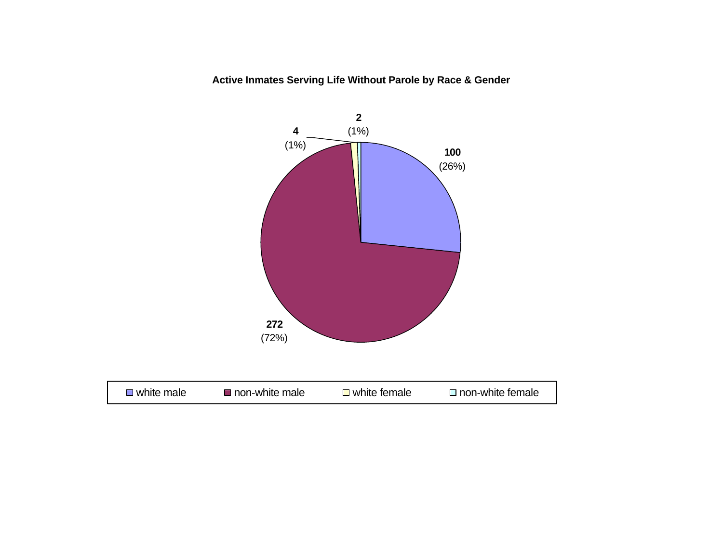**Active Inmates Serving Life Without Parole by Race & Gender**

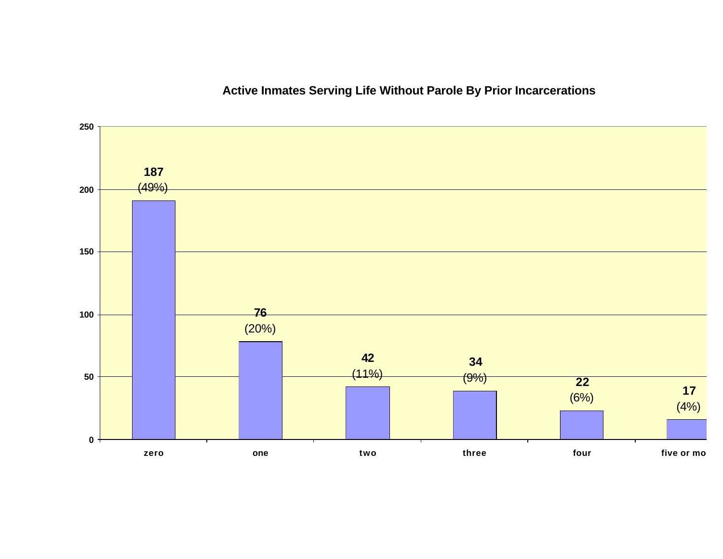# **Active Inmates Serving Life Without Parole By Prior Incarcerations**

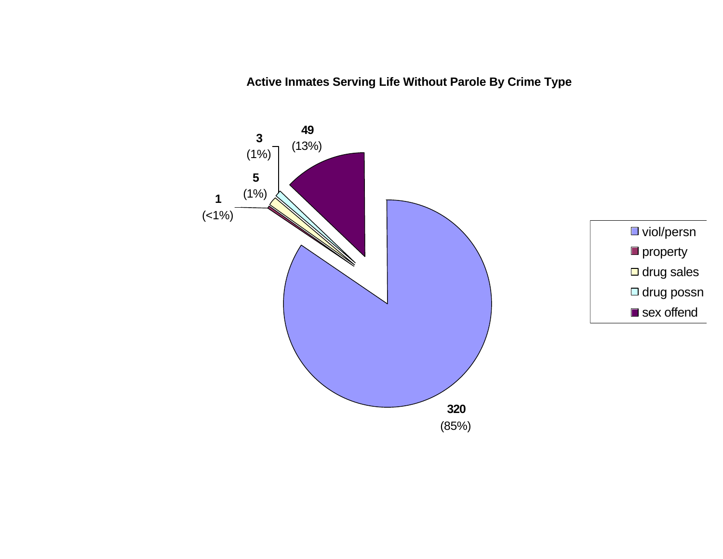**Active Inmates Serving Life Without Parole By Crime Type**

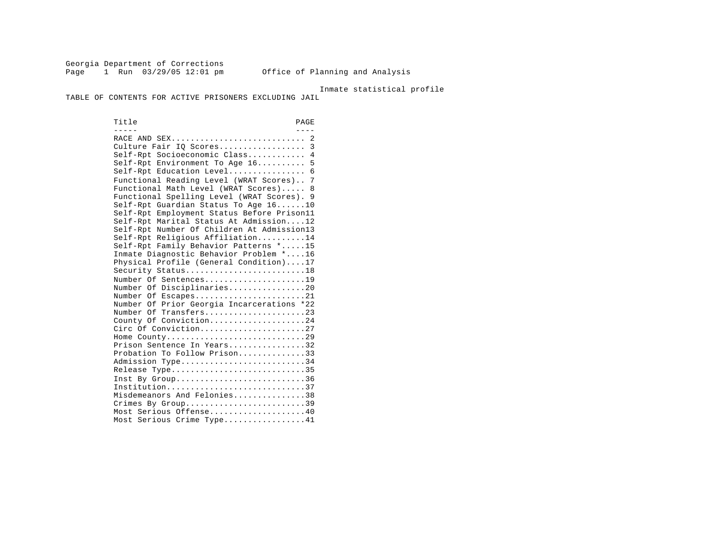Georgia Department of Corrections Page 1 Run 03/29/05 12:01 pm Office of Planning and Analysis

#### Inmate statistical profile

TABLE OF CONTENTS FOR ACTIVE PRISONERS EXCLUDING JAIL

Title PAGE ----- ---- RACE AND SEX............................ 2 Culture Fair IQ Scores.................. 3 Self-Rpt Socioeconomic Class............ 4 Self-Rpt Environment To Age 16.......... 5 Self-Rpt Education Level.................. 6 Functional Reading Level (WRAT Scores).. 7 Functional Math Level (WRAT Scores)..... 8 Functional Spelling Level (WRAT Scores). 9 Self-Rpt Guardian Status To Age 16......10 Self-Rpt Employment Status Before Prison11 Self-Rpt Marital Status At Admission....12 Self-Rpt Number Of Children At Admission13 Self-Rpt Religious Affiliation..........14 Self-Rpt Family Behavior Patterns \*.....15 Inmate Diagnostic Behavior Problem \*....16 Physical Profile (General Condition)....17 Security Status............................18 Number Of Sentences......................19 Number Of Disciplinaries................20 Number Of Escapes.........................21 Number Of Prior Georgia Incarcerations \*22 Number Of Transfers.......................23 County Of Conviction....................24 Circ Of Conviction........................27 Home County.............................29 Prison Sentence In Years................32 Probation To Follow Prison..............33 Admission Type.............................34 Release Type...............................35 Inst By Group..............................36 Institution.............................37 Misdemeanors And Felonies...............38 Crimes By Group.............................39 Most Serious Offense....................40 Most Serious Crime Type.................41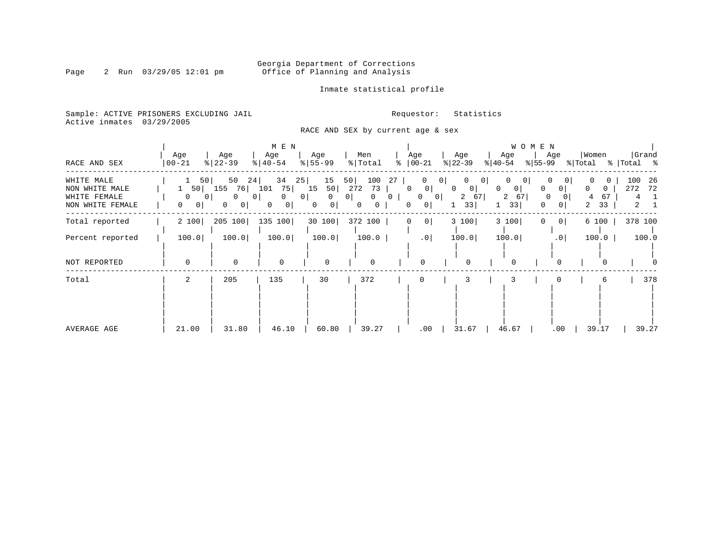# Georgia Department of Corrections<br>Page 2 Run 03/29/05 12:01 pm office of Planning and Analysis Office of Planning and Analysis

Inmate statistical profile

Sample: ACTIVE PRISONERS EXCLUDING JAIL **Requestor:** Statistics Active inmates 03/29/2005

RACE AND SEX by current age & sex

| RACE AND SEX                                                     | Age<br>$ 00 - 21$                                                       | Age<br>$8   22 - 39$                                                           | M E N<br>Age<br>$\frac{1}{6}$   40-54                                   | Age<br>$\frac{1}{6}$   55-99                     | Men<br>% Total                                                                     | Age<br>$\approx$   00-21                                                                       | Age<br>$ 22-39 $                                           | Age<br>$ 40-54 $                                     | W O M E N<br>Age<br>% 55-99                  | Women<br>% Total % Total %          | Grand                             |
|------------------------------------------------------------------|-------------------------------------------------------------------------|--------------------------------------------------------------------------------|-------------------------------------------------------------------------|--------------------------------------------------|------------------------------------------------------------------------------------|------------------------------------------------------------------------------------------------|------------------------------------------------------------|------------------------------------------------------|----------------------------------------------|-------------------------------------|-----------------------------------|
| WHITE MALE<br>NON WHITE MALE<br>WHITE FEMALE<br>NON WHITE FEMALE | 50<br>$1 \quad 50$<br>$\Omega$<br>$\overline{0}$<br>$\overline{0}$<br>0 | 50<br>24<br>155<br>76 101<br>$\Omega$<br>0 <sub>1</sub><br>0<br>0 <sup>1</sup> | 34<br>25 <br>75 15<br>$\Omega$<br>0 <sup>1</sup><br>0 <sup>1</sup><br>0 | 15<br>$\Omega$<br>0 <sup>1</sup><br>$\mathbf{0}$ | 100<br>50<br>50 272<br>73<br>$\mathbf{0}$<br>0 <sup>1</sup><br>$\overline{0}$<br>0 | 27<br>0<br>0 <sup>1</sup><br>$\Omega$<br>$\mathbf{0}$<br>0 <sup>1</sup><br>0 <sup>1</sup><br>0 | $\mathbf{0}$<br>01<br> 0 <br>$\Omega$<br>2 67<br> 0 <br>33 | $\mathbf{0}$<br>$\Omega$<br>$\circ$<br>2<br>67<br>33 | 0 <sup>1</sup><br>$\Omega$<br>0 <sup>1</sup> | 0<br>$\Omega$<br>67<br>4<br>33<br>2 | 100<br>-26<br>272<br>72<br>4<br>2 |
| Total reported                                                   | 2 100                                                                   | 205 100                                                                        | 135 100                                                                 | 30 100                                           | 372 100                                                                            | 0 <sup>1</sup><br>0                                                                            | 3 100                                                      | 3 100                                                | 0 <sup>1</sup>                               | 6 100                               | 378 100                           |
| Percent reported                                                 | 100.0                                                                   | 100.0                                                                          | 100.0                                                                   | 100.0                                            | 100.0                                                                              | .0                                                                                             | 100.0                                                      | 100.0                                                | .0 <sub>1</sub>                              | 100.0                               | 100.0                             |
| NOT REPORTED                                                     | $\mathbf 0$                                                             | $\mathbf 0$                                                                    | $\mathbf 0$                                                             | $\Omega$                                         | 0                                                                                  | $\Omega$                                                                                       | 0                                                          | $\Omega$                                             | 0                                            |                                     |                                   |
| Total                                                            | 2                                                                       | 205                                                                            | 135                                                                     | 30                                               | 372                                                                                |                                                                                                | 3                                                          | 3                                                    |                                              |                                     | 378                               |
| AVERAGE AGE                                                      | 21.00                                                                   | 31.80                                                                          | 46.10                                                                   | 60.80                                            | 39.27                                                                              | .00                                                                                            | 31.67                                                      | 46.67                                                | .00                                          | 39.17                               | 39.27                             |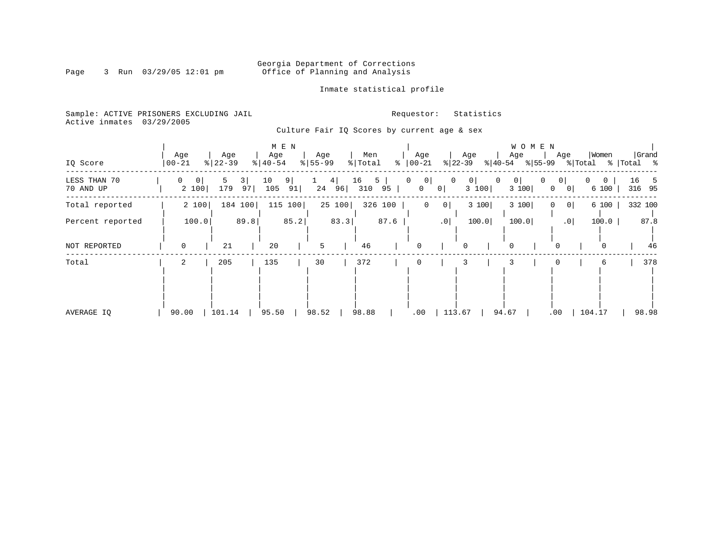# Georgia Department of Corrections<br>Page 3 Run 03/29/05 12:01 pm 6ffice of Planning and Analysis Office of Planning and Analysis

### Inmate statistical profile

Sample: ACTIVE PRISONERS EXCLUDING JAIL **Requestor:** Statistics Active inmates 03/29/2005

Culture Fair IQ Scores by current age & sex

| IQ Score                  | Age<br>$00 - 21$             | Age<br>$\frac{8}{22} - 39$ |                | M E N<br>Age<br>$\frac{1}{6}$   40-54 |                | Age<br>$\frac{1}{6}$   55-99 |        | Men<br>$\frac{1}{6}$ Total | ႜ       | Age<br>$ 00 - 21$       |                   | Age<br>% 22−39 |                         | Age<br>$ 40-54 \t  55-99 \t  Total$ | WOMEN | Age                                              |        | Women                   |    | Grand<br>%   Total % |
|---------------------------|------------------------------|----------------------------|----------------|---------------------------------------|----------------|------------------------------|--------|----------------------------|---------|-------------------------|-------------------|----------------|-------------------------|-------------------------------------|-------|--------------------------------------------------|--------|-------------------------|----|----------------------|
| LESS THAN 70<br>70 AND UP | $\mathbf{0}$<br> 0 <br>2 100 | 5<br>179                   | $3 \mid$<br>97 | 10<br>105                             | $9 \mid$<br>91 |                              | 4      | 16<br>24 96 310 95         | 5       | 0 <br>0<br>$\mathsf{O}$ | $\mathbf 0$<br> 0 | 0              | $\overline{0}$<br>3 100 | 0<br>3 100                          |       | 0 <sup>1</sup><br>$\mathbf{0}$<br>0 <sup>1</sup> | 0      | $\overline{0}$<br>6 100 | 16 | 5<br>316 95          |
| Total reported            | 2 100                        |                            | 184 100        |                                       | 115 100        |                              | 25 100 |                            | 326 100 | $\mathbf 0$             | 0                 |                | 3 100                   | 3 100                               |       | 0 <br>$\Omega$                                   |        | 6 100                   |    | 332 100              |
| Percent reported          | 100.0                        |                            | 89.8           |                                       | 85.2           |                              | 83.3   |                            | 87.6    |                         | .0                |                | 100.0                   | 100.0                               |       | .0                                               |        | 100.0                   |    | 87.8                 |
| NOT REPORTED              | 0                            | 21                         |                | 20                                    |                | 5                            |        | 46                         |         | 0                       |                   | $\mathbf 0$    |                         | $\mathbf 0$                         |       | 0                                                |        | 0                       |    | 46                   |
| Total                     | 2                            | 205                        |                | 135                                   |                | 30                           |        | 372                        |         | 0                       |                   | 3              |                         |                                     |       |                                                  |        | 6                       |    | 378                  |
| AVERAGE IO                | 90.00                        | 101.14                     |                | 95.50                                 |                | 98.52                        |        | 98.88                      |         | .00                     |                   | 113.67         |                         | 94.67                               |       | .00                                              | 104.17 |                         |    | 98.98                |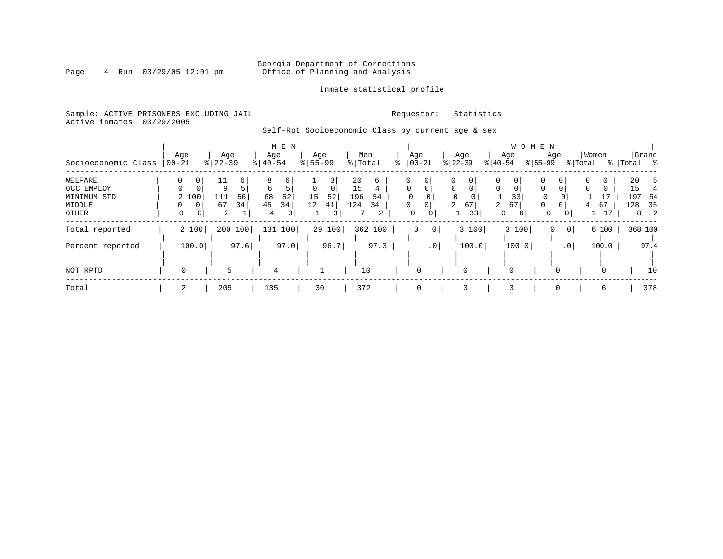# Georgia Department of Corrections<br>Page 4 Run 03/29/05 12:01 pm office of Planning and Analysis Office of Planning and Analysis

Inmate statistical profile

Sample: ACTIVE PRISONERS EXCLUDING JAIL **Requestor:** Statistics Active inmates 03/29/2005

Self-Rpt Socioeconomic Class by current age & sex

|                     |                   |             | M E N         |                      |           |                         |                      | WOMEN                            |                                      |             |
|---------------------|-------------------|-------------|---------------|----------------------|-----------|-------------------------|----------------------|----------------------------------|--------------------------------------|-------------|
|                     | Age               | Age         | Age           | Age                  | Men       | Age                     | Age                  | Age                              | Women<br>Age                         | Grand       |
| Socioeconomic Class | $ 00 - 21$        | $8122 - 39$ | $8   40 - 54$ | $8 55-99$            | % Total   | $ 00 - 21$              | $ 22-39 $            | $ 55-99 $<br>$ 40-54 $           | % Total                              | %   Total % |
| WELFARE             | 0<br>0            | 11<br>6     | 8<br>6        |                      | 20<br>6   | 0<br>0                  | $\Omega$             | 0                                | $\overline{0}$<br>$\Omega$<br>0      | 20          |
| OCC EMPLOY          | $\mathbf 0$<br>0  | q           | 5<br>6        | $\Omega$<br>$\Omega$ | 15<br>4   | $\Omega$<br>0           | $\Omega$<br>$\Omega$ | $\Omega$<br>$\Omega$<br>$\Omega$ | $\Omega$<br>$\Omega$<br>0            | 15          |
| MINIMUM STD         | 2 100             | 56<br>111   | 68<br>52      | 52<br>15             | 196<br>54 | $\Omega$                |                      | 33<br>$\mathbf 0$                |                                      | 197<br>54   |
| <b>MIDDLE</b>       | $\Omega$<br>0     | 34<br>67    | 45<br>34      | 12<br>41             | 124<br>34 | $\mathbf 0$<br>$\Omega$ | $\overline{a}$<br>67 | 2<br>67<br>$\Omega$              | $\Omega$<br>67<br>4                  | 128<br>35   |
| OTHER               | $\mathbf{0}$<br>0 | 2           | 3<br>4        | 3                    | 2         | 0<br>0                  | 33                   | 0<br>0                           | 17<br>$\mathbf{0}$<br>0 <sup>1</sup> | 8           |
| Total reported      | 2 100             | 200 100     | 100<br>131    | 29 100               | 362 100   | $\circ$<br>0            | 3 100                | 3 100                            | 6 100<br> 0 <br>0                    | 368 100     |
| Percent reported    | 100.0             | 97.6        | 97.0          | 96.7                 | 97.3      | .0                      | 100.0                | 100.0                            | .0<br>100.0                          | 97.4        |
|                     |                   |             |               |                      |           |                         |                      |                                  |                                      |             |
| NOT RPTD            | 0                 |             | 4             |                      | 10        | 0                       | 0                    | $\mathbf 0$                      | $\Omega$<br>$\Omega$                 | 10          |
| Total               |                   | 205         | 135           | 30                   | 372       | 0                       | 3                    | 3                                | $\mathbf 0$<br>6                     | 378         |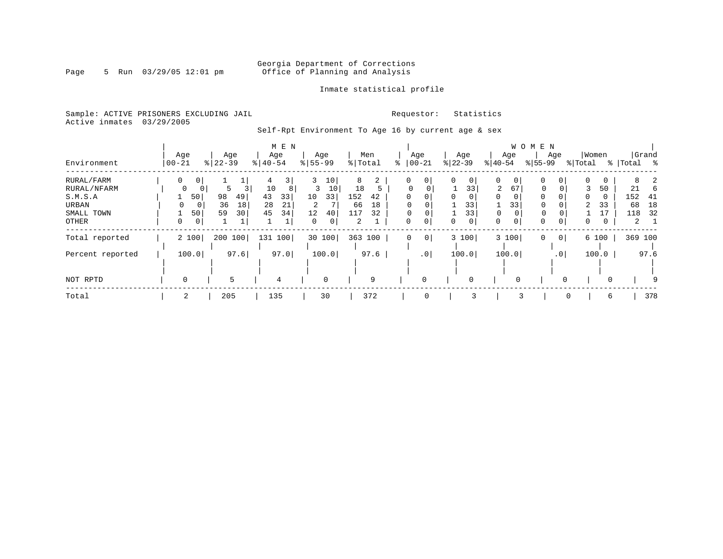# Georgia Department of Corrections<br>Page 5 Run 03/29/05 12:01 pm office of Planning and Analysis Office of Planning and Analysis

### Inmate statistical profile

Sample: ACTIVE PRISONERS EXCLUDING JAIL **Requestor:** Statistics Active inmates 03/29/2005

Self-Rpt Environment To Age 16 by current age & sex

|                  |                         |                      | M E N                |                  |                     |                      |                      |                 | W O M E N               |                  |                    |
|------------------|-------------------------|----------------------|----------------------|------------------|---------------------|----------------------|----------------------|-----------------|-------------------------|------------------|--------------------|
| Environment      | Age<br>  00-21          | Age<br>$8   22 - 39$ | Age<br>$8   40 - 54$ | Age<br>$8 55-99$ | Men<br>% Total      | Age<br>$ 00-21$<br>ి | Age<br>$ 22-39 $     | Age<br>$ 40-54$ | Age<br>$ 55-99 $        | Women<br>% Total | Grand<br>% Total % |
| RURAL/FARM       | 0<br>0 <sup>1</sup>     |                      | 3                    | 10<br>3          | $\overline{2}$<br>8 | 0<br>0               | 0<br>0               | 0<br>0          | 0                       | $\Omega$<br>0    | 8                  |
| RURAL/NFARM      | 0<br>0                  | 5                    | 10<br>8              | 3<br>10          | 18                  |                      | 33                   | 2<br>67         | 0<br>0                  | 50               | 21<br>6            |
| S.M.S.A          | 50                      | 98<br>49             | 43<br>33             | 33<br>10         | 152<br>42           | $\Omega$             | $\Omega$<br>$\Omega$ | $\Omega$        |                         | $\Omega$<br>0    | 152<br>-41         |
| URBAN            | 0                       | 36<br>18             | 28<br>21             | 2                | 18<br>66            | $\Omega$<br>0        | 33                   | 33              | 0                       | 2<br>33          | 18<br>68           |
| SMALL TOWN       | 50                      | 30<br>59             | 45<br>34             | 12<br>40         | 117<br>32           |                      | 33                   | 0               | 0                       |                  | 32<br>118          |
| <b>OTHER</b>     | $\mathbf 0$<br>$\Omega$ |                      |                      | 0<br>$\Omega$    | $\overline{2}$      | $\Omega$<br>0        | 0<br>0               | $\Omega$<br>0   | $\Omega$<br>$\mathbf 0$ | $\Omega$<br>0    | 2                  |
| Total reported   | 2 100                   | 200 100              | 131 100              | 30 100           | 363 100             | 0 <br>0              | 3 100                | 3 100           | 0 <sup>1</sup><br>0     | 6 100            | 369 100            |
| Percent reported | 100.0                   | 97.6                 | 97.0                 | 100.0            | 97.6                | $\cdot$ 0            | 100.0                | 100.0           | .0 <sup>1</sup>         | 100.0            | 97.6               |
|                  |                         |                      |                      |                  |                     |                      |                      |                 |                         |                  |                    |
| NOT RPTD         |                         | 5                    | 4                    | $\mathbf 0$      | 9                   |                      | 0                    |                 |                         | $\Omega$         |                    |
| Total            | 2                       | 205                  | 135                  | 30               | 372                 | $\mathbf 0$          | 3                    | 3               | 0                       | 6                | 378                |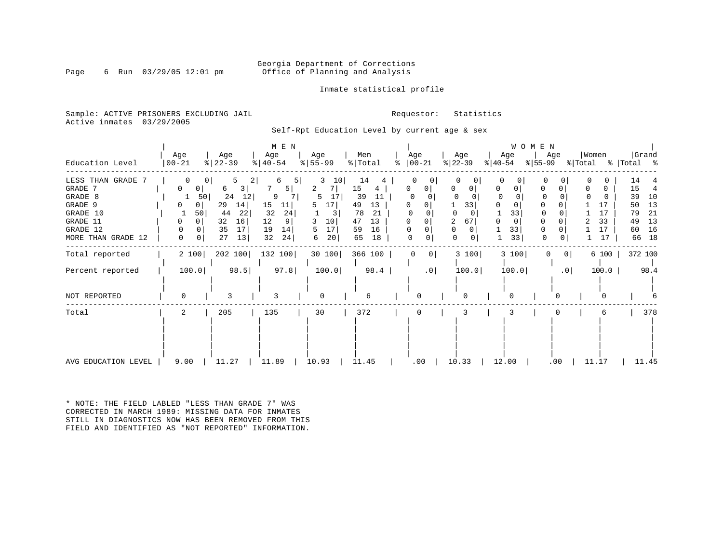### Georgia Department of Corrections<br>Page 6 Run 03/29/05 12:01 pm office of Planning and Analysis Office of Planning and Analysis

Inmate statistical profile

Sample: ACTIVE PRISONERS EXCLUDING JAIL **Requestor:** Statistics Active inmates 03/29/2005

Self-Rpt Education Level by current age & sex

|                                                                                                            |                                              |                                                                                     | M E N                                                                         |                                                                      |                                                                                       |                         |                                        | WOMEN                                                       |                                     |                                                                                                                     |
|------------------------------------------------------------------------------------------------------------|----------------------------------------------|-------------------------------------------------------------------------------------|-------------------------------------------------------------------------------|----------------------------------------------------------------------|---------------------------------------------------------------------------------------|-------------------------|----------------------------------------|-------------------------------------------------------------|-------------------------------------|---------------------------------------------------------------------------------------------------------------------|
| Education Level                                                                                            | Age<br>$ 00 - 21$                            | Age<br>$ 22-39 $                                                                    | Age<br>$\frac{1}{6}$   40-54                                                  | Age<br>$\frac{1}{6}$ 55 – 99                                         | Men<br>$\frac{1}{2}$ Total                                                            | Age<br>$8   00 - 21$    | Age<br>$ 22-39 $                       | Age<br>$ 40-54 $                                            | Women<br>Age<br>$ 55-99$<br>% Total | Grand<br>%   Total %                                                                                                |
| LESS THAN GRADE<br>GRADE 7<br>GRADE 8<br>GRADE 9<br>GRADE 10<br>GRADE 11<br>GRADE 12<br>MORE THAN GRADE 12 | U<br>50 <br>1<br>0<br>50<br>0<br>0<br>0<br>0 | 2<br>3<br>6<br>24<br>12<br>29<br>14<br>44<br>22<br>32<br>16<br>35<br>17<br>27<br>13 | 5<br>6<br>5  <br>9<br>15<br>11<br>32<br>24<br>12<br>9<br>19<br>14<br>32<br>24 | 3<br>10<br>2<br>17<br>5<br>5<br>17<br>10<br>3<br>17<br>5<br>20 <br>6 | 14<br>15<br>4<br>39<br>11<br>13<br>49<br>78<br>21<br>47<br>13<br>16<br>59<br>65<br>18 | 0<br>$\Omega$<br>0<br>0 | 33<br>0<br>67<br>$\mathbf 0$<br>0<br>0 | 0<br>0<br>0<br>0<br>0<br>0<br>33<br>$\mathbf 0$<br>33<br>33 | O<br>0<br>0<br>0<br>0               | 14<br>15<br>4<br>39<br>10<br>13<br>17<br>50<br>21<br>17<br>79<br>13<br>33<br>49<br>16<br>17<br>60<br>18<br>17<br>66 |
| Total reported                                                                                             | 2 100                                        | 202 100                                                                             | 132 100                                                                       | 30 100                                                               | 366 100                                                                               | 0<br>$\Omega$           | 3 100                                  | 3 100                                                       | 0<br>$\circ$                        | 372 100<br>6 100                                                                                                    |
| Percent reported                                                                                           | 100.0                                        | 98.5                                                                                | 97.8                                                                          | 100.0                                                                | 98.4                                                                                  | .0                      | 100.0                                  | 100.0                                                       | .0 <sub>1</sub>                     | $100.0$  <br>98.4                                                                                                   |
| NOT REPORTED                                                                                               |                                              | 3                                                                                   | ζ                                                                             | $\Omega$                                                             | 6                                                                                     | ∩                       |                                        |                                                             |                                     |                                                                                                                     |
| Total                                                                                                      | 2                                            | 205                                                                                 | 135                                                                           | 30                                                                   | 372                                                                                   | 0                       | 3                                      |                                                             |                                     | 378<br>6                                                                                                            |
| AVG EDUCATION LEVEL                                                                                        | 9.00                                         | 11.27                                                                               | 11.89                                                                         | 10.93                                                                | 11.45                                                                                 | .00                     | 10.33                                  | 12.00                                                       | $.00 \,$                            | 11.17<br>11.45                                                                                                      |

\* NOTE: THE FIELD LABLED "LESS THAN GRADE 7" WAS CORRECTED IN MARCH 1989: MISSING DATA FOR INMATES STILL IN DIAGNOSTICS NOW HAS BEEN REMOVED FROM THIS FIELD AND IDENTIFIED AS "NOT REPORTED" INFORMATION.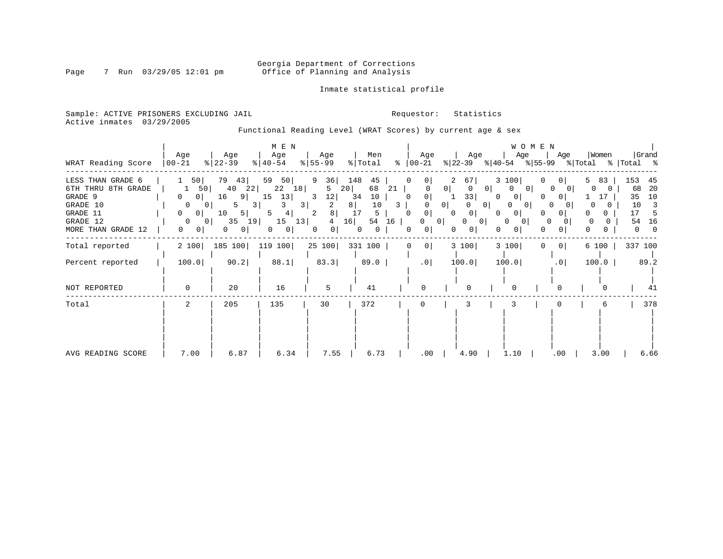# Georgia Department of Corrections<br>Page 7 Run 03/29/05 12:01 pm office of Planning and Analysis Office of Planning and Analysis

Inmate statistical profile

Sample: ACTIVE PRISONERS EXCLUDING JAIL **Requestor:** Statistics Active inmates 03/29/2005

Functional Reading Level (WRAT Scores) by current age & sex

|                                                                                                              |                                                                                                                                             |                                                                                              | M E N                                                                                   |                                                                                     |                                                                          |                                                                                  |                                                                                                                             |                                                                                                                                                                                                              | WOMEN                                                                                           |                                                                    |                                                                     |
|--------------------------------------------------------------------------------------------------------------|---------------------------------------------------------------------------------------------------------------------------------------------|----------------------------------------------------------------------------------------------|-----------------------------------------------------------------------------------------|-------------------------------------------------------------------------------------|--------------------------------------------------------------------------|----------------------------------------------------------------------------------|-----------------------------------------------------------------------------------------------------------------------------|--------------------------------------------------------------------------------------------------------------------------------------------------------------------------------------------------------------|-------------------------------------------------------------------------------------------------|--------------------------------------------------------------------|---------------------------------------------------------------------|
| WRAT Reading Score                                                                                           | Age<br>$00 - 21$                                                                                                                            | Age<br>$8 22-39$                                                                             | Age<br>$8   40 - 54$                                                                    | Age<br>$8 55-99$                                                                    | Men<br>% Total                                                           | Age<br>%   00−21                                                                 | Age                                                                                                                         | Age<br>$ 22-39 $ $ 40-54 $ $ 55-99 $ $ Total$ $ 701 $ $ 8 $                                                                                                                                                  | Age                                                                                             | Women                                                              | Grand                                                               |
| LESS THAN GRADE 6<br>6TH THRU 8TH GRADE<br>GRADE 9<br>GRADE 10<br>GRADE 11<br>GRADE 12<br>MORE THAN GRADE 12 | 50 <br>50<br>1<br>0 <sup>1</sup><br>$\Omega$<br>0<br>0 <sup>1</sup><br>$\overline{0}$<br>0 <sup>1</sup><br>$\Omega$<br>0.<br>0 <sup>1</sup> | 79<br>43<br>40 22<br>16<br>9 <br>5.<br>5 <br>10<br>35<br>19 <br>- O I<br>0<br>0 <sup>1</sup> | 59<br>50<br>22 18<br>15<br>13 <br>3 <br>3<br>4 <br>5<br>15<br>13<br>0<br>$\overline{0}$ | 9<br>36  <br>20 <br>5<br>12 <br>3<br>2<br>8 <br>2<br>16<br>4<br>0<br>0 <sup>1</sup> | 148<br>45<br>68<br>21<br>34<br>10<br>8<br>10<br>3<br>17<br>5<br>54<br>16 | 0<br>$\circ$<br>$\Omega$<br>0<br>0<br>0 <sup>1</sup><br>$\Omega$<br>$\mathbf{0}$ | 2<br>67 <br> 0 <br>$\overline{0}$<br>33 <br>0 <sup>1</sup><br>0 <sup>1</sup><br>$\Omega$<br>$\Omega$<br>0 <sup>1</sup><br>0 | 3 100<br>0 <sup>1</sup><br>$\mathbf{0}$<br>0 <sup>1</sup><br>$\overline{0}$<br>0<br>0 <sup>1</sup><br>$\Omega$<br>0 <sup>1</sup><br>0 <sup>1</sup><br>$\Omega$<br>0 <sup>1</sup><br>$\Omega$<br>01<br>0<br>0 | 01<br>$\Omega$<br>$\Omega$<br>01<br>$\Omega$<br>$\Omega$<br>0 <sup>1</sup><br><sup>0</sup><br>0 | 5<br>83<br>$\Omega$<br>O.<br>$\Omega$<br>$\Omega$<br>$\Omega$<br>0 | 153<br>45<br>-20<br>68<br>35<br>10<br>10<br>-3<br>17<br>-5<br>54 16 |
| Total reported                                                                                               | 2 100                                                                                                                                       | 185 100                                                                                      | 119 100                                                                                 | 25 100 331 100                                                                      |                                                                          | 0 <br>0                                                                          | 3 100                                                                                                                       | 3 100                                                                                                                                                                                                        | 0 <sup>1</sup>                                                                                  | 6 100                                                              | 337 100                                                             |
| Percent reported                                                                                             | 100.0                                                                                                                                       | 90.2                                                                                         | 88.1                                                                                    | 83.3                                                                                | 89.0                                                                     | $.0$                                                                             | 100.0                                                                                                                       | 100.0                                                                                                                                                                                                        | .0 <sub>1</sub>                                                                                 | 100.0                                                              | 89.2                                                                |
| NOT REPORTED                                                                                                 | 0                                                                                                                                           | 20                                                                                           | 16                                                                                      | 5                                                                                   | 41                                                                       |                                                                                  | $\Omega$                                                                                                                    |                                                                                                                                                                                                              |                                                                                                 |                                                                    | 41                                                                  |
| Total                                                                                                        | 2                                                                                                                                           | 205                                                                                          | 135                                                                                     | 30                                                                                  | 372                                                                      | 0                                                                                | 3                                                                                                                           |                                                                                                                                                                                                              |                                                                                                 |                                                                    | 378                                                                 |
| AVG READING SCORE                                                                                            | 7.00                                                                                                                                        | 6.87                                                                                         | 6.34                                                                                    | 7.55                                                                                | 6.73                                                                     | .00                                                                              | 4.90                                                                                                                        | 1.10                                                                                                                                                                                                         | $.00 \,$                                                                                        | 3.00                                                               | 6.66                                                                |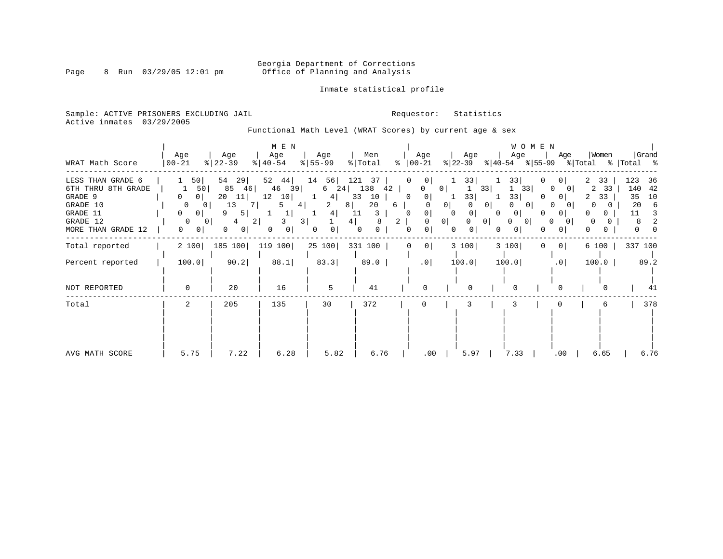# Georgia Department of Corrections<br>Page 8 Run 03/29/05 12:01 pm office of Planning and Analysis Office of Planning and Analysis

### Inmate statistical profile

Sample: ACTIVE PRISONERS EXCLUDING JAIL **Requestor:** Statistics Active inmates 03/29/2005

Functional Math Level (WRAT Scores) by current age & sex

| WRAT Math Score                                                                                              | Age<br>$ 00 - 21$                                                                           | Age<br>$ 22-39 $                                                                                                | M E N<br>Age<br>$8   40 - 54$                                                             | Age<br>$8 55-99$                                                 | Men<br>% Total                                                                | Age<br>៖<br>$ 00-21 $                                                                                                  | Age<br>% 22-39                                                        | Age<br>$ 40-54 \t  55-99 \t  Total \t  Total \t  5$                                                                                   | W O M E N<br>Age                                                                                                                                         | Women                                                                         | Grand                                                        |
|--------------------------------------------------------------------------------------------------------------|---------------------------------------------------------------------------------------------|-----------------------------------------------------------------------------------------------------------------|-------------------------------------------------------------------------------------------|------------------------------------------------------------------|-------------------------------------------------------------------------------|------------------------------------------------------------------------------------------------------------------------|-----------------------------------------------------------------------|---------------------------------------------------------------------------------------------------------------------------------------|----------------------------------------------------------------------------------------------------------------------------------------------------------|-------------------------------------------------------------------------------|--------------------------------------------------------------|
| LESS THAN GRADE 6<br>6TH THRU 8TH GRADE<br>GRADE 9<br>GRADE 10<br>GRADE 11<br>GRADE 12<br>MORE THAN GRADE 12 | 50<br>50<br>0 <sup>1</sup><br>$\overline{0}$<br> 0 <br>$\overline{0}$<br>$\Omega$<br>0<br>0 | 54<br>29<br>85 46<br>20<br>11<br>13<br>0 <sub>1</sub><br>5 <br>9<br>4<br>0 <sup>1</sup><br>0<br>$\vert 0 \vert$ | 52<br>44  <br>39<br>46<br>12<br>10 <br>7 L<br>5<br>4 <br>2 <br>3 <br>3.<br>01<br>$\Omega$ | 14<br>56<br>4<br>1<br>8<br>2<br>4 <br>0 <sup>1</sup><br>$\Omega$ | 121<br>37<br>6 24 138 42<br>33<br>10<br>20<br>11<br>3<br>8<br>4  <br>$\Omega$ | 0<br>0 I<br>$\mathbf{0}$<br> 0 <br>0<br>6<br>$\overline{0}$<br>$\Omega$<br>$\overline{a}$<br>0<br>$\Omega$<br>$\Omega$ | 331<br>0 <sup>1</sup><br>33<br> 0 <br>$\circ$<br> 0 <br>0<br>$\Omega$ | 33<br>33<br>33<br>33<br>1<br>0 <sup>1</sup><br>0 <sup>1</sup><br>0 <sup>1</sup><br>$\Omega$<br>0 <sup>1</sup><br>$\Omega$<br>0 I<br>0 | 0 <sup>1</sup><br>$\Omega$<br>- 0 1<br>0 <sup>1</sup><br>$\Omega$<br>0<br>$\Omega$<br>0 <sup>1</sup><br>$\Omega$<br>$\Omega$<br>$\Omega$<br>$\mathbf{0}$ | 2<br>33<br>2 33<br>33<br>2<br>$\Omega$<br>$\Omega$<br>$\Omega$<br>0<br>O<br>U | 123<br>36<br>140 42<br>35<br>10<br>20<br>- 6<br>3<br>11<br>8 |
| Total reported                                                                                               | 2 100                                                                                       |                                                                                                                 | 185 100 119 100                                                                           | 25 100 331 100                                                   |                                                                               | 0<br>$\circ$                                                                                                           | 3 100                                                                 | 3 100                                                                                                                                 | 0 <sup>1</sup><br>$\Omega$                                                                                                                               | 6 100                                                                         | 337 100                                                      |
| Percent reported                                                                                             | 100.0                                                                                       | 90.2                                                                                                            | 88.1                                                                                      | 83.3                                                             | 89.0                                                                          | .0                                                                                                                     | 100.0                                                                 | 100.0                                                                                                                                 | .0                                                                                                                                                       | 100.0                                                                         | 89.2                                                         |
| NOT REPORTED                                                                                                 | 0                                                                                           | 20                                                                                                              | 16                                                                                        | 5                                                                | 41                                                                            | <sup>0</sup>                                                                                                           | $\cap$                                                                |                                                                                                                                       |                                                                                                                                                          |                                                                               | 41                                                           |
| Total                                                                                                        | 2                                                                                           | 205                                                                                                             | 135                                                                                       | 30                                                               | 372                                                                           | 0                                                                                                                      | 3                                                                     |                                                                                                                                       |                                                                                                                                                          |                                                                               | 378                                                          |
| AVG MATH SCORE                                                                                               | 5.75                                                                                        | 7.22                                                                                                            | 6.28                                                                                      | 5.82                                                             | 6.76                                                                          | .00                                                                                                                    | 5.97                                                                  | 7.33                                                                                                                                  | $.00 \,$                                                                                                                                                 | 6.65                                                                          | 6.76                                                         |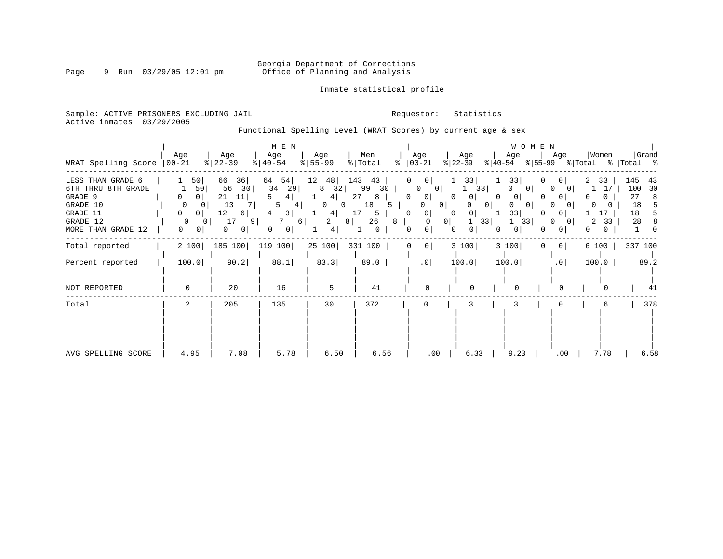# Georgia Department of Corrections<br>Page 9 Run 03/29/05 12:01 pm office of Planning and Analysis Office of Planning and Analysis

### Inmate statistical profile

Sample: ACTIVE PRISONERS EXCLUDING JAIL **Requestor:** Statistics Active inmates 03/29/2005

Functional Spelling Level (WRAT Scores) by current age & sex

| WRAT Spelling Score                                                                                          | Age<br>$ 00-21$                                                                       | Age<br>$\frac{1}{6}$   22-39                                                  | M E N<br>Age<br>$ 40-54 $                                                                         | Age<br>$8 55-99$                                                                              | Men<br>% Total<br>ွေ                                                    | Age<br>$ 00-21$                                                                                                                                      | Age<br>$ 22-39 $                                              | W O M E N<br>Age<br>Age<br>$ 55-99 $<br>$ 40-54 $                                                                                         | Women<br>% Total                                                     | Grand<br>%   Total %                                      |
|--------------------------------------------------------------------------------------------------------------|---------------------------------------------------------------------------------------|-------------------------------------------------------------------------------|---------------------------------------------------------------------------------------------------|-----------------------------------------------------------------------------------------------|-------------------------------------------------------------------------|------------------------------------------------------------------------------------------------------------------------------------------------------|---------------------------------------------------------------|-------------------------------------------------------------------------------------------------------------------------------------------|----------------------------------------------------------------------|-----------------------------------------------------------|
| LESS THAN GRADE 6<br>6TH THRU 8TH GRADE<br>GRADE 9<br>GRADE 10<br>GRADE 11<br>GRADE 12<br>MORE THAN GRADE 12 | 50<br>50<br>0<br>0<br>$\circ$<br>0<br>$\circ$<br>$\Omega$<br>0<br>0<br>0 <sup>1</sup> | 36<br>66<br>56<br>30<br>21<br>11<br>13<br>7<br>12<br>6 <br>17<br>9<br>0<br> 0 | 64<br>54<br>34<br>29<br>5<br>4<br>$\overline{\mathbf{3}}$<br>4<br>6<br>0 <sup>1</sup><br>$\Omega$ | 12<br>48<br>32<br>8<br>4<br>0<br>0 <sup>1</sup><br>4 <sup>1</sup><br>2<br>8 <sup>1</sup><br>4 | 143<br>43<br>99<br>30<br>27<br>8<br>18<br>5.<br>17<br>5<br>26<br>8<br>0 | 0<br>0 <sup>1</sup><br>0 <sup>1</sup><br>0<br>0<br>0<br>0 <sup>1</sup><br>0<br>$\mathbf 0$<br>0<br>0 <sup>1</sup><br>$\Omega$<br>$\overline{0}$<br>0 | 33<br>33<br>0<br> 0 <br>0<br>0 <sup>1</sup><br>$\Omega$<br>33 | 33<br>0<br>0 <sup>1</sup><br>0<br>0<br>$\Omega$<br>0<br>0 <sup>1</sup><br>O<br>33<br>0<br>$\Omega$<br>T<br>33<br>0<br>0 <sup>1</sup><br>0 | 2<br>33<br>17<br>$\Omega$<br>0<br>$\Omega$<br>0<br>2<br>33<br>0<br>0 | 145<br>43<br>100<br>30<br>27<br>-8<br>18<br>5<br>18<br>28 |
| Total reported                                                                                               | 2 100                                                                                 | 185 100                                                                       | 119 100                                                                                           | 25 100                                                                                        | 331 100                                                                 | 0<br>0                                                                                                                                               | 3 100                                                         | 3 100<br>0 <sup>1</sup><br>$\Omega$                                                                                                       | 6 100                                                                | 337 100                                                   |
| Percent reported                                                                                             | 100.0                                                                                 | 90.2                                                                          | 88.1                                                                                              | 83.3                                                                                          | 89.0                                                                    | .0                                                                                                                                                   | 100.0                                                         | 100.0<br>.0                                                                                                                               | 100.0                                                                | 89.2                                                      |
| NOT REPORTED                                                                                                 | $\mathbf 0$                                                                           | 20                                                                            | 16                                                                                                | 5                                                                                             | 41                                                                      | $\Omega$                                                                                                                                             | $\Omega$                                                      | $\Omega$                                                                                                                                  |                                                                      | 41                                                        |
| Total                                                                                                        | 2                                                                                     | 205                                                                           | 135                                                                                               | 30                                                                                            | 372                                                                     | 0                                                                                                                                                    | 3                                                             | 3                                                                                                                                         | 6                                                                    | 378                                                       |
| AVG SPELLING SCORE                                                                                           | 4.95                                                                                  | 7.08                                                                          | 5.78                                                                                              | 6.50                                                                                          | 6.56                                                                    | $.00 \,$                                                                                                                                             | 6.33                                                          | 9.23<br>.00                                                                                                                               | 7.78                                                                 | 6.58                                                      |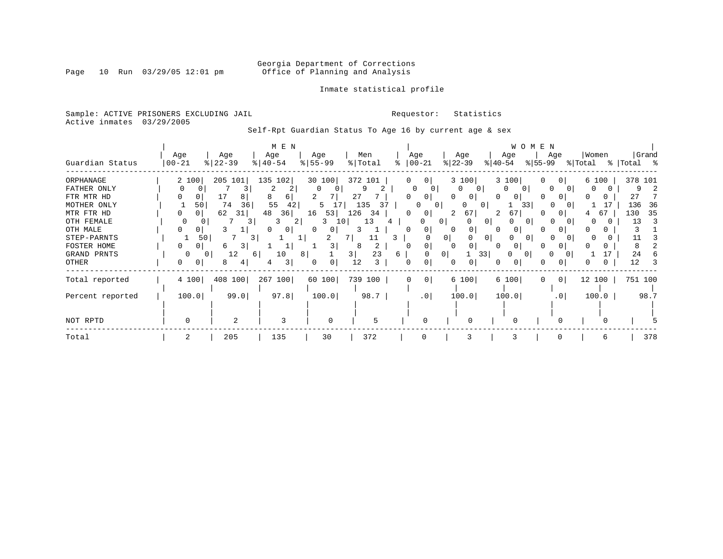# Georgia Department of Corrections<br>Page 10 Run 03/29/05 12:01 pm office of Planning and Analysis Office of Planning and Analysis

Inmate statistical profile

### Sample: ACTIVE PRISONERS EXCLUDING JAIL **Requestor:** Statistics Active inmates 03/29/2005

Self-Rpt Guardian Status To Age 16 by current age & sex

|                  |           |                | M E N     |               |            |                     |                           |               | W O M E N                 |           |             |
|------------------|-----------|----------------|-----------|---------------|------------|---------------------|---------------------------|---------------|---------------------------|-----------|-------------|
|                  | Age       | Age            | Age       | Age           | Men        | Age                 | Age                       | Age           | Age                       | Women     | Grand       |
| Guardian Status  | $00 - 21$ | $ 22-39$       | $ 40-54 $ | $8 55-99$     | % Total    | $00 - 21$           | $ 22-39 $                 | $ 40-54 $     | $ 55-99 $                 | % Total   | %   Total % |
| ORPHANAGE        | 2 100     | 205 101        | 135 102   | 30 100        | 372 101    | 0 <sup>1</sup><br>0 | 3 100                     | 3 100         | 0 <sup>1</sup><br>U       | 6 100     | 378 101     |
| FATHER ONLY      |           | 3              | 2<br>2    |               |            | 0                   | $\Omega$<br>$\Omega$<br>0 |               | $\Omega$<br>$\Omega$      |           | 9           |
| FTR MTR HD       | 0         | 17<br>8        | 8<br>6    |               | 27         | $\Omega$            | 0                         |               |                           |           | 27          |
| MOTHER ONLY      | 50        | 74<br>36       | 55<br>42  | 5             | 135<br>31  |                     | 0<br>0                    | 01            | 33                        | 17        | 136<br>36   |
| MTR FTR HD       | 0         | 62<br>31       | 48<br>361 | 53<br>16      | 126<br>-34 | <sup>0</sup><br>0   | 67                        | 67            |                           | 67        | 35<br>130   |
| OTH FEMALE       |           | 3              | 3<br>2    | 3<br>10       | 13         |                     | . O I                     | $\Omega$<br>O | $\Omega$                  |           | 13          |
| OTH MALE         |           |                | 0 I       | 0<br>0        |            | 0                   | 0                         | 01            |                           |           |             |
| STEP-PARNTS      | 50        | 3.             |           |               |            |                     | 0 <sup>1</sup>            | 0<br>O        | $\Omega$                  |           |             |
| FOSTER HOME      | 01        | 3.<br>6        |           | 3             | 2<br>8     |                     | 0                         | 01            |                           |           |             |
| GRAND PRNTS      | $\Omega$  | 12<br>6        | 10<br>8   |               | 23<br>3    | 6.                  | $\overline{0}$            | 33            | $\Omega$<br>$\Omega$<br>0 |           | 24          |
| OTHER            | 0         | 8<br>4         | 3         | 0<br>$\Omega$ | 12<br>3    | 0<br><sup>0</sup>   |                           |               |                           |           | 12          |
| Total reported   | 4 100     | 408 100        | 267 100   | 60 100        | 739 100    | 0 <sup>1</sup><br>0 | 6 100                     | 6 100         | 0 <br>0                   | 12<br>100 | 751 100     |
| Percent reported | 100.0     | 99.0           | 97.8      | 100.0         | 98.7       | .0                  | 100.0                     | 100.0         | .0 <sub>1</sub>           | 100.0     | 98.7        |
|                  |           |                |           |               |            |                     |                           |               |                           |           |             |
| NOT RPTD         | $\Omega$  | $\overline{2}$ | 3         | $\Omega$      | 5          | n                   |                           | $\Omega$      |                           |           |             |
| Total            | 2         | 205            | 135       | 30            | 372        | $\Omega$            |                           | 3             |                           | 6         | 378         |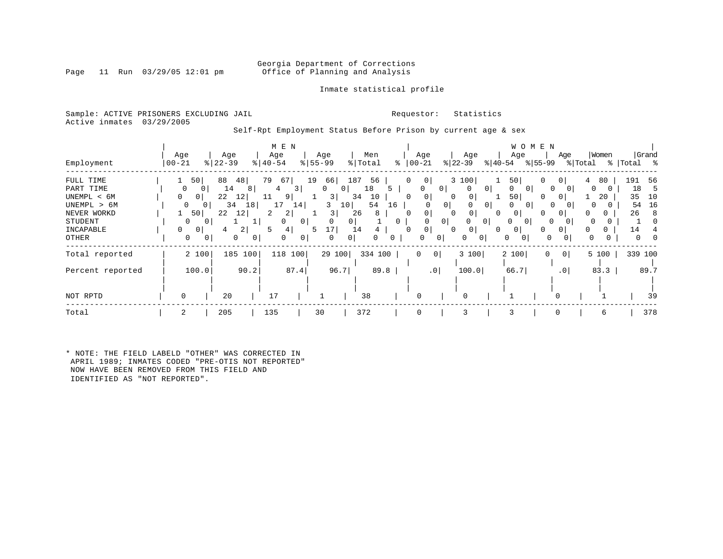### Georgia Department of Corrections<br>Page 11 Run 03/29/05 12:01 pm office of Planning and Analysis Office of Planning and Analysis

### Inmate statistical profile

Sample: ACTIVE PRISONERS EXCLUDING JAIL **Requestor:** Statistics Active inmates 03/29/2005

Self-Rpt Employment Status Before Prison by current age & sex

|                                                                                                      |                                                                                        |                                                                                                                                  | M E N                                                                                                                 |                                                                                                   |                                                                                         |                                                                                     |                                                                                                                                                                                                        | W O M E N                                                                                                                                                                                |                                                                                                                                                               |                                                                             |
|------------------------------------------------------------------------------------------------------|----------------------------------------------------------------------------------------|----------------------------------------------------------------------------------------------------------------------------------|-----------------------------------------------------------------------------------------------------------------------|---------------------------------------------------------------------------------------------------|-----------------------------------------------------------------------------------------|-------------------------------------------------------------------------------------|--------------------------------------------------------------------------------------------------------------------------------------------------------------------------------------------------------|------------------------------------------------------------------------------------------------------------------------------------------------------------------------------------------|---------------------------------------------------------------------------------------------------------------------------------------------------------------|-----------------------------------------------------------------------------|
| Employment                                                                                           | Age<br>$ 00-21$                                                                        | Age<br>$ 22 - 39$<br>%                                                                                                           | Age<br>$\frac{1}{6}$   40-54                                                                                          | Age<br>$8 55-99$                                                                                  | Men<br>% Total                                                                          | Age<br>$ 00-21 $<br>°                                                               | Age<br>$ 22-39 $                                                                                                                                                                                       | Age<br>$ 40-54 $<br>$ 55-99 $                                                                                                                                                            | Women<br>Age<br>% Total                                                                                                                                       | Grand<br>%  Total %                                                         |
| FULL TIME<br>PART TIME<br>UNEMPL < 6M<br>UNEMPL > 6M<br>NEVER WORKD<br>STUDENT<br>INCAPABLE<br>OTHER | 50<br>0<br>$\Omega$<br>$\mathbf{0}$<br>0<br>50<br>$\Omega$<br>$\Omega$<br>$\circ$<br>0 | 88<br>48<br>14<br>8<br>$\overline{0}$<br>22<br>12<br>34<br>18<br>$\overline{0}$<br>22<br>12<br>$\overline{2}$  <br>4<br>$\Omega$ | 79<br>67<br>$\overline{3}$<br>4<br>9 <br>11<br>17<br>14<br>2<br>2<br>$\Omega$<br>4<br>5<br>$\Omega$<br>$\overline{0}$ | 19<br>66<br>$\mathbf 0$<br>3 <br>3<br>3<br>0 <sup>1</sup><br>0<br>17<br>5<br>$\Omega$<br>$\Omega$ | 187<br>56<br>18<br>0<br>10<br>34<br>54<br>10<br>26<br>8<br>$\mathbf{0}$<br>14<br>0<br>0 | $\Omega$<br>0<br>0<br>0<br>0<br>16<br>$\Omega$<br>0<br>$\Omega$<br>0<br>0<br>0<br>0 | 3 100<br>0 <sup>1</sup><br>0<br>$\mathbf{0}$<br>0<br>0<br>$\overline{0}$<br>0 <sup>1</sup><br>0<br>$\Omega$<br>$\overline{0}$<br>0 <sup>1</sup><br>0<br>0 <sup>1</sup><br>0<br>$\Omega$<br>0<br>0<br>0 | 50<br>0<br>0<br>$\Omega$<br>$\Omega$<br>50<br>O<br>$\Omega$<br>$\Omega$<br>0 <sup>1</sup><br>$\Omega$<br>$\Omega$<br>0<br>0<br>0<br>$\Omega$<br>$\mathbf{0}$<br>O<br>0<br>0 <sup>1</sup> | 80<br>0 <sup>1</sup><br>4<br>$\Omega$<br>0<br>20<br>$\Omega$<br>$\Omega$<br>$\Omega$<br>$\Omega$<br>0<br>$\Omega$<br>$\Omega$<br>$\Omega$<br>U<br>0<br>0<br>0 | 191<br>-56<br>18<br>כ<br>35<br>10<br>54<br>16<br>26<br>-8<br>14<br>$\Omega$ |
| Total reported                                                                                       | 2 100                                                                                  | 185 100                                                                                                                          | 118 100                                                                                                               | 29 100                                                                                            | 334 100                                                                                 | 0                                                                                   | 0 <br>3 100                                                                                                                                                                                            | 2 100<br>$\mathbf 0$                                                                                                                                                                     | 5 100<br>$\overline{0}$                                                                                                                                       | 339 100                                                                     |
| Percent reported                                                                                     | 100.0                                                                                  | 90.2                                                                                                                             | 87.4                                                                                                                  | 96.7                                                                                              | 89.8                                                                                    |                                                                                     | .0 <sup>1</sup><br>100.0                                                                                                                                                                               | 66.7                                                                                                                                                                                     | 83.3<br>.0 <sub>1</sub>                                                                                                                                       | 89.7                                                                        |
| NOT RPTD                                                                                             | 0                                                                                      | 20                                                                                                                               | 17                                                                                                                    |                                                                                                   | 38                                                                                      | 0                                                                                   | $\Omega$                                                                                                                                                                                               |                                                                                                                                                                                          |                                                                                                                                                               | 39                                                                          |
| Total                                                                                                |                                                                                        | 205                                                                                                                              | 135                                                                                                                   | 30                                                                                                | 372                                                                                     | $\mathbf 0$                                                                         | 3                                                                                                                                                                                                      | $\Omega$                                                                                                                                                                                 | 6                                                                                                                                                             | 378                                                                         |

\* NOTE: THE FIELD LABELD "OTHER" WAS CORRECTED IN APRIL 1989; INMATES CODED "PRE-OTIS NOT REPORTED" NOW HAVE BEEN REMOVED FROM THIS FIELD AND IDENTIFIED AS "NOT REPORTED".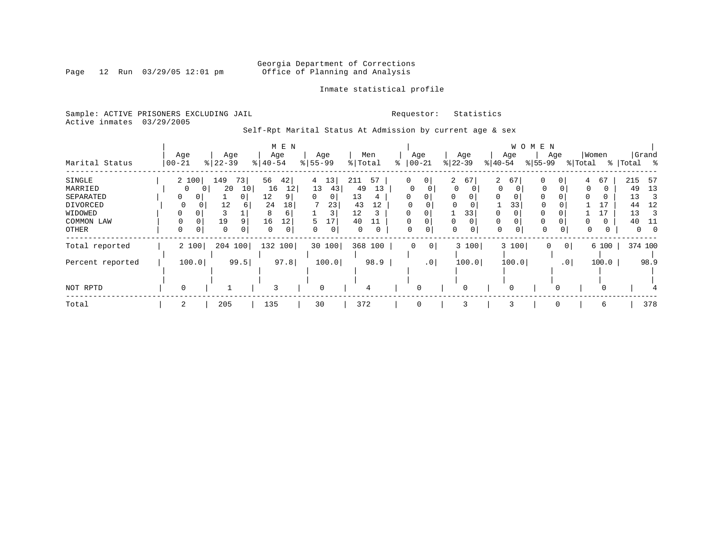# Georgia Department of Corrections<br>Page 12 Run 03/29/05 12:01 pm office of Planning and Analysis Office of Planning and Analysis

### Inmate statistical profile

Sample: ACTIVE PRISONERS EXCLUDING JAIL **Requestor:** Statistics Active inmates 03/29/2005

Self-Rpt Marital Status At Admission by current age & sex

|                  |               |                      | M E N                 |                      |           |               |                    |               | W O M E N                  |                      |                |
|------------------|---------------|----------------------|-----------------------|----------------------|-----------|---------------|--------------------|---------------|----------------------------|----------------------|----------------|
|                  | Age           | Age                  | Age                   | Age                  | Men       | Age           | Age                | Age           | Age                        | Women                | Grand          |
| Marital Status   | $00 - 21$     | $8 22-39$            | $\frac{1}{6}$   40-54 | $8 55-99$            | %   Total | $ 00 - 21$    | $ 22-39 $          | $ 40-54 $     | $ 55-99 $                  | % Total<br>န $\vert$ | Total %        |
| SINGLE           | 2 100         | 73<br>149            | 42 <br>56             | 13<br>$\overline{4}$ | 57<br>211 | 0<br>0        | $\mathbf{2}$<br>67 | 2<br>67       | 0<br>0                     | 67<br>4              | 215<br>-57     |
| MARRIED          | $\Omega$      | 20<br>10             | 12<br>16              | 13<br>43             | 13<br>49  | 0             | $\Omega$           | 0<br>$\Omega$ | $\mathbf 0$                | $\Omega$             | 13<br>49       |
| SEPARATED        | 0<br>0        | $\Omega$             | 12<br>9 <sub>1</sub>  | $\Omega$<br>0        | 13<br>4   | 0             | $\Omega$           | $\Omega$<br>0 | $\Omega$                   |                      | 13<br>З        |
| DIVORCED         | 0             | 12<br>b              | 24<br>18              | 23                   | 43<br>12  |               | 0<br>$\Omega$      | 33            | 0                          |                      | 12<br>44       |
| WIDOWED          | $\Omega$<br>0 |                      | 8<br>6                | 3                    | 12<br>3   |               | 33                 | $\Omega$      | 0                          | 17                   | 13             |
| COMMON LAW       |               | 19                   | 16<br>12              | 17<br>5              | 40<br>11  | 0             | 0                  | $\Omega$      |                            | 0                    | 40             |
| OTHER            | $\Omega$<br>0 | $\Omega$<br>$\Omega$ | 0<br>$\Omega$         | 0                    | $\Omega$  | $\Omega$<br>0 | $\Omega$           | $\mathbf 0$   | $\Omega$<br>$\Omega$       | 0                    | $\overline{0}$ |
| Total reported   | 2 100         | 204 100              | 132 100               | 30 100               | 368 100   | 0<br>0        | 3 100              | 3 100         | 0 <sup>1</sup><br>$\Omega$ | 6 100                | 374 100        |
| Percent reported | 100.0         | 99.5                 | 97.8                  | 100.0                | 98.9      | $\cdot$ 0     | 100.0              | 100.0         | .0 <sub>1</sub>            | 100.0                | 98.9           |
|                  |               |                      |                       |                      |           |               |                    |               |                            |                      |                |
|                  |               |                      |                       |                      |           |               |                    |               |                            |                      |                |
| NOT RPTD         | 0             |                      | 3                     | 0                    | 4         | 0             | 0                  |               |                            | $\Omega$             |                |
| Total            | 2             | 205                  | 135                   | 30                   | 372       | 0             | 3                  | 3             | 0                          | 6                    | 378            |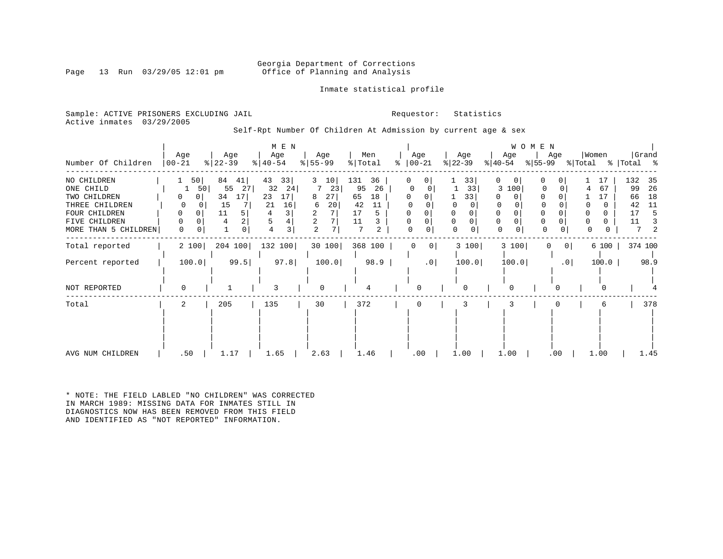### Georgia Department of Corrections<br>Page 13 Run 03/29/05 12:01 pm office of Planning and Analysis Office of Planning and Analysis

Inmate statistical profile

Sample: ACTIVE PRISONERS EXCLUDING JAIL **Requestor:** Statistics Active inmates 03/29/2005

Self-Rpt Number Of Children At Admission by current age & sex

| Number Of Children                                                                                                   | Age<br>$00 - 21$ | Age<br>$ 22-39 $                                                                    | M E N<br>Age<br>$ 40-54 $                                   | Age<br>$8 55-99$                                           | Men<br>% Total<br>ႜ                                                      | Age<br>$ 00-21$           | Age<br>$ 22-39 $                 | W O M E N<br>Age<br>$ 55-99 $<br>$ 40-54 $                          | Women<br>Age<br>% Total                        | Grand<br>%   Total %                                                     |
|----------------------------------------------------------------------------------------------------------------------|------------------|-------------------------------------------------------------------------------------|-------------------------------------------------------------|------------------------------------------------------------|--------------------------------------------------------------------------|---------------------------|----------------------------------|---------------------------------------------------------------------|------------------------------------------------|--------------------------------------------------------------------------|
| NO CHILDREN<br>ONE CHILD<br>TWO CHILDREN<br>THREE CHILDREN<br>FOUR CHILDREN<br>FIVE CHILDREN<br>MORE THAN 5 CHILDREN | 50<br>0<br>0     | 84<br>41<br>50<br>55<br>27<br>34<br>17<br>0<br>15<br>11<br>5.<br>4<br>$\Omega$<br>0 | 43<br>33<br>32<br>24<br>23<br>17<br>21<br>16<br>4<br>3<br>4 | 3<br>10<br>23<br>27<br>8<br>20<br>6<br>2<br>$\overline{2}$ | 131<br>36<br>26<br>95<br>65<br>18<br>42<br>11<br>17<br>5<br>11<br>7<br>2 | 0<br>0<br>0<br>0<br>0     | 33 <br>33<br>33<br>$\Omega$<br>0 | 0<br>0<br>100<br>3<br>$\Omega$<br>$\Omega$<br>0<br>$\mathbf 0$<br>0 | 0<br>17<br>67<br>17<br>$\Omega$<br>0<br>0<br>0 | 132<br>35<br>99<br>26<br>18<br>66<br>42<br>11<br>17<br>5<br>11<br>3<br>2 |
| Total reported<br>Percent reported                                                                                   | 2 100<br>100.0   | 204 100<br>99.5                                                                     | 132 100<br>97.8                                             | 30 100<br>100.0                                            | 368 100<br>98.9                                                          | 0<br>0<br>.0 <sub>1</sub> | 3 100<br>100.0                   | 3 100<br>0<br>100.0                                                 | 6 100<br>$\circ$<br>100.0<br>$\cdot$ 0         | 374 100<br>98.9                                                          |
| NOT REPORTED                                                                                                         | O                |                                                                                     | 3                                                           | $\Omega$                                                   |                                                                          | ∩                         |                                  | 0                                                                   | O                                              |                                                                          |
| Total                                                                                                                | 2                | 205                                                                                 | 135                                                         | 30                                                         | 372                                                                      | 0                         | 3                                |                                                                     | 6                                              | 378                                                                      |
| AVG NUM CHILDREN                                                                                                     | .50              | 1.17                                                                                | 1.65                                                        | 2.63                                                       | 1.46                                                                     | .00                       | 1.00                             | 1.00                                                                | 1.00<br>.00                                    | 1.45                                                                     |

\* NOTE: THE FIELD LABLED "NO CHILDREN" WAS CORRECTED IN MARCH 1989: MISSING DATA FOR INMATES STILL IN DIAGNOSTICS NOW HAS BEEN REMOVED FROM THIS FIELD AND IDENTIFIED AS "NOT REPORTED" INFORMATION.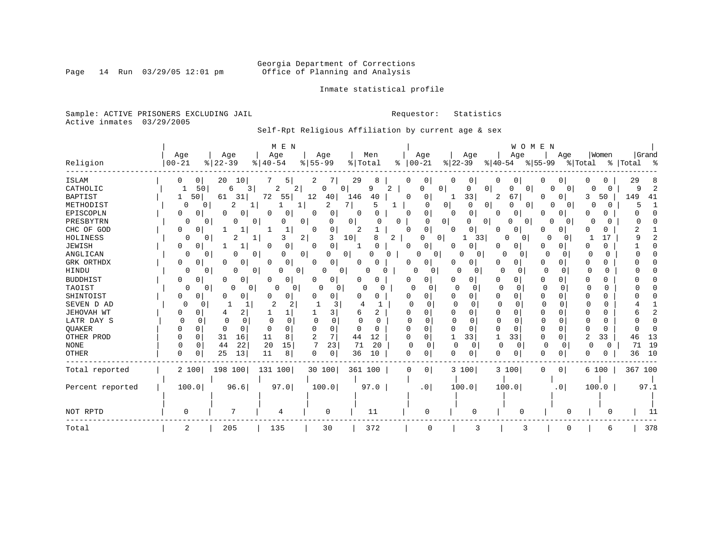# Georgia Department of Corrections<br>Page 14 Run 03/29/05 12:01 pm office of Planning and Analysis Office of Planning and Analysis

Inmate statistical profile

Sample: ACTIVE PRISONERS EXCLUDING JAIL **Requestor:** Statistics Active inmates 03/29/2005

# Self-Rpt Religious Affiliation by current age & sex

|                  |           |                          | M E N                    |                  |                      |                 |                     | WOMEN         |                          |               |                     |
|------------------|-----------|--------------------------|--------------------------|------------------|----------------------|-----------------|---------------------|---------------|--------------------------|---------------|---------------------|
|                  | Age       | Age                      | Age                      | Age              | Men                  | Age             | Age                 | Age           | Age                      | Women         | Grand               |
| Religion         | $00 - 21$ | $ 22-39$                 | $\frac{1}{6}$   40-54    | $8 55-99$        | % Total              | $8   00 - 21$   | $ 22-39$            | $ 40-54 $     | % 55–99                  | % Total       | %   Total<br>ႜ      |
| <b>ISLAM</b>     | 0<br>0    | 20<br>10                 | 5.                       | 2                | 29<br>8              | 0               | $\mathbf{0}$        | 0             |                          |               | 29<br>8             |
| CATHOLIC         |           | 50<br>3<br>6             | 2<br>2                   | 0<br>0           | 9<br>2               | 0<br>O          | 0                   | 0<br>O<br>0   | $\Omega$<br>0            | 0<br>0        | $\overline{2}$<br>9 |
| <b>BAPTIST</b>   | 50<br>1   | 61<br>31                 | 72<br>55                 | 12<br>40         | 146<br>40            | 0<br>0          | 33                  | 67<br>2       | 0 <sup>1</sup>           | 50<br>3       | 149<br>41           |
| METHODIST        | 0         | 2<br>0                   |                          | 2                | 7<br>5               | O               | 0 <sup>1</sup><br>0 | O<br>0<br>0   | $\Omega$<br>0            | 0<br>$\Omega$ |                     |
| EPISCOPLN        | 0<br>0    | 0<br>0                   | 0<br>0                   | $\mathbf 0$<br>0 | $\Omega$<br>$\Omega$ | 0<br>O          | 0<br>∩              | 0<br>0        | $\mathbf{0}$             | O<br>U        |                     |
| PRESBYTRN        | 0         | 0<br>0                   | 0<br>0                   | 0<br>O           | $\overline{0}$<br>O  |                 | 0<br>0<br>01        | 0             | 0<br>0                   | O<br>O        |                     |
| CHC OF GOD       | 0<br>0    |                          | 1<br>1                   | 0<br>0           |                      | 0<br>0          | 01<br>$\Omega$      | 0             | $\overline{0}$           | U             |                     |
| HOLINESS         |           | $\Omega$                 | 3                        | 2                | 10<br>8<br>2         | $\Omega$        | 33                  | 0             | O<br>O                   | 17            |                     |
| <b>JEWISH</b>    | 0         |                          | $\Omega$<br>0            | $\Omega$         |                      | 0<br>n          |                     | 0             | $\Omega$                 | 0             |                     |
| ANGLICAN         | 0         | 0                        | $\mathbf{0}$<br>0        | 0<br>በ           |                      | 0               | O<br>0              | $\Omega$<br>0 | 0<br>$\Omega$            | 0             |                     |
| GRK ORTHDX       | 0         | 0<br>Ω                   | O<br>0                   | O<br>0           |                      | 0               |                     | 0             | 0                        | U             |                     |
| HINDU            | 0         | 0<br>0                   | 0<br>0 <sup>1</sup><br>0 | 0<br>0           | O                    | 0<br>0          | $\Omega$<br>U       | 0<br>$\Omega$ | $\Omega$<br>$\Omega$     | $\Omega$<br>0 |                     |
| <b>BUDDHIST</b>  | 0<br>0    | 0                        | 0<br>0                   | 0                | 0                    | 0<br>0          |                     | 0<br>U        | $\Omega$                 |               |                     |
| TAOIST           | 0         | 0<br>0 <sup>1</sup><br>0 | O<br>$\circ$             | U<br>0           | O                    | $\Omega$<br>O   |                     | $\Omega$      | $\Omega$<br><sup>0</sup> |               |                     |
| SHINTOIST        | 0<br>0    | 0                        | 0                        | 0                | U                    | 0<br>0          | $\Omega$            | U<br>0        |                          |               |                     |
| SEVEN D AD       | 0         | ſ<br>-1                  | 2                        |                  |                      |                 | n                   | U             |                          | U             |                     |
| JEHOVAH WT       | 0         | 2                        |                          | 3                | 6                    | U               | $\Omega$            | $\Omega$<br>O | $\Omega$                 |               | 2                   |
| LATR DAY S       | O         | 0<br>C                   | 0                        |                  | <sup>0</sup><br>O    | U               | $\Omega$<br>O       | 0             | $\Omega$                 | O             |                     |
| QUAKER           | 0         | $\Omega$                 | O                        | O<br>∩           | 0<br>O               |                 |                     | U<br>O        | $\Omega$                 | U             | U                   |
| OTHER PROD       | 0         | 16<br>31                 | 11<br>8                  | 7<br>2           | 12<br>44             | 0<br>$\Omega$   | 33                  | 33<br>1       | $\overline{0}$<br>O      | 2<br>33       | 13<br>46            |
| <b>NONE</b>      | 0         | 22<br>44                 | 20<br>15                 | 23               | 71<br>20             | 0<br>$\Omega$   | 0<br>$\Omega$       | $\Omega$<br>0 | $\Omega$<br>0            | $\Omega$<br>0 | 19<br>71            |
| <b>OTHER</b>     | 0<br>0    | 25<br>13                 | 11<br>8                  | 0<br>0           | 36<br>10             | 0<br>0          | 0                   | U<br>0        | 0                        | U             | 10<br>36            |
| Total reported   | 2 100     | 198 100                  | 131 100                  | 30 100           | 361 100              | 0<br>0          | 3 100               | 3 100         | 0 <sup>1</sup><br>0      | 6 100         | 367 100             |
| Percent reported | 100.0     | 96.6                     | 97.0                     | 100.0            | 97.0                 | .0 <sub>1</sub> | 100.0               | 100.0         | . 0                      | 100.0         | 97.1                |
|                  |           |                          |                          |                  |                      |                 |                     |               |                          |               |                     |
| NOT RPTD         |           |                          | 4                        | $\Omega$         | 11                   |                 | U                   | U             | U                        | ∩             | 11                  |
| Total            | 2         | 205                      | 135                      | 30               | 372                  |                 | З                   |               |                          | 6             | 378                 |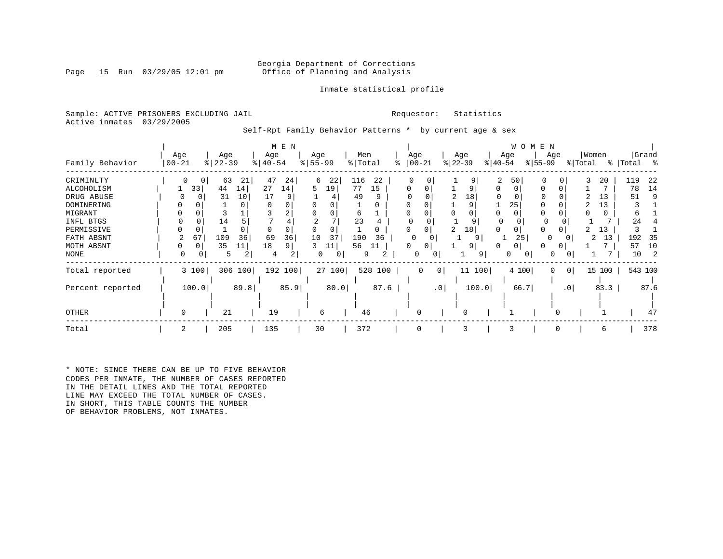### Georgia Department of Corrections<br>Page 15 Run 03/29/05 12:01 pm office of Planning and Analysis Office of Planning and Analysis

### Inmate statistical profile

Sample: ACTIVE PRISONERS EXCLUDING JAIL **Requestor:** Statistics Active inmates 03/29/2005

Self-Rpt Family Behavior Patterns \* by current age & sex

|                                                                                                                               |                                         |                                                                           | M E N                                                                 |                                                                                                |                                                                |                                         |                                                                                                   | W O M E N                         |                                                                                                                    |
|-------------------------------------------------------------------------------------------------------------------------------|-----------------------------------------|---------------------------------------------------------------------------|-----------------------------------------------------------------------|------------------------------------------------------------------------------------------------|----------------------------------------------------------------|-----------------------------------------|---------------------------------------------------------------------------------------------------|-----------------------------------|--------------------------------------------------------------------------------------------------------------------|
| Family Behavior                                                                                                               | Age<br>$00 - 21$                        | Age<br>$ 22-39 $                                                          | Age<br>$\frac{1}{6}$   40-54                                          | Age<br>$\frac{8}{5}$   55-99                                                                   | Men<br>% Total<br>⊱                                            | Age<br>Age<br>$ 22-39 $<br>$ 00-21$     | Age<br>$ 40-54 $                                                                                  | Age<br>$ 55-99 $<br>% Total       | Women<br>Grand<br>% Total %                                                                                        |
| CRIMINLTY<br>ALCOHOLISM<br>DRUG ABUSE<br>DOMINERING<br>MIGRANT<br>INFL BTGS<br>PERMISSIVE<br>FATH ABSNT<br>MOTH ABSNT<br>NONE | 0<br>$\mathbf{0}$<br>33<br>67<br>0<br>0 | 63<br>21<br>14<br>44<br>31<br>10<br>14<br>109<br>36<br>35<br>11<br>5<br>2 | 47<br>24<br>27<br>14<br>17<br>9<br>2<br>36<br>69<br>18<br>9<br>2<br>4 | 116<br>22<br>6<br>77<br>5<br>19<br>49<br>6<br>23<br>10<br>37<br>190<br>56<br>3<br>11<br>0<br>0 | 22<br>0<br>15<br>$\Omega$<br>q<br>0<br>36<br>11<br>O<br>2<br>9 | 0<br>2<br>18<br>$\Omega$<br>0<br>0<br>0 | 2<br>50<br>$\Omega$<br>9<br>18<br>$\cap$<br>25<br>9<br>0<br>9<br>0<br>25<br>9<br>9<br>0<br>9<br>0 | 0<br>3<br>0<br>0<br>0<br>$\Omega$ | 119<br>22<br>20<br>7<br>14<br>78<br>13<br>51<br>9<br>13<br>6<br>24<br>13<br>13<br>192<br>2<br>35<br>57<br>10<br>10 |
| Total reported                                                                                                                | 3 100                                   | 306 100                                                                   | 192 100                                                               | 27 100                                                                                         | 528 100                                                        | 0 <br>$\overline{0}$                    | 11 100<br>4 100                                                                                   | 0 <br>0                           | 543 100<br>15 100                                                                                                  |
| Percent reported                                                                                                              | 100.0                                   | 89.8                                                                      | 85.9                                                                  | 80.0                                                                                           | 87.6                                                           | .0 <sub>1</sub>                         | 100.0<br>66.7                                                                                     | .0                                | 83.3<br>87.6                                                                                                       |
| <b>OTHER</b>                                                                                                                  | 0                                       | 21                                                                        | 19                                                                    | 6                                                                                              | 46                                                             | $\Omega$                                |                                                                                                   |                                   | 47                                                                                                                 |
| Total                                                                                                                         | 2                                       | 205                                                                       | 135                                                                   | 30                                                                                             | 372                                                            | 3<br>0                                  | 3                                                                                                 | 0                                 | 378<br>6                                                                                                           |

\* NOTE: SINCE THERE CAN BE UP TO FIVE BEHAVIOR CODES PER INMATE, THE NUMBER OF CASES REPORTED IN THE DETAIL LINES AND THE TOTAL REPORTED LINE MAY EXCEED THE TOTAL NUMBER OF CASES. IN SHORT, THIS TABLE COUNTS THE NUMBER OF BEHAVIOR PROBLEMS, NOT INMATES.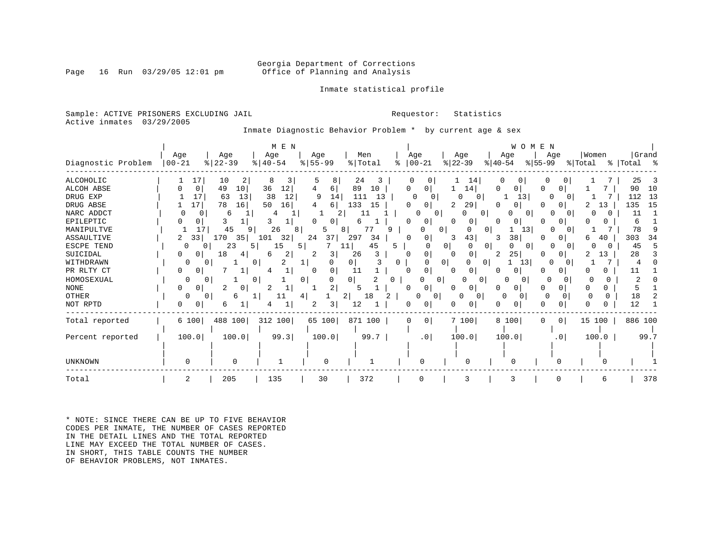### Georgia Department of Corrections<br>Page 16 Run 03/29/05 12:01 pm office of Planning and Analysis Office of Planning and Analysis

Inmate statistical profile

Sample: ACTIVE PRISONERS EXCLUDING JAIL **Requestor:** Statistics Active inmates 03/29/2005

Inmate Diagnostic Behavior Problem \* by current age & sex

|                    |            |                      | M E N                 |                     |           |                      |                          | WOMEN                  |                     |         |           |
|--------------------|------------|----------------------|-----------------------|---------------------|-----------|----------------------|--------------------------|------------------------|---------------------|---------|-----------|
|                    | Age        | Age                  | Age                   | Age                 | Men       | Age                  | Age                      | Age                    | Age                 | Women   | Grand     |
| Diagnostic Problem | $ 00 - 21$ | $8   22 - 39$        | $\frac{1}{6}$   40-54 | $8 55-99$           | % Total   | $ 00-21$<br>ి        | $ 22-39 $                | $ 55-99 $<br>$ 40-54 $ |                     | % Total | % Total % |
| <b>ALCOHOLIC</b>   | 17         | 10<br>2              | 8<br>3                | 8                   | 24<br>3   | <sup>o</sup>         | 14                       | 0                      | 0                   |         | 25        |
| ALCOH ABSE         | 0          | 49<br>10             | 36<br>12              | 6                   | 89<br>10  | 0<br>0               | 14                       | U<br>0                 | 0                   |         | 90<br>10  |
| DRUG EXP           | 17         | 13<br>63             | 38<br>12              | 9<br>14             | 111<br>13 | $\Omega$<br>$\Omega$ | 0<br>0                   | 13                     | $\Omega$            |         | 112<br>13 |
| DRUG ABSE          | 17         | 78<br>16             | 50<br>16              | 6<br>4              | 133<br>15 | 0                    | 29                       | <sup>n</sup><br>0      | 0                   | 13      | 135<br>15 |
| NARC ADDCT         |            | 6                    |                       | 2                   |           |                      | 0<br>$\overline{0}$<br>0 | 0                      |                     |         | 11        |
| EPILEPTIC          |            |                      |                       |                     | 6         | O                    | 0                        | 0 <sup>1</sup>         |                     |         | 6         |
| MANIPULTVE         | 17         | 45<br>9              | 26<br>8               |                     | 77<br>8   |                      | $\Omega$<br><sup>0</sup> | 13                     |                     |         | 78        |
| ASSAULTIVE         | 33<br>2    | 170<br>35            | 101<br>32             | 37<br>24            | 297<br>34 | 0<br><sup>0</sup>    | 43                       | 38 <br>3               |                     | б<br>40 | 303<br>34 |
| ESCPE TEND         | 0          | 23<br>51<br>$\Omega$ | 15                    | 5                   | 45<br>11  | 5.<br>∩              | 0<br>0<br>0              | <sup>0</sup><br>0      | 0                   | 0<br>O  | 45        |
| SUICIDAL           |            | 18<br>4              | 2<br>6                | 3                   | 26<br>3   | 0                    | 0<br>$\Omega$            | 25<br>2                |                     | 13      | 28        |
| WITHDRAWN          |            |                      | 2                     | n                   | 0         | 0                    | 0 <sup>1</sup><br>0<br>0 | 13                     | <sup>0</sup>        |         |           |
| PR RLTY CT         | 0          |                      |                       | <sup>0</sup>        | 11        | 0                    | 0                        |                        |                     |         | 11        |
| HOMOSEXUAL         |            |                      | 0                     | 0 <sup>1</sup><br>U | 0  <br>2  |                      | 0<br>0<br>$\Omega$       | O                      | $\Omega$            |         |           |
| <b>NONE</b>        | 0          | 2<br>0               | 2                     | 2                   |           |                      | $\overline{0}$           |                        | 0                   |         |           |
| OTHER              | $\Omega$   | 0<br>6               | 11                    | 4                   | 2 <br>18  | $\circ$              | 0<br>0                   | $\Omega$               |                     | 0       | 18        |
| NOT RPTD           |            | 6                    |                       | 3                   | 12        |                      | $\Omega$                 |                        | 0                   |         | 12        |
| Total reported     | 6 100      | 488 100              | 312 100               | 65 100              | 871 100   | 0<br>$\Omega$        | 7 100                    | 8 100                  | 0 <sup>1</sup><br>0 | 15 100  | 886 100   |
| Percent reported   | 100.0      | 100.0                | 99.3                  | 100.0               | 99.7      | .0 <sub>1</sub>      | 100.0                    | 100.0                  | .0 <sub>1</sub>     | 100.0   | 99.7      |
|                    |            |                      |                       |                     |           |                      |                          |                        |                     |         |           |
| <b>UNKNOWN</b>     | 0          | $\mathbf 0$          |                       | $\Omega$            |           |                      | $\Omega$                 | $\Omega$               | O                   |         |           |
| Total              | 2          | 205                  | 135                   | 30                  | 372       |                      | 3                        |                        |                     |         | 378       |

\* NOTE: SINCE THERE CAN BE UP TO FIVE BEHAVIOR CODES PER INMATE, THE NUMBER OF CASES REPORTED IN THE DETAIL LINES AND THE TOTAL REPORTED LINE MAY EXCEED THE TOTAL NUMBER OF CASES. IN SHORT, THIS TABLE COUNTS THE NUMBER OF BEHAVIOR PROBLEMS, NOT INMATES.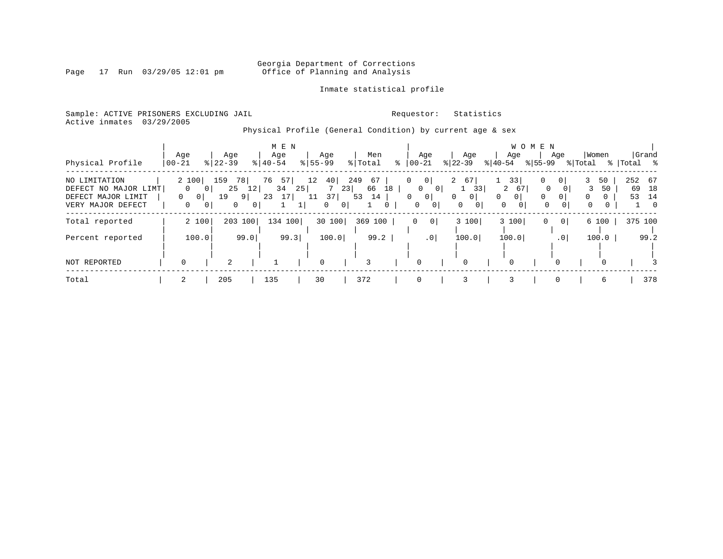# Georgia Department of Corrections<br>Page 17 Run 03/29/05 12:01 pm office of Planning and Analysis Office of Planning and Analysis

### Inmate statistical profile

Sample: ACTIVE PRISONERS EXCLUDING JAIL **Requestor:** Statistics Active inmates 03/29/2005

Physical Profile (General Condition) by current age & sex

|                                                                                  |                             |       |                                   |                                  | M E N          |                |             |                                |                |                      |         |                   |                                                      |                        |                                              |           |                                                                   | W O M E N                         |                                              |                             |                               |           |                                         |
|----------------------------------------------------------------------------------|-----------------------------|-------|-----------------------------------|----------------------------------|----------------|----------------|-------------|--------------------------------|----------------|----------------------|---------|-------------------|------------------------------------------------------|------------------------|----------------------------------------------|-----------|-------------------------------------------------------------------|-----------------------------------|----------------------------------------------|-----------------------------|-------------------------------|-----------|-----------------------------------------|
|                                                                                  | Age                         |       | Age                               |                                  | Age            |                |             | Age                            |                | Men                  |         |                   | Age                                                  |                        | Age                                          |           | Age                                                               |                                   | Age                                          |                             | Women                         |           | Grand                                   |
| Physical Profile                                                                 | $ 00 - 21$                  |       | $8$   22-39                       |                                  | $8140 - 54$    |                | $8 55-99$   |                                |                | % Total              | °       |                   | $00 - 21$                                            | $ 22 - 39 $            |                                              | $ 40-54 $ |                                                                   | $8 55-99$                         |                                              | % Total                     |                               | % Total % |                                         |
| NO LIMITATION<br>DEFECT NO MAJOR LIMT<br>DEFECT MAJOR LIMIT<br>VERY MAJOR DEFECT | 2 100<br>$\Omega$<br>0<br>0 | - 0 I | 159<br>78<br>25<br>19<br>$\Omega$ | 12<br>$9 \mid$<br>0 <sup>1</sup> | 76<br>34<br>23 | 57<br>25<br>17 | 12<br>11    | 40 <br>7<br>37<br>$\mathbf{0}$ | 249<br>23<br>0 | 67<br>66<br>53<br>14 | 18<br>0 | 0<br>$\mathbf{0}$ | 0<br>$\mathbf{0}$<br>0 <sup>1</sup><br> 0 <br>0<br>0 | 2<br>$\mathbf{0}$<br>0 | 67<br>33<br>0 <sup>1</sup><br>0 <sup>1</sup> | 0         | 33<br>2<br>67<br>0 <sup>1</sup><br>$\mathbf{0}$<br>0 <sup>1</sup> | 0<br>$\mathbf 0$<br>0<br>$\Omega$ | 0 <sup>1</sup><br>0 <sup>1</sup><br>$\Omega$ | 3<br>3<br>$\mathbf{0}$<br>0 | 50<br>50<br>$\mathbf{0}$<br>0 | 53        | 252 67<br>69 18<br>14<br>$\overline{0}$ |
| Total reported                                                                   |                             | 2 100 | 203 100                           |                                  | 134 100        |                |             | 30 100                         |                | 369<br>100           |         | 0                 | 0                                                    |                        | 3 100                                        |           | 3 100                                                             | 0                                 | 0                                            |                             | 6 100                         |           | 375 100                                 |
| Percent reported                                                                 |                             | 100.0 |                                   | 99.0                             |                | 99.3           |             | 100.0                          |                | 99.2                 |         |                   | .0 <sub>1</sub>                                      |                        | 100.0                                        |           | 100.0                                                             |                                   | .01                                          |                             | 100.0                         |           | 99.2                                    |
| NOT REPORTED                                                                     | $\Omega$                    |       | $\overline{2}$                    |                                  |                |                | $\mathbf 0$ |                                |                | 3                    |         |                   | $\Omega$                                             |                        | 0                                            |           | 0                                                                 |                                   |                                              |                             |                               |           |                                         |
| Total                                                                            | 2                           |       | 205                               |                                  | 135            |                | 30          |                                |                | 372                  |         |                   | $\Omega$                                             |                        | 3                                            |           | 3                                                                 |                                   | $\Omega$                                     |                             | 6                             |           | 378                                     |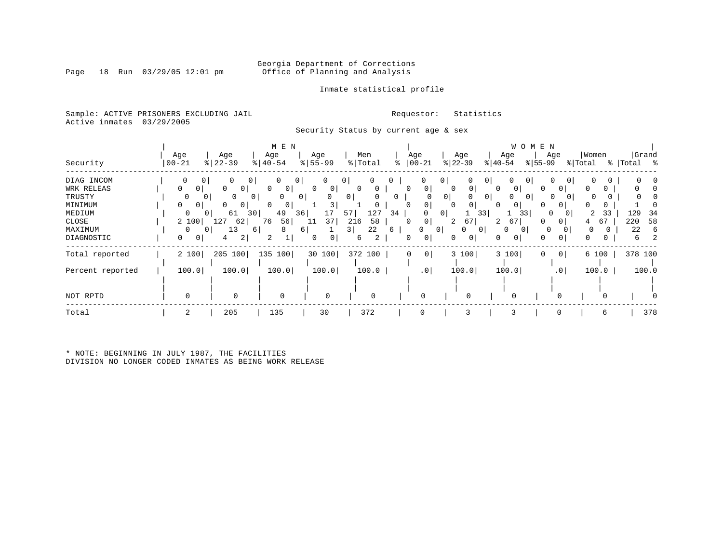Page 18 Run  $03/29/05$  12:01 pm

### Inmate statistical profile

Sample: ACTIVE PRISONERS EXCLUDING JAIL **Requestor:** Statistics Active inmates 03/29/2005

Security Status by current age & sex

|                  |           |                            | M E N                          |                        |                     |                     |                     |                     | W O M E N           |                     |            |
|------------------|-----------|----------------------------|--------------------------------|------------------------|---------------------|---------------------|---------------------|---------------------|---------------------|---------------------|------------|
|                  | Age       | Age                        | Age                            | Age                    | Men                 | Age                 | Age                 | Age                 | Age                 | Women               | Grand      |
| Security         | $00 - 21$ | $\frac{8}{22} - 39$        | $\frac{1}{6}$   40-54          | $\frac{8}{55}$ 55 - 99 | % Total             | $ 00 - 21$<br>፠     | $ 22-39$            | $ 40-54$            | $ 55-99$            | % Total             | % Total %  |
| DIAG INCOM       | 0         | 0<br>0<br>0                | $\mathbf 0$<br>0               | 0                      | 0 <sup>1</sup><br>0 | 0                   | $\overline{0}$      | 0<br>0              | 0                   | 0<br>$\circ$        |            |
| WRK RELEAS       | 0<br>0    | 0<br>0                     | $\Omega$<br>$\mathbf{0}$       | 0<br>0                 |                     | 0<br>O              | $\circ$<br>$\Omega$ | 0 <sup>1</sup>      | 0                   | $\Omega$            |            |
| TRUSTY           | $\Omega$  | <sup>0</sup><br>0<br>0     | <sup>0</sup><br>0 <sup>1</sup> |                        | 0                   | 0                   | 0                   | $\overline{0}$<br>O | $\overline{0}$      |                     |            |
| MINIMUM          | 0<br>0    | 0<br>0                     | $\Omega$<br>$\mathbf{0}$       | 3                      |                     | 0                   | 0<br>$\Omega$       | 0                   | 0                   | $\Omega$            |            |
| MEDIUM           | $\Omega$  | 61<br>30 <sup>1</sup><br>0 | 49<br>36                       | 17                     | 127<br>57<br>34     | $\Omega$            | 0 <sup>1</sup>      | 33                  | 33<br>$\Omega$      | 33<br>2<br>$\Omega$ | 129<br>-34 |
| CLOSE            | 2 100     | 127<br>62                  | 56<br>76                       | 37<br>11               | 216<br>58           | 0<br>0              | 67<br>2             | 2<br>67             | 0                   | 67<br>4             | 220<br>58  |
| MAXIMUM          | $\Omega$  | 13<br>0<br>6               | 8                              | 6                      | 3 <br>22<br>6       | 0                   | $\Omega$<br>01      | $\Omega$<br>0       | $\circ$<br>0        | 0                   | 22<br>6    |
| DIAGNOSTIC       | 0<br>0    | 2<br>4                     | 2                              | 0<br>0                 | 2<br>6              | 0<br>0              | $\mathbf 0$<br>0    | 01                  | 0<br>0              | 0<br>0              | 6          |
| Total reported   | 2 100     | 205 100                    | 135<br>100                     | 30 100                 | 372 100             | 0 <sup>1</sup><br>0 | 3 100               | 3 100               | 0 <sup>1</sup><br>0 | 6 100               | 378 100    |
| Percent reported | 100.0     | 100.0                      | 100.0                          | 100.0                  | 100.0               | .0 <sub>1</sub>     | 100.0               | 100.0               | $\cdot$ 0           | 100.0               | 100.0      |
|                  |           |                            |                                |                        |                     |                     |                     |                     |                     |                     |            |
| NOT RPTD         |           | 0                          | $\mathbf 0$                    |                        | $\Omega$            |                     | $\Omega$            |                     |                     |                     |            |
| Total            | 2         | 205                        | 135                            | 30                     | 372                 |                     | 3                   |                     | <sup>0</sup>        | 6                   | 378        |

\* NOTE: BEGINNING IN JULY 1987, THE FACILITIES DIVISION NO LONGER CODED INMATES AS BEING WORK RELEASE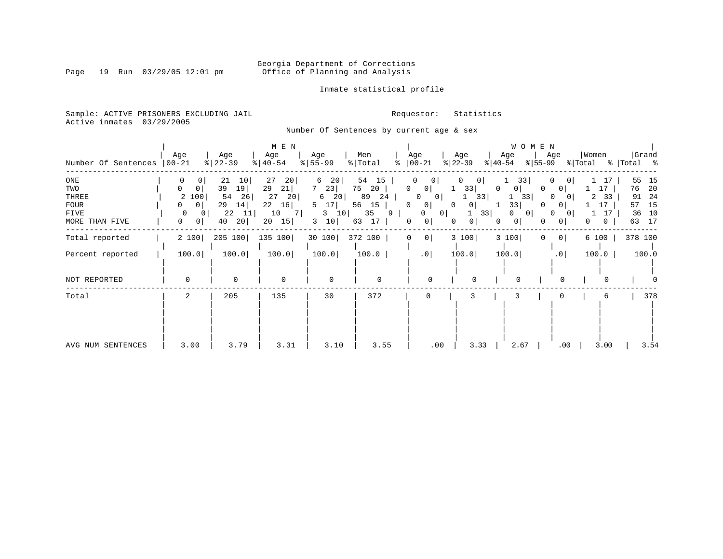Inmate statistical profile

Sample: ACTIVE PRISONERS EXCLUDING JAIL **Requestor:** Statistics Active inmates 03/29/2005

Number Of Sentences by current age & sex

| Number Of Sentences                                                 | Age<br>$ 00-21$                                                  | Age<br>$8   22 - 39$                                                   | M E N<br>Age<br>$8   40 - 54$                                        | Age<br>$8 55-99$                                                | Men<br>% Total                                                      | Age<br>$8   00 - 21$                                                                                                                  | Age<br>$ 22-39 $                                                                               | W O M E N<br>Age<br>$ 55-99$<br>$ 40-54 $              | Age                                                                                                                | Women<br>% Total                               | Grand<br>%   Total %                                              |
|---------------------------------------------------------------------|------------------------------------------------------------------|------------------------------------------------------------------------|----------------------------------------------------------------------|-----------------------------------------------------------------|---------------------------------------------------------------------|---------------------------------------------------------------------------------------------------------------------------------------|------------------------------------------------------------------------------------------------|--------------------------------------------------------|--------------------------------------------------------------------------------------------------------------------|------------------------------------------------|-------------------------------------------------------------------|
| ONE<br>TWO<br>THREE<br><b>FOUR</b><br><b>FIVE</b><br>MORE THAN FIVE | 0<br>$\Omega$<br>0<br>2 100<br>0<br>0<br>$\circ$<br>0<br>$\circ$ | 21<br>10 <br>39<br>19<br>54<br>26<br>29<br>14<br>22<br>11<br>20 <br>40 | 27<br>20 <br>29<br>21<br>27<br>20<br>22<br>16<br>10<br>7<br>15<br>20 | 6<br>20<br>23<br>20<br>6<br>5<br>17 <br>$3 \quad 10$<br>10<br>3 | 54<br>15<br>75<br>20<br>89<br>24<br>56<br>15<br>35<br>9<br>17<br>63 | $\mathbf{0}$<br>$\Omega$<br>0<br>0 <sup>1</sup><br>0<br>0 <sup>1</sup><br>0<br>$\overline{0}$<br>0<br> 0 <br>0<br>$\overline{0}$<br>0 | 0<br>0 <sup>1</sup><br>33<br>$\Omega$<br>33<br>1<br> 0 <br>1<br>33<br>0 <sup>1</sup><br>0<br>0 | 33<br>0<br>0<br>33<br>33<br>$\Omega$<br> 0 <br>$\circ$ | $\Omega$<br>$\circ$<br>0 <sup>1</sup><br>$\Omega$<br>$\Omega$<br>0 <sup>1</sup><br>0<br>$\Omega$<br>0 <sup>1</sup> | 17<br>17<br>2<br>33<br>17<br>0<br>$\mathbf{0}$ | 55<br>15<br>20<br>76<br>91 24<br>15<br>57<br>10<br>36<br>17<br>63 |
| Total reported                                                      | 2 100                                                            | 205 100                                                                | 135 100                                                              | 30 100                                                          | 372 100                                                             | 0 <br>0                                                                                                                               | 3 100                                                                                          | 3 100<br>$\mathbf{0}$                                  | 0 <sup>1</sup>                                                                                                     | 6 100                                          | 378 100                                                           |
| Percent reported                                                    | 100.0                                                            | 100.0                                                                  | 100.0                                                                | 100.0                                                           | 100.0                                                               | $.0$                                                                                                                                  | 100.0                                                                                          | 100.0                                                  | .0                                                                                                                 | 100.0                                          | 100.0                                                             |
| NOT REPORTED                                                        | $\Omega$                                                         | $\mathbf 0$                                                            | $\mathbf 0$                                                          | $\mathbf 0$                                                     | $\mathbf 0$                                                         | $\Omega$                                                                                                                              | $\Omega$                                                                                       |                                                        | $\Omega$                                                                                                           |                                                |                                                                   |
| Total                                                               | $\overline{2}$                                                   | 205                                                                    | 135                                                                  | 30                                                              | 372                                                                 | 0                                                                                                                                     |                                                                                                |                                                        |                                                                                                                    |                                                | 378                                                               |
| AVG NUM SENTENCES                                                   | 3.00                                                             | 3.79                                                                   | 3.31                                                                 | 3.10                                                            | 3.55                                                                | .00                                                                                                                                   | 3.33                                                                                           | 2.67                                                   | .00                                                                                                                | 3.00                                           | 3.54                                                              |

Page 19 Run 03/29/05 12:01 pm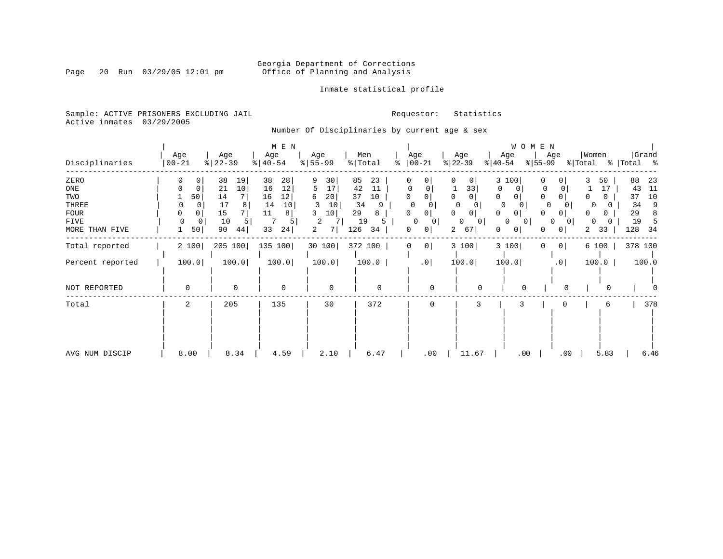# Georgia Department of Corrections<br>Page 20 Run 03/29/05 12:01 pm office of Planning and Analysis Office of Planning and Analysis

Inmate statistical profile

Sample: ACTIVE PRISONERS EXCLUDING JAIL **Requestor:** Statistics Active inmates 03/29/2005

# Number Of Disciplinaries by current age & sex

| Disciplinaries                                                                | Age<br>$ 00 - 21$                                                                       | Age<br>$ 22-39 $                                                                      | M E N<br>Age<br>$ 40-54 $                                                | Age<br>$8 55-99$                                                   | Men<br>% Total<br>ిం                                                      | Age<br>$ 00-21$                                                                                                     | Age<br>$ 22-39 $                                                                       | WOMEN<br>Age<br>$ 40-54 $                                                           | Age<br>$ 55-99 $                                                                              | Women<br>% Total<br>፟፟፟  | Grand<br>Total %                                                          |
|-------------------------------------------------------------------------------|-----------------------------------------------------------------------------------------|---------------------------------------------------------------------------------------|--------------------------------------------------------------------------|--------------------------------------------------------------------|---------------------------------------------------------------------------|---------------------------------------------------------------------------------------------------------------------|----------------------------------------------------------------------------------------|-------------------------------------------------------------------------------------|-----------------------------------------------------------------------------------------------|--------------------------|---------------------------------------------------------------------------|
| ZERO<br>$_{\rm ONE}$<br>TWO<br>THREE<br><b>FOUR</b><br>FIVE<br>MORE THAN FIVE | 0<br>0 <sup>1</sup><br>$\Omega$<br>0<br>50<br>0<br>0<br>$\Omega$<br>$\Omega$<br>0<br>50 | 38<br>19<br>10<br>21<br>$7\phantom{.0}$<br>14<br>17<br>8<br>15<br>10<br>5<br>90<br>44 | 38<br>28<br>16<br>12<br>12<br>16<br>14<br>10<br>11<br>8<br>5<br>33<br>24 | 9<br>30<br>17<br>5<br>20<br>6<br>10<br>3<br>10<br>3<br>2<br>2<br>7 | 85<br>23<br>42<br>11<br>37<br>10<br>34<br>9<br>29<br>8<br>19<br>34<br>126 | 0<br>$\Omega$<br>$\Omega$<br>$\Omega$<br>$\Omega$<br>$\Omega$<br>$\Omega$<br>0<br>0<br>0<br>$\Omega$<br>0<br>0<br>0 | $\Omega$<br>0 <sup>1</sup><br>33<br>0<br>$\Omega$<br>0<br>0<br>$\mathbf{0}$<br>67<br>2 | 3 100<br>0<br>0<br>$\Omega$<br>0<br>$\Omega$<br>$\Omega$<br>0<br>0<br> 0 <br>0<br>0 | 0<br>0<br>$\mathbf{0}$<br>0<br>0<br>0<br>0<br>0<br>0<br>0 <sup>1</sup><br>0 <sup>1</sup><br>0 | 50<br>17<br>O<br>33<br>2 | 88<br>23<br>43<br>11<br>10<br>37<br>34<br>9<br>29<br>8<br>19<br>128<br>34 |
| Total reported<br>Percent reported                                            | 2 100<br>100.0                                                                          | 205 100<br>100.0                                                                      | 135 100<br>100.0                                                         | 30 100<br>100.0                                                    | 372 100<br>100.0                                                          | 0 <sup>1</sup><br>0<br>.0 <sub>1</sub>                                                                              | 3 100<br>100.0                                                                         | 3 100<br>100.0                                                                      | 0 <sup>1</sup><br>0<br>.0 <sub>1</sub>                                                        | 6 100<br>100.0           | 378 100<br>100.0                                                          |
| NOT REPORTED                                                                  | $\mathbf 0$                                                                             | $\mathbf 0$                                                                           | $\mathbf 0$                                                              | $\mathbf 0$                                                        | $\mathsf 0$                                                               | $\Omega$                                                                                                            | $\Omega$                                                                               | $\mathbf 0$                                                                         | $\overline{0}$                                                                                | 0                        |                                                                           |
| Total                                                                         | 2                                                                                       | 205                                                                                   | 135                                                                      | 30                                                                 | 372                                                                       | $\Omega$                                                                                                            | 3                                                                                      | 3                                                                                   | 0                                                                                             | 6                        | 378                                                                       |
| AVG NUM DISCIP                                                                | 8.00                                                                                    | 8.34                                                                                  | 4.59                                                                     | 2.10                                                               | 6.47                                                                      | .00                                                                                                                 | 11.67                                                                                  | .00                                                                                 | .00                                                                                           | 5.83                     | 6.46                                                                      |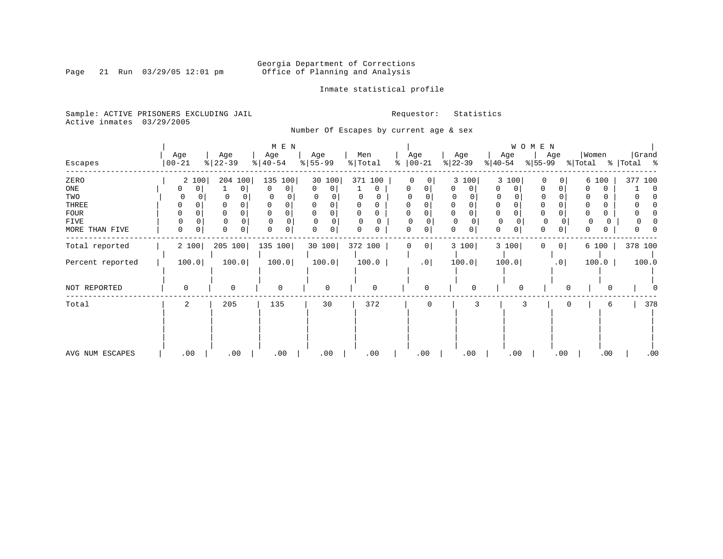Inmate statistical profile

Sample: ACTIVE PRISONERS EXCLUDING JAIL **Requestor:** Statistics Active inmates 03/29/2005

Number Of Escapes by current age & sex

|                  |            |                  | $M$ E $N$ |                        |                     |                            |                              |                  | W O M E N     |                   |                |
|------------------|------------|------------------|-----------|------------------------|---------------------|----------------------------|------------------------------|------------------|---------------|-------------------|----------------|
|                  | Age        | Age              | Age       | Age                    | Men                 | Age                        | Age                          | Age              | Age           | Women             | Grand          |
| Escapes          | $ 00 - 21$ | $ 22-39 $        | $ 40-54 $ | $\frac{8}{55}$ 55 - 99 | $\frac{1}{2}$ Total | နွ<br>$ 00-21$             | $ 22-39 $                    | $ 40-54 $        | $ 55-99 $     | % Total           | %   Total %    |
| ZERO             | 2 100      | 204 100          | 135 100   | 30 100                 | 371 100             | $\Omega$<br>0 <sup>1</sup> | 3 100                        | 3 100            | $\Omega$<br>0 | 6 100             | 377 100        |
| ONE              | 0<br>0     | $\mathbf{0}$     | 0<br>0    | $\mathbf{0}$<br>0      | 0                   | 0<br>$\Omega$              | 0                            | 0<br>0           | 0             | 0                 | $\overline{0}$ |
| TWO              |            | $\Omega$         |           |                        | 0<br>0              |                            | 0                            | 0                |               |                   |                |
| THREE            | 0          |                  |           |                        |                     |                            | 0                            | 0                |               | $\Omega$          |                |
| FOUR             |            | 0                |           |                        |                     |                            |                              | $\mathbf 0$      |               | 0                 |                |
| FIVE             | $\Omega$   |                  | $\Omega$  |                        | $\Omega$            | O                          | $\mathbf{0}$<br><sup>0</sup> | 0                | 0             | 0                 |                |
| MORE THAN FIVE   | 0<br>0     | $\mathbf 0$<br>0 | 0<br>0    | 0<br>0                 | 0                   | 0<br>0                     | $\mathbf 0$<br>0             | $\mathbf 0$<br>0 | 0<br>0        | 0<br>0            |                |
| Total reported   | 2 100      | 205 100          | 135 100   | 30 100                 | 372 100             | 0 <br>0                    | 3 100                        | 3 100            | $\circ$<br>0  | 6 100             | 378 100        |
| Percent reported | 100.0      | 100.0            | 100.0     | 100.0                  | 100.0               | .0                         | 100.0                        | 100.0            | .0            | 100.0             | 100.0          |
|                  |            |                  |           |                        |                     |                            |                              |                  |               |                   |                |
| NOT REPORTED     | $\Omega$   | $\mathbf 0$      | $\Omega$  | 0                      | $\mathbf 0$         | $\Omega$                   | $\Omega$                     | $\Omega$         |               | 0<br><sup>0</sup> |                |
| Total            | 2          | 205              | 135       | 30                     | 372                 | $\Omega$                   | 3                            |                  | 3             | 0<br>6            | 378            |
|                  |            |                  |           |                        |                     |                            |                              |                  |               |                   |                |
|                  |            |                  |           |                        |                     |                            |                              |                  |               |                   |                |
|                  |            |                  |           |                        |                     |                            |                              |                  |               |                   |                |
| AVG NUM ESCAPES  | .00        | .00              | .00       | .00                    | .00                 | .00                        | .00                          | .00              | .00           | .00               | $.00 \,$       |

Page 21 Run 03/29/05 12:01 pm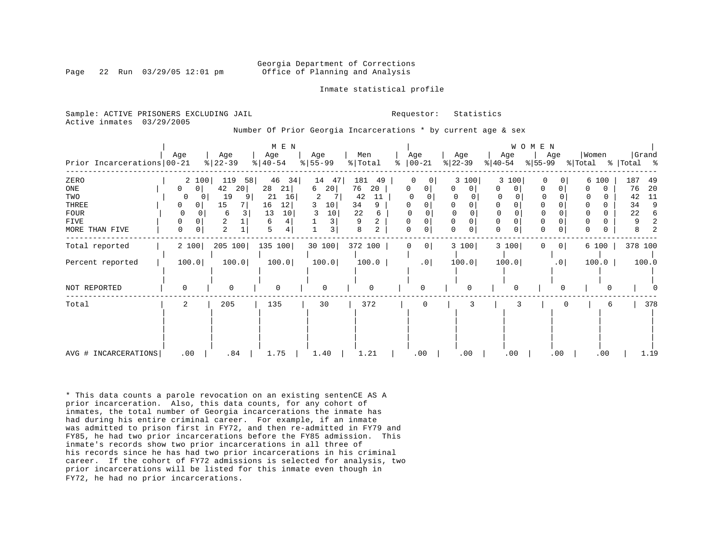#### Georgia Department of Corrections Page 22 Run 03/29/05 12:01 pm Office of Planning and Analysis

Inmate statistical profile

Sample: ACTIVE PRISONERS EXCLUDING JAIL **Requestor:** Statistics Active inmates 03/29/2005

Number Of Prior Georgia Incarcerations \* by current age & sex

|                            |               |           | M E N     |                        |                     |                            |                   |                  | WOMEN           |          |             |
|----------------------------|---------------|-----------|-----------|------------------------|---------------------|----------------------------|-------------------|------------------|-----------------|----------|-------------|
|                            | Age           | Age       | Age       | Age                    | Men                 | Age                        | Age               | Age              | Age             | Women    | Grand       |
| Prior Incarcerations 00-21 |               | $ 22-39 $ | $ 40-54 $ | $\frac{8}{55}$ 55 - 99 | % Total             | $ 00-21$<br>ႜ              | $ 22-39 $         | $ 40-54 $        | $ 55-99 $       | % Total  | %   Total % |
| ZERO                       | 2 100         | 119<br>58 | 46 34     | 14<br>47               | 181<br>49           | $\Omega$<br>$\overline{0}$ | 3 100             | 3 100            | $\circ$         | 6 100    | 187<br>49   |
| ONE                        | 0<br>0        | 42<br>20  | 28<br>21  | 6<br>20                | 76<br>20            | 0<br>0                     | <sup>0</sup><br>0 | 0<br>O           | 0               | 0        | 76<br>20    |
| TWO                        | 0             | 19        | 21<br>16  | 2                      | 42<br>11            |                            |                   |                  |                 |          | 11<br>42    |
| THREE                      | 0<br>0        | 15        | 16<br> 12 | 10<br>3                | 34<br>9             | 0                          |                   | 0                |                 |          | 34<br>9     |
| <b>FOUR</b>                | 0             | 6         | 10<br>13  | 10                     | 22<br>6             |                            |                   |                  |                 |          | 22<br>6     |
| FIVE                       | $\Omega$<br>0 | 2         | 6         |                        |                     |                            |                   | 0                |                 |          |             |
| MORE THAN FIVE             | 0<br>0        | 2         | 5         | 3                      | 8<br>$\overline{2}$ | 0<br>0                     |                   | $\mathbf 0$<br>0 | $\mathbf 0$     | O        |             |
| Total reported             | 2 100         | 205 100   | 135 100   | 30 100                 | 372 100             | 0 <br>0                    | 3 100             | 3 100            | $\circ$         | 6 100    | 378 100     |
| Percent reported           | 100.0         | 100.0     | 100.0     | 100.0                  | 100.0               | .0                         | 100.0             | 100.0            | .0 <sub>1</sub> | 100.0    | 100.0       |
| NOT REPORTED               | $\Omega$      | $\Omega$  | $\Omega$  | 0                      | 0                   | $\Omega$                   |                   | $\Omega$         |                 | $\Omega$ |             |
| Total                      | 2             | 205       | 135       | 30                     | 372                 | 0                          | 3                 |                  |                 | 6        | 378         |
|                            |               |           |           |                        |                     |                            |                   |                  |                 |          |             |
| AVG # INCARCERATIONS       | .00           | .84       | 1.75      | 1.40                   | 1.21                | .00                        | .00               | .00              | .00             | .00      | 1.19        |

\* This data counts a parole revocation on an existing sentenCE AS A prior incarceration. Also, this data counts, for any cohort of inmates, the total number of Georgia incarcerations the inmate has had during his entire criminal career. For example, if an inmate was admitted to prison first in FY72, and then re-admitted in FY79 and FY85, he had two prior incarcerations before the FY85 admission. This inmate's records show two prior incarcerations in all three of his records since he has had two prior incarcerations in his criminal career. If the cohort of FY72 admissions is selected for analysis, two prior incarcerations will be listed for this inmate even though in FY72, he had no prior incarcerations.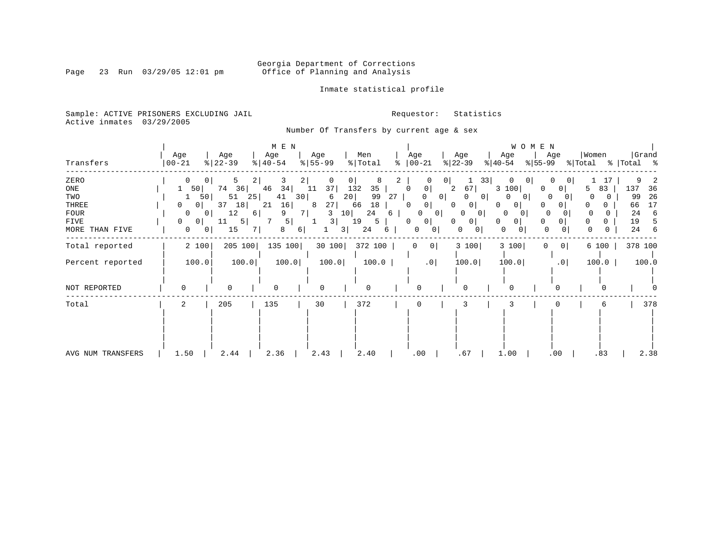Inmate statistical profile

Sample: ACTIVE PRISONERS EXCLUDING JAIL **Requestor:** Statistics Active inmates 03/29/2005

Number Of Transfers by current age & sex

|                   | Age                 | Age       | M E N<br>Age | Age                  | Men          | Age                 | Age                 | WOMEN<br>Age           | Women<br>Age              | Grand        |
|-------------------|---------------------|-----------|--------------|----------------------|--------------|---------------------|---------------------|------------------------|---------------------------|--------------|
| Transfers         | $ 00 - 21$          | $ 22-39 $ | $ 40-54 $    | $8 55-99$            | % Total<br>ႜ | $ 00-21$            | $ 22-39 $           | $ 40-54 $<br>$ 55-99 $ | % Total                   | %   Total %  |
| ZERO              | 0<br>$\mathbf{0}$   | 5<br>2    | 2 <br>3      | 0                    | 8            | 0 <sup>1</sup>      | 33                  |                        | $\overline{0}$            |              |
| ONE               | 50                  | 74<br>36  | 46<br>34     | 37<br>11             | 132<br>35    | $\Omega$<br>0       | 2<br>67             | 3 100                  | 83<br>$\overline{0}$<br>5 | 137<br>36    |
| TWO               | 50                  | 51<br>25  | 41<br>30     | 20<br>6              | 99<br>27     | 0 <sup>1</sup><br>0 | 0                   | 0<br>$\Omega$          | $\Omega$                  | 26<br>99     |
| THREE             | 0 <sup>1</sup><br>0 | 37<br>18  | 21<br>16     | 27<br>8              | 18<br>66     | $\circ$<br>0        | 0<br>0              | 0<br>0                 | 0                         | 17<br>66     |
| <b>FOUR</b>       | 0<br>0 <sup>1</sup> | 12<br>6   | 9<br>7 I     | 3<br>10 <sub>1</sub> | 24<br>6      | 0<br>$\overline{0}$ | 0<br>0              | $\Omega$<br>$\sigma$   |                           | 24<br>6      |
| FIVE              | 0<br>0              | 5 <br>11  | 5            | 3                    | 19<br>5      | $\mathbf{0}$<br>0   | $\overline{0}$<br>0 | 0<br>0<br>0            | 0<br>0<br>$\Omega$        | 19           |
| MORE THAN FIVE    | 0<br>0              | 15        | 8<br>6       | 31                   | 24<br>6      | 0<br>0              | 0<br>0              | $\Omega$<br>0<br>0     | 0<br>0                    | 24<br>6<br>0 |
| Total reported    | 2 100               | 205 100   | 135 100      | 30100                | 372 100      | 0 <sup>1</sup><br>0 | 3 100               | 3 100<br>0             | 6 100<br>$\overline{0}$   | 378 100      |
| Percent reported  | 100.0               | 100.0     | 100.0        | 100.0                | 100.0        | .0                  | 100.0               | 100.0                  | .0<br>100.0               | 100.0        |
| NOT REPORTED      | $\Omega$            | $\Omega$  | $\Omega$     | <sup>0</sup>         |              | $\Omega$            | U                   |                        | n                         |              |
| Total             | 2                   | 205       | 135          | 30                   | 372          | 0                   | 3                   |                        | 6                         | 378          |
|                   |                     |           |              |                      |              |                     |                     |                        |                           |              |
| AVG NUM TRANSFERS | 1.50                | 2.44      | 2.36         | 2.43                 | 2.40         | .00                 | .67                 | 1.00                   | .00<br>.83                | 2.38         |

Page 23 Run 03/29/05 12:01 pm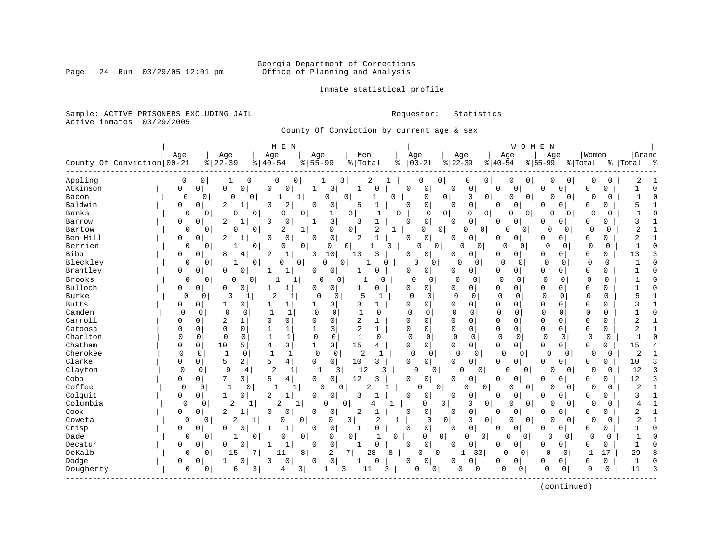# Georgia Department of Corrections<br>Page 24 Run 03/29/05 12:01 pm office of Planning and Analysis Office of Planning and Analysis

Inmate statistical profile

Sample: ACTIVE PRISONERS EXCLUDING JAIL **Requestor:** Statistics Active inmates 03/29/2005

County Of Conviction by current age & sex

|              |                            |                |                |                |                | M E N                        |                |             |                         |                |          |              |                               |                |              |                |                      | WOMEN          |              |                |              |              |                |              |
|--------------|----------------------------|----------------|----------------|----------------|----------------|------------------------------|----------------|-------------|-------------------------|----------------|----------|--------------|-------------------------------|----------------|--------------|----------------|----------------------|----------------|--------------|----------------|--------------|--------------|----------------|--------------|
|              |                            | Age            |                | Age            |                | Age                          | Age            |             | Men                     |                |          | Age          |                               | Age            |              |                | Age                  |                | Age          |                | Women        |              | Grand          |              |
|              | County Of Conviction 00-21 |                |                | $ 22-39$       |                | $8   40 - 54$                | $8 55-99$      |             | % Total                 |                | နွ       | $ 00 - 21$   |                               | $ 22-39$       |              | $ 40-54$       |                      | $ 55-99$       |              |                | % Total      |              | %   Total      | း -          |
| Appling      |                            | 0              | $\mathbf 0$    | 1              | 0              | 0                            | 0              | 1           | 3                       | 2              |          | 0            | 0                             |                | 0            | $\overline{0}$ | 0                    | 0              | 0            | 0              | 0            | 0            | 2              |              |
| Atkinson     |                            | 0              | 0 <sup>1</sup> | 0              | 0              | $\mathbf 0$<br>0             |                | 3           | 1                       | 0              |          | $\Omega$     | 0                             | 0              | 0            | $\Omega$       | 0                    |                | 0            | $\Omega$       | 0            | 0            |                | $\mathbf 0$  |
| Bacon        |                            | $\overline{0}$ | 0              | $\Omega$       | 0              | 1                            | 1              | 0           | 0                       |                | $\Omega$ |              | 0                             | 0 <sup>1</sup> | 0            | 0              | $\mathbf 0$          | 0              | $\Omega$     | 0              | $\Omega$     | 0            | 1              | $\Omega$     |
| Baldwin      |                            | $\Omega$       | $\mathbf 0$    | $\overline{c}$ | 1              | 2<br>3                       | $\Omega$       | 0           | 5                       | $\mathbf{1}$   |          | $\Omega$     | 0                             | $\Omega$       | 0            | <sup>0</sup>   | 0                    |                | O            | $\Omega$       | $\Omega$     | $\Omega$     | 5              | 1            |
| Banks        |                            | 0              | $\Omega$       | O              | 0              | 0                            | $\mathbf 0$    | 1           | $\overline{\mathbf{3}}$ |                | $\Omega$ |              | 0                             | 0              | $\Omega$     | 0              | 0                    | 0              | $\Omega$     | 0              | O            | O            |                | $\Omega$     |
| Barrow       |                            | $\Omega$       | $\Omega$       | 2              |                | $\Omega$<br>$\Omega$         | 1              | 3           | 3                       |                |          | $\Omega$     | $\mathbf 0$                   | $\Omega$       | 0            | $\Omega$       | $\Omega$             |                | O            | 0              | $\Omega$     | $\Omega$     | ζ              |              |
| Bartow       |                            | 0              | $\mathbf{0}$   | 0              | $\overline{0}$ | 2                            | 1              | 0           | $\overline{0}$          | $\overline{2}$ | 1        |              | 0<br>0                        |                | 0<br>U       |                | $\Omega$             | 0 <sup>1</sup> | $\Omega$     | $\mathbf 0$    | $\Omega$     | $\Omega$     | 2              |              |
| Ben Hill     |                            | 0              | 0              | 2<br>1         |                | 0<br>0                       | 0              | 0           | 2                       | $\mathbf{1}$   |          | $\Omega$     | $\mathbf 0$                   | 0              | 0            | 0              | 0                    |                | 0            | $\overline{0}$ | 0            | 0            | $\overline{2}$ |              |
| Berrien      |                            | $\mathbf 0$    | $\Omega$       | 1              | $\Omega$       | 0                            | $\overline{0}$ | 0           | $\Omega$                | 1              | O        | 0            | $\mathbf{0}$                  | $\Omega$       | 0            |                | O                    | 0              | $\Omega$     | 0              | 0            | $\Omega$     | $\mathbf{1}$   | $\Omega$     |
| <b>Bibb</b>  |                            | 0              | $\mathbf 0$    | 8              | 4              | $\mathbf 1$<br>2             | 3              | 10          | 13                      | 3              |          | $\Omega$     | 0                             | O              | 0            | 0              | 0                    |                | 0            | 0              | 0            | 0            | 13             | 3            |
| Bleckley     |                            | $\mathbf 0$    | $\Omega$       | 1              | 0              | 0                            | 0 <sup>1</sup> | 0           | $\Omega$                | -1             | O        | $\Omega$     | $\Omega$                      | $\Omega$       | $\Omega$     |                | $\Omega$<br>$\Omega$ |                | $\mathbf 0$  | 0              | $\Omega$     | $\mathbf 0$  |                | $\Omega$     |
| Brantley     |                            | 0              | $\Omega$       | 0              | $\Omega$       | $\mathbf 1$                  | 0              | $\mathbf 0$ |                         | $\Omega$       |          | 0            | 0                             | 0              | 0            | 0              | 0                    |                | 0            | $\Omega$       | $\Omega$     | $\Omega$     |                | U            |
| Brooks       |                            | 0              | 0              | O              | 0              |                              | 1              | 0<br>C      |                         | 0              |          | $\Omega$     | 0                             | O              | 0            | $\mathbf 0$    | 0                    |                | $\Omega$     | 0              | $\Omega$     | 0            |                |              |
| Bulloch      |                            | 0              | 0              | 0              | 0              | 1<br>1                       | 0              | 0           | 1                       | 0              |          | 0            | $\mathbf 0$                   | 0              | 0            | $\mathbf 0$    | 0                    |                | 0            | 0              | $\Omega$     | $\Omega$     |                | O            |
| Burke        |                            | $\Omega$       | 0              | 3              | 1              | 2<br>1                       | $\Omega$       | $\Omega$    | 5                       | -1             |          | $\Omega$     | 0                             | $\mathbf 0$    | $\Omega$     | $\mathbf 0$    | $\mathbf 0$          |                | $\mathbf 0$  | $\Omega$       | $\mathbf 0$  | 0            |                | $\mathbf{1}$ |
| <b>Butts</b> |                            | 0              | 0              | 1              | 0              | 1                            | 1              | 3           | 3                       | 1              |          | $\Omega$     | 0                             | 0              | 0            | $\mathbf 0$    | 0                    |                | 0            | $\Omega$       | $\Omega$     | $\Omega$     |                | 1            |
| Camden       |                            | $\Omega$       | 0              | $\mathbf 0$    | 0              | $\mathbf{1}$<br>-1           | $\Omega$       | $\Omega$    | $\mathbf{1}$            | 0              |          | $\cap$       | 0                             | $\mathbf 0$    | $\Omega$     | $\mathbf 0$    | 0                    |                | $\Omega$     | $\Omega$       | $\mathbf 0$  | <sup>0</sup> |                | $\Omega$     |
| Carroll      |                            | 0              | $\Omega$       | $\overline{c}$ | 1              | 0<br>$\Omega$                | $\Omega$       | $\Omega$    | 2                       | 1              |          | $\Omega$     | $\Omega$                      | $\mathbf 0$    | 0            | $\mathbf 0$    | $\Omega$             |                | $\Omega$     | $\Omega$       | $\Omega$     | $\Omega$     | $\overline{2}$ | 1            |
| Catoosa      |                            | 0              | 0              | $\mathbf 0$    | $\Omega$       | 1                            |                | 3           | 2                       | $\mathbf{1}$   |          | 0            | $\Omega$                      | 0              | 0            | 0              | $\mathbf 0$          |                | 0            | $\mathbf 0$    | 0            | 0            | $\overline{2}$ |              |
| Charlton     |                            | $\Omega$       | $\mathbf 0$    | $\mathbf 0$    | $\Omega$       | $\mathbf{1}$<br>$\mathbf{1}$ | $\mathbf 0$    | $\mathbf 0$ | $\mathbf{1}$            | $\Omega$       |          | $\Omega$     | $\mathbf 0$                   | $\Omega$       | $\Omega$     | $\mathbf 0$    | 0                    |                | $\mathbf 0$  | $\mathbf 0$    | $\mathbf 0$  | $\mathbf 0$  | $\mathbf{1}$   | $\Omega$     |
| Chatham      |                            | 0              | 0              | 10             | 5              | 3<br>4                       | 1              | 3           | 15                      | 4              |          | $\Omega$     | $\mathbf 0$                   | 0              | 0            | 0              | 0                    |                | 0            | 0              | 0            | 0            | 15             |              |
| Cherokee     |                            | $\Omega$       | 0              | $\mathbf{1}$   | $\mathbf 0$    | $\mathbf{1}$<br>$\mathbf{1}$ | $\mathbf 0$    | $\mathbf 0$ | 2                       | $\mathbf{1}$   |          | $\mathbf 0$  | 0                             | $\Omega$       | $\Omega$     |                | $\mathbf 0$          | 0              | <sup>0</sup> | 0              | $\Omega$     | $\mathbf 0$  | $\overline{2}$ |              |
| Clarke       |                            | 0              | 0              | 5              | 2              | 5<br>4 <sup>1</sup>          | $\Omega$       | $\mathbf 0$ | 10                      | 3              |          | $\Omega$     | $\Omega$                      | $\Omega$       | 0            | $\Omega$       | $\Omega$             |                | 0            | $\Omega$       | $\Omega$     | $\Omega$     | 10             | 3            |
| Clayton      |                            | $\mathbf 0$    | $\mathbf 0$    | 9              | 4              | $\overline{2}$<br>1          |                | 3<br>1      | 12                      | 3              |          | $\Omega$     | 0 <sup>1</sup>                | $\Omega$       | 0            |                | 0                    | $\mathbf{0}$   | 0            | 0              | $\Omega$     | 0            | 12             | 3            |
| Cobb         |                            | 0              | $\overline{0}$ | 7              | 3              | 5<br>4                       | 0              | 0           | 12                      | 3              |          | $\Omega$     | 0                             | 0              | 0            | 0              | 0                    |                | 0            | 0              | 0            | 0            | 12             | 3            |
| Coffee       |                            | $\mathbf 0$    | 0              | $\mathbf{1}$   | 0              | $\mathbf{1}$                 | 1              | $\Omega$    | 0                       | $\overline{2}$ |          | $\mathbf 0$  | 0 <sup>1</sup>                |                | <sup>0</sup> | 0              | $\mathbf 0$          | 0              | 0            | 0              | $\Omega$     | 0            | 2              | $\mathbf{1}$ |
| Colquit      |                            | 0              | 0              | 1              | 0              | 2<br>1                       | 0              | 0           | 3                       | -1             |          | <sup>0</sup> | 0                             | $\Omega$       | 0            | 0              | 0                    |                | 0            | $\Omega$       | 0            | 0            | 3              | $\mathbf{1}$ |
| Columbia     |                            | $\Omega$       | 0              | 2              |                | 2                            | 1              | 0           | $\mathbf 0$             | 4              |          |              | 0                             | 0              | 0            | 0              | 0                    | 0              | O            | 0              | $\Omega$     | 0            | 4              | 1            |
| Cook         |                            | 0              | 0              | 2              |                | 0<br>0                       | 0              | 0           | 2                       |                |          | $\Omega$     | 0                             | $\Omega$       | 0            | <sup>0</sup>   | 0                    |                | O            | 0              | $\Omega$     | 0            | 2              |              |
| Coweta       |                            | 0              | 0              | 2              | 1              | 0                            | 0              | 0           | 0                       | 2              | 1        |              | $\mathbf 0$                   | 0 <sup>1</sup> | 0            | $\overline{0}$ | 0                    | 0              | 0            | 0              | $\Omega$     | 0            | $\overline{2}$ |              |
| Crisp        |                            | 0              | 0              | $\Omega$       | 0              | 1<br>1                       | 0              | 0           | 1                       | $\mathbf 0$    |          | $\Omega$     | 0                             | 0              | 0            | $\Omega$       | 0                    |                | 0            | 0              | 0            | 0            | $\mathbf{1}$   | O            |
| Dade         |                            | $\mathbf 0$    | $\overline{0}$ | 1              | $\mathbf{0}$   | 0                            | 0              | 0           | $\overline{0}$          | $\mathbf{1}$   | 0        |              | $\mathbf 0$<br>$\overline{0}$ |                | 0            | 0              | $\Omega$             | $\overline{0}$ | 0            | 0              | $\mathbf 0$  | 0            | $\mathbf{1}$   | $\Omega$     |
| Decatur      |                            | 0              | 0              | U              | $\Omega$       | $\mathbf{1}$                 | 0              | $\mathsf 0$ |                         | $\mathbf 0$    |          | 0            | 0                             | 0              | 0            | 0              | 0                    |                | 0            | $\overline{0}$ | 0            | 0            | 1              | $\Omega$     |
| DeKalb       |                            | $\Omega$       | $\Omega$       | 15             | 7 I            | 11                           | 8 <sup>1</sup> | 2           | 7                       | 28             | 8        | $\Omega$     | 0                             | 1              | 33           |                | U                    | 0              | $\mathbf 0$  | $\Omega$       | $\mathbf{1}$ | 17           | 29             | 8            |
| Dodge        |                            | 0              | $\Omega$       | 1              | $\Omega$       | 0<br>0                       | 0              | 0           | 1                       | $\Omega$       |          | 0            | $\mathbf 0$                   | 0              | 0            | 0              | 0                    |                | 0            | 0              | 0            | 0            | $\overline{1}$ | U            |
| Dougherty    |                            | $\mathbf 0$    | 0              | 6              | 3              | 4                            | 3              | 1           | 3                       | 11             | 3        | 0            | 0                             | 0              | 0            |                | $\mathbf 0$          | 0              | 0            | 0              | $\Omega$     | $\Omega$     | 11             | 3            |
|              |                            |                |                |                |                |                              |                |             |                         |                |          |              |                               |                |              |                |                      |                |              |                |              |              |                |              |

(continued)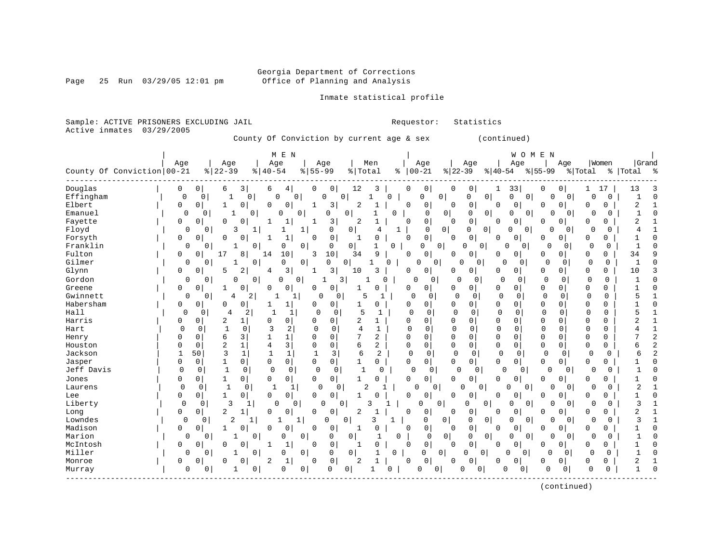Page 25 Run 03/29/05 12:01 pm

### Inmate statistical profile

Sample: ACTIVE PRISONERS EXCLUDING JAIL **Requestor:** Statistics Active inmates 03/29/2005

County Of Conviction by current age & sex (continued)

|            |                            |              |              |                     |                         | M E N             |                |                            |                |                |   |                      |                |                         |                |              | WOMEN    |              |                |             |             |              |   |
|------------|----------------------------|--------------|--------------|---------------------|-------------------------|-------------------|----------------|----------------------------|----------------|----------------|---|----------------------|----------------|-------------------------|----------------|--------------|----------|--------------|----------------|-------------|-------------|--------------|---|
|            |                            | Age          |              | Age                 |                         | Age               |                | Age                        |                | Men            |   | Age                  |                | Age                     |                |              | Age      |              | Age            |             | Women       | Grand        |   |
|            | County Of Conviction 00-21 |              |              | $8   22 - 39$       | $8   40 - 54$           |                   | $8 55-99$      |                            | % Total        |                |   | $8   00 - 21$        |                | $ 22-39 $               |                | $ 40-54 $    |          | $ 55-99$     |                | % Total     |             | % Total %    |   |
| Douglas    |                            | 0            | 0            | 6                   | 3<br>6                  | 4                 | 0              | 0                          | 12             | 3              |   | 0<br>0               |                | 0<br>0                  |                | 33           |          | 0            | 0              |             | 17          | 13           |   |
| Effingham  |                            | $\mathbf 0$  | 0            |                     | 0                       | O<br>0            |                | $\Omega$                   | 0              |                | 0 | 0                    | 0              | 0                       | $\mathbf 0$    | O            | 0        | N            | $\overline{0}$ | 0           | 0           | 1            | ſ |
| Elbert     |                            | 0            | 0            | 1                   | 0  <br>$\Omega$         | 0                 | 1              | $\overline{3}$             | 2              | -1             |   | 0<br>0               |                | $\mathbf 0$<br>$\Omega$ |                | $\Omega$     | 0        | $\Omega$     | 0              | O           | $\Omega$    | 2            |   |
| Emanuel    |                            | 0            | 0            |                     | $\Omega$                | 0                 | 0              | 0                          | 0              |                | 0 | $\Omega$             | 0              | $\Omega$                | $\overline{0}$ | U            | $\Omega$ | $\cap$       | $\overline{0}$ | $\Omega$    | $\Omega$    | -1           |   |
| Fayette    |                            | 0            | 0            | O                   | 0                       | 1                 |                | 3                          | 2              | $\mathbf{1}$   |   | 0<br>0               |                | $\mathsf 0$<br>$\Omega$ |                | 0            | 0        | 0            | 0              | 0           | 0           | 2            |   |
| Floyd      |                            | 0            | 0            | 3                   | 1                       |                   | 1              | 0                          | 0              | 4              | 1 | $\mathbf 0$          | $\circ$        | 0                       | 0              | $\mathbf{0}$ | 0        | 0            | $\Omega$       | 0           | 0           |              |   |
| Forsyth    |                            | 0            | 0            | O                   | U<br>1                  | $\mathbf{1}$      | 0              | 0                          | 1              | 0              |   | 0<br>0               |                | $\mathbf 0$<br>O        |                | 0            | 0        | O            | $\overline{0}$ | 0           | 0           |              |   |
| Franklin   |                            | 0            | 0            |                     | 0                       | 0                 | 0              | $\mathbf 0$                | 0              | 1              | 0 | 0                    | 0              | $\Omega$                | 0              | $\Omega$     | 0        | 0            | 0              | $\Omega$    | 0           |              |   |
| Fulton     |                            | $\Omega$     | 0            | 17<br>8             | 14                      | 10                | 3              | 10                         | 34             | 9              |   | 0<br>$\Omega$        |                | 0<br><sup>0</sup>       |                | $\Omega$     | 0        | 0            | 0              | 0           | 0           | 34           |   |
| Gilmer     |                            | 0            | 0            | 1                   | 0                       | 0                 | $\overline{0}$ | $\mathbf 0$                | 0 <sup>1</sup> | 1              | 0 | 0                    | 0              | U                       | 0              |              | 0        | $\Omega$     | 0              | $\mathbf 0$ | 0           | $\mathbf{1}$ |   |
| Glynn      |                            | 0            | 0            | 5                   | 2<br>4                  | 3                 | 1              | 3                          | 10             | ζ              |   | 0<br>0               |                | 0<br>O                  |                | 0            | 0        | $\mathbf{0}$ | 0              | 0           | 0           | 10           |   |
| Gordon     |                            | 0            | 0            | 0                   | 0                       | 0                 | $\mathbf 0$    | 3<br>-1                    |                | $\cap$         |   | $\Omega$             | 0              | $\cap$                  | $\Omega$       | $\Omega$     | 0        | 0            | $\Omega$       | 0           | $\mathbf 0$ |              |   |
| Greene     |                            | 0            | 0            |                     | 0<br>0                  | 0                 | 0              | 0                          | 1              | 0              |   | 0<br>0               |                | $\overline{0}$<br>0     |                | 0            | 0        | 0            | $\overline{0}$ | 0           | 0           |              |   |
| Gwinnett   |                            | 0            | $\mathbf{0}$ | 4                   | $\overline{2}$          | $\mathbf{1}$<br>1 |                | 0<br>0                     | 5              | 1              |   | $\Omega$             | 0              | $\Omega$                | 0              | $\mathbf 0$  | 0        | $\mathbf 0$  | 0              | $\mathbf 0$ | $\mathbf 0$ | 5            |   |
| Habersham  |                            | 0            | 0            | O                   | $\overline{0}$          | 1                 | 0              | 0                          | 1              | 0              |   | 0<br>$\Omega$        |                | 0<br>$\Omega$           |                | $\mathbf 0$  | 0        | $\Omega$     | 0              | 0           | 0           |              |   |
| Hall       |                            | $\Omega$     | 0            | 4                   | 2                       | 1                 | $\Omega$       | $\Omega$                   | 5              | 1              |   | $\Omega$             | $\Omega$       | 0                       | $\Omega$       | $\mathbf 0$  | 0        | $\Omega$     | 0              | $\Omega$    | $\Omega$    | 5            |   |
| Harris     |                            | 0            | 0            | $\overline{2}$<br>1 | $\Omega$                | 0                 | 0              | 0                          | 2              | $\mathbf{1}$   |   | 0<br>0               |                | 0<br>$\Omega$           |                | $\mathbf 0$  | 0        | $\Omega$     | 0              | 0           | $\mathbf 0$ | 2            |   |
| Hart       |                            | $\Omega$     | 0            |                     | 0<br>3                  | 2                 | $\Omega$       | $\Omega$                   | 4              | 1              |   | $\Omega$<br>$\Omega$ |                | $\Omega$<br>$\Omega$    |                | $\Omega$     | $\Omega$ | $\cap$       | $\Omega$       | $\Omega$    | $\Omega$    |              |   |
| Henry      |                            | 0            | 0            | 6                   | 3 <br>1                 | $\mathbf{1}$      | $\Omega$       | 0                          | 7              | 2              |   | 0<br>0               |                | $\mathbf 0$<br>$\Omega$ |                | $\mathbf 0$  | 0        | $\mathbf 0$  | $\Omega$       | 0           | 0           |              |   |
| Houston    |                            | 0            | 0            | $\overline{2}$      | $\mathbf{1}$<br>4       | 3                 | $\Omega$       | $\mathsf{O}\xspace$        | 6              | 2              |   | 0<br>0               |                | $\mathbf 0$<br>$\Omega$ |                | $\mathsf 0$  | 0        | $\mathbf 0$  | $\mathbf 0$    | 0           | 0           | 6            |   |
| Jackson    |                            | $\mathbf{1}$ | 50           | 3                   | $\mathbf{1}$<br>1       | $\mathbf{1}$      | $\mathbf{1}$   | 3                          | 6              | $\overline{2}$ |   | $\Omega$             | 0              | $\Omega$                | $\Omega$       | 0            | 0        | 0            | $\Omega$       | $\Omega$    | 0           | б            |   |
| Jasper     |                            | 0            | 0            | 1                   | $\mathbf 0$<br>0        | 0                 | $\mathbf 0$    | $\circ$                    | $\mathbf{1}$   | 0              |   | 0<br>0               |                | <sup>0</sup><br>0       |                | $\mathbf 0$  | 0        | $\mathbf 0$  | $\overline{0}$ | 0           | 0           |              |   |
| Jeff Davis |                            | $\mathbf 0$  | 0            | $\mathbf{1}$        | $\Omega$<br>$\mathbf 0$ | $\mathbf 0$       | $\mathbf 0$    | 0                          | 1              | O              |   | $\Omega$             | 0              | $\Omega$                | 0              | $\Omega$     | 0        | $\mathbf 0$  | $\Omega$       | $\mathbf 0$ | $\Omega$    |              |   |
| Jones      |                            | 0            | 0            | 1                   | 0<br>0                  | 0                 | $\Omega$       | 0                          |                | O              |   | 0<br>0               |                | 0                       |                | 0            | 0        | $\Omega$     | 0              | O           | 0           |              |   |
| Laurens    |                            | $\Omega$     | 0            | $\mathbf{1}$        | $\mathbf 0$             | 1<br>$\mathbf{1}$ | 0              | 0                          |                | 2              |   | 0                    | 0              | $\Omega$                | $\Omega$       | ∩            | 0        | ∩            | $\Omega$       | 0           | $\Omega$    |              |   |
| Lee        |                            | 0            | 0            | 1                   | $\overline{0}$<br>0     | 0                 | $\mathbf 0$    | $\mathbf{0}$               | 1              |                |   | 0<br>0               |                | 0<br>O                  |                | 0            | 0        | 0            | 0              | 0           | 0           |              |   |
| Liberty    |                            | $\Omega$     | $\mathbf 0$  | 3                   | 1                       | 0<br>0            |                | $\mathbf 0$<br>$\mathbf 0$ |                | ς              |   | 0                    | 0              | 0                       | 0              | 0            | 0        | $\Omega$     | $\mathbf{0}$   | 0           | $\Omega$    | 3            |   |
| Long       |                            | 0            | 0            | $\overline{2}$<br>1 | 0                       | 0                 | 0              | 0                          | 2              |                |   | 0<br>0               |                | 0<br>$\Omega$           |                | 0            | 0        | 0            | 0              | 0           | 0           | 2            |   |
| Lowndes    |                            | 0            | 0            | 2                   | 1                       | 1                 | 1              | 0                          | $\overline{0}$ | ζ              | 1 | 0                    | 0              | $\mathbf 0$             | 0              | 0            | 0        | $\Omega$     | $\overline{0}$ | 0           | $\Omega$    | ς            |   |
| Madison    |                            | 0            | 0            |                     | 0<br>$\Omega$           | 0                 | 0              | 0                          | 1              | $\Omega$       |   | 0<br>O               |                | 0<br>$\Omega$           |                | 0            | 0        | O            | 0              | O           | 0           |              |   |
| Marion     |                            | 0            | 0            | 1                   | 0                       | 0                 | 0              | $\mathbf 0$                | 0              |                | 0 |                      | 0 <br>0        | 0                       | $\mathbf 0$    | U            | 0        | O            | 0              | 0           | 0           |              |   |
| McIntosh   |                            | 0            | 0            | $\cap$              | በ<br>1                  | $\mathbf{1}$      | $\Omega$       | 0                          | 1              | $\Omega$       |   | 0<br>$\Omega$        |                | $\Omega$<br>$\cap$      |                | $\Omega$     | $\Omega$ | O            | 0              | O           | 0           |              |   |
| Miller     |                            | 0            | $\Omega$     | 1                   | 0                       | 0                 | 0              | 0                          | $\overline{0}$ | 1              | 0 | 0                    | $\overline{0}$ | 0                       | 0              | U            | 0        | 0            | $\Omega$       | $\Omega$    | 0           | $\mathbf{1}$ |   |
| Monroe     |                            | 0            | 0            | 0<br>0              | 2                       | 1                 | 0              | 0                          | 2              | 1              |   | 0<br>0               |                | 0<br>0                  |                | 0            | 0        | 0            | 0              | 0           | 0           | 2            |   |
| Murray     |                            | 0            | 0            | 1                   | 0                       | $\mathbf 0$       | 0              | $\mathbf{0}$               | 0              | $\mathbf{1}$   | U | $\mathbf 0$          | 0              | $\Omega$                | 0              | $\Omega$     | 0        | 0            | 0              | $\Omega$    | $\Omega$    |              |   |
|            |                            |              |              |                     |                         |                   |                |                            |                |                |   |                      |                |                         |                |              |          |              |                |             |             |              |   |

(continued)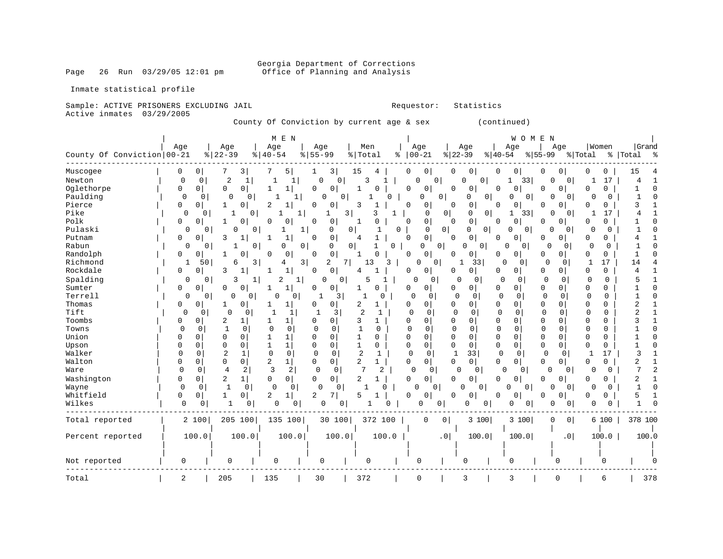Page 26 Run 03/29/05 12:01 pm

Inmate statistical profile

### Sample: ACTIVE PRISONERS EXCLUDING JAIL **Requestor:** Statistics Active inmates 03/29/2005

County Of Conviction by current age & sex (continued)

|                            |                |                         |                                | M E N                        |                            |                                |          |                            |                     |                  | W O M E                       | N                             |             |             |                 |
|----------------------------|----------------|-------------------------|--------------------------------|------------------------------|----------------------------|--------------------------------|----------|----------------------------|---------------------|------------------|-------------------------------|-------------------------------|-------------|-------------|-----------------|
|                            | Age            |                         | Age                            | Age                          | Age                        | Men                            |          | Age                        | Age                 |                  | Age                           | Age                           |             | Women       | Grand           |
| County Of Conviction 00-21 |                | $\frac{8}{6}$   22 - 39 |                                | $8   40 - 54$                | $55 - 99$<br>%             | % Total                        | ႜ        | $00 - 21$                  | $ 22-39$            |                  | $8 40-54$                     | $ 55-99$                      | % Total     |             | %   Total<br>္ဘ |
| Muscogee                   | 0              | $\overline{0}$          | 3                              | 5                            | 3 <br>1                    | 15<br>4                        |          | 0<br>0                     | 0                   | 0                | 0<br>0                        | 0<br>0                        | 0           | 0           | 15              |
| Newton                     | $\mathbf 0$    | $\mathbf 0$             | $\overline{c}$<br>$\mathbf{1}$ | 1                            | 0<br>0                     | 3                              |          | 0                          | $\overline{0}$<br>0 | 0                | 1<br>33                       | 0 <sup>1</sup><br>O           | -1          | 17          | 4<br>-1         |
| Oglethorpe                 | 0              | 0                       | $\Omega$<br>0                  | 1<br>1                       | 0<br>0                     | $\mathbf{1}$                   |          | 0<br>$\Omega$              | $\Omega$            | 0                | 0<br>0                        | 0<br>$\Omega$                 | 0           | $\Omega$    | C               |
| Paulding                   | 0              | 0                       | $\Omega$<br>0                  | 1<br>1                       | $\Omega$                   | 0                              | 0        | 0                          | 0<br>$\Omega$       | $\mathbf 0$      | 0<br>0                        | 0<br>$\overline{0}$           | 0           | $\Omega$    | 1               |
| Pierce                     | 0              | 0                       | 0<br>1                         | 2<br>1                       | 0<br>0                     | 3                              |          | 0<br>0                     | $\Omega$            | 0                | 0<br>0                        | 0<br>$\Omega$                 | O           | 0           | 3               |
| Pike                       | 0              | 0                       | $\mathbf 1$<br>0 <sup>1</sup>  |                              | 1<br>1                     | 3<br>3                         | 1        | $\mathbf{0}$               | 0                   | $\mathbf 0$<br>0 | $\mathbf{1}$<br>33            | $\Omega$<br> 0                | 1           | 17          | 4               |
| Polk                       | 0              | 0                       | $\Omega$                       | 0<br>O                       | $\mathbf 0$<br>$\Omega$    | O<br>1                         |          | 0<br>0                     | $\Omega$            | $\mathbf 0$      | $\Omega$<br>0                 | 0<br>O                        | O           | $\Omega$    |                 |
| Pulaski                    | 0              | $\Omega$                | 0<br>0                         | 1                            | 1<br>0                     | 0                              | 0        | $\Omega$                   | $\circ$<br>0        | $\overline{0}$   | O<br>0                        | O<br>0                        | 0           | 0           |                 |
| Putnam                     | 0              | 0                       | 3                              | $\mathbf{1}$                 | 0<br>$\Omega$              | $\mathbf{1}$<br>4              |          | 0<br>0                     | $\Omega$            | $\mathsf 0$      | 0<br>0                        | $\overline{0}$<br>0           | 0           | 0           |                 |
| Rabun                      | 0              | 0                       | 0                              | 0                            | 0<br>$\mathbf 0$           | 0<br>$\mathbf{1}$              | 0        | 0                          | 0<br>0              | 0                | 0<br>$\overline{0}$           | 0<br>0                        | 0           | 0           |                 |
| Randolph                   | 0              | 0                       | O                              | 0                            | 0<br>0                     | 1<br>U                         |          | 0<br>0                     | U                   | 0                | 0<br>0                        | 0<br>$\overline{0}$           | 0           | 0           |                 |
| Richmond                   | 1              | 50                      | 3<br>6                         | 4                            | 3<br>2                     | 7<br>13                        | 3        | 0<br>0                     | 1                   | 33               | $\cap$<br>0                   | $\Omega$<br>0                 | 1           | 17          | 14              |
| Rockdale                   | 0              | 0                       | 3                              | $\mathbf{1}$                 | $\mathbf 0$<br>0           | 4                              |          | 0<br>0                     | O                   | $\Omega$         | 0<br>01                       | 0<br>0                        | 0           | 0           | 4               |
| Spalding                   | 0              | $\mathbf 0$             | 3<br>1                         | 2<br>1                       | $\mathbf 0$                | $\mathbf 0$<br>5               |          | $\Omega$<br>0              | $\Omega$            | 0                | 0<br>0                        | 0<br>0                        | 0           | 0           |                 |
| Sumter                     | 0              | 0                       | 0<br>$\Omega$                  | 1<br>1                       | 0<br>0                     | 1<br>O                         |          | 0<br>0                     | U                   | 0                | $\mathbf 0$<br>0              | $\mathbf 0$<br>$\overline{0}$ | 0           | 0           |                 |
| Terrell                    | 0              | 0                       | 0<br>0 <sup>1</sup>            | 0<br>n                       | -1<br>3                    | -1                             | 0        | $\Omega$<br>0              | $\Omega$            | 0                | 0<br>$\mathbf 0$              | $\mathbf 0$<br>0              | $\Omega$    | $\mathbf 0$ |                 |
| Thomas                     | 0              | 0                       | 0<br>1                         | $\mathbf{1}$                 | $\Omega$<br>$\mathbf 0$    | 2<br>1                         |          | 0<br>0                     | 0                   | 0                | $\mathbf 0$<br>0              | $\mathbf 0$<br>0              | 0           | $\mathbf 0$ | 2               |
| Tift                       | $\mathbf 0$    | 0                       | 0<br>0                         | 1                            | 3                          | 2<br>1                         |          | $\Omega$<br>$\Omega$       | $\Omega$            | $\Omega$         | $\Omega$<br>0                 | $\Omega$<br>0                 | $\Omega$    | $\Omega$    | $\overline{2}$  |
| Toombs                     | 0              | 0                       | 2<br>1                         | $1\vert$<br>1                | U<br>0                     | 3<br>1                         |          | $\Omega$<br>0              | 0                   | $\Omega$         | 0<br>0                        | 0<br>$\Omega$                 | $\Omega$    | $\mathbf 0$ | 3               |
| Towns                      | $\mathbf{0}$   | 0                       | $\mathbf{1}$<br>0              | $\mathbf 0$<br>0             | $\Omega$<br>0              | $\mathbf 1$<br>0               |          | $\Omega$<br>0              | 0                   | 0                | $\mathbf 0$<br>0              | $\Omega$<br>0                 | $\Omega$    | $\mathbf 0$ |                 |
| Union                      | $\Omega$       | O                       | $\Omega$<br>$\Omega$           | $\mathbf{1}$                 | U<br>$\mathbf 0$           | 1<br>O                         |          | <sup>0</sup><br>0          | O                   | $\Omega$         | $\mathbf 0$<br>0              | $\mathbf{0}$<br>$\Omega$      | $\Omega$    | 0           |                 |
| Upson                      | $\Omega$       | O                       | $\mathbf 0$<br>$\mathbf 0$     | $\mathbf{1}$<br>$\mathbf{1}$ | 0<br>$\Omega$              | $\mathbf{1}$<br>0              |          | 0<br>0                     | $\mathbf 0$         | $\mathbf 0$      | 0<br>0                        | $\mathbf{0}$<br>0             | 0           | 0           |                 |
| Walker                     | $\Omega$       | 0                       | 2<br>1                         | $\mathbf 0$<br>$\mathbf 0$   | $\Omega$<br>0              | $\overline{2}$<br>1            |          | $\mathbf 0$<br>$\mathbf 0$ | $\mathbf{1}$        | 33               | $\mathbf{0}$<br>0             | $\mathbf 0$<br>0              | 1           | 17          | 3               |
| Walton                     | 0              | 0                       | $\mathbf 0$<br>0               | 2<br>1                       | 0 <sub>1</sub><br>$\Omega$ | $\overline{2}$<br>$\mathbf{1}$ |          | 0<br>0                     | <sup>0</sup>        | $\overline{0}$   | $\mathbf 0$<br>0 <sup>1</sup> | $\mathbf 0$<br>0 <sup>1</sup> | O           | 0           | 2               |
| Ware                       | $\mathbf 0$    | 0                       | $\overline{4}$<br>2            | 3<br>2                       | $\mathbf 0$<br>$\mathbf 0$ | 7<br>2                         |          | $\Omega$<br>0              | 0                   | 0                | $\Omega$<br>0                 | $\mathbf 0$<br>0              | 0           | 0           |                 |
| Washington                 | 0              | 0                       | 2<br>1                         | 0<br>0                       | 0<br>$\overline{0}$        | $\overline{2}$                 |          | 0<br>0                     | U                   | 0                | U<br>0                        | 0<br>$\overline{0}$           | O           | 0           | 2               |
| Wayne                      | $\mathbf 0$    | 0                       | $\mathbf{1}$<br>$\mathbf 0$    | $\Omega$<br>0                | $\Omega$<br>0              |                                | $\Omega$ | 0<br>0                     | $\Omega$            | 0 <sup>1</sup>   | ∩<br>$\mathbf 0$              | $\overline{0}$<br>O           | $\mathbf 0$ | $\Omega$    | $\overline{1}$  |
| Whitfield                  | 0              | 0                       | 1<br>$\overline{0}$            | 2<br>1                       | 2<br>7                     | 5                              |          | 0<br>0                     | 0                   | 0                | 0<br>0                        | 0<br>0                        | 0           | 0           | 5               |
| Wilkes                     | 0              | 0                       | 1<br>0                         | 0<br>0                       | $\mathbf 0$                | 0                              | $\Omega$ | 0                          | 0<br>0              | 0                | 0<br>0                        | 0<br>0                        | 0           | $\Omega$    | $\mathbf{1}$    |
|                            |                |                         |                                |                              |                            |                                |          |                            |                     |                  |                               |                               |             |             |                 |
| Total reported             |                | 2 100                   | 205 100                        | 135 100                      | 30 100                     | 372 100                        |          | $\mathbf 0$                | $\overline{0}$      | 3100             | 3 100                         | $\Omega$<br> 0                |             | 6 100       | 378 100         |
| Percent reported           |                | 100.0                   | 100.0                          | 100.0                        | 100.0                      |                                | 100.0    |                            | .0                  | 100.0            | 100.0                         | .0 <sub>1</sub>               |             | 100.0       | 100.0           |
|                            |                |                         |                                |                              |                            |                                |          |                            |                     |                  |                               |                               |             |             |                 |
| Not reported               | 0              |                         | 0                              | $\mathbf 0$                  | 0                          | 0                              |          | $\mathbf 0$                | $\mathbf 0$         |                  | $\mathbf 0$                   | 0                             |             | $\mathbf 0$ |                 |
|                            |                |                         |                                |                              |                            |                                |          |                            |                     |                  |                               |                               |             |             |                 |
| Total                      | $\overline{a}$ |                         | 205                            | 135                          | 30                         | 372                            |          | $\mathbf 0$                | 3                   |                  | 3                             | 0                             |             | 6           | 378             |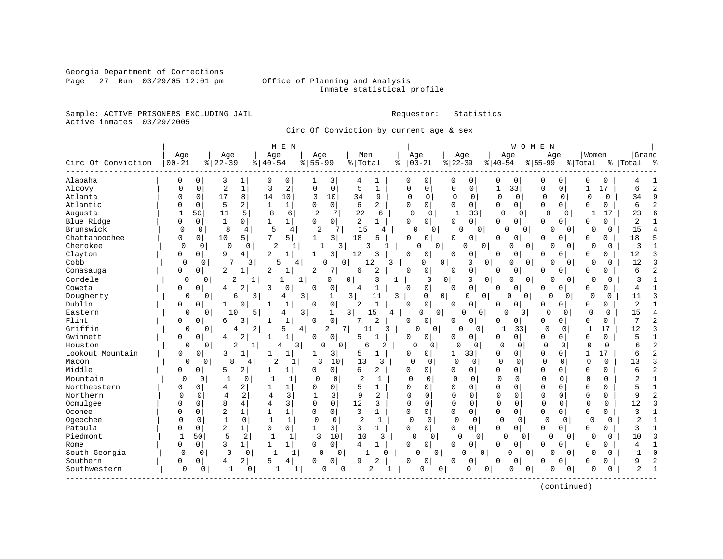Georgia Department of Corrections

#### Page 27 Run 03/29/05 12:01 pm Office of Planning and Analysis Inmate statistical profile

Sample: ACTIVE PRISONERS EXCLUDING JAIL **Requestor:** Statistics Active inmates 03/29/2005

Circ Of Conviction by current age & sex

|                    |              |                               |                                | M E N                          |                     |                         |                |              |                     |                            |              |                            | WOMEN       |          |                    |             |                |                |
|--------------------|--------------|-------------------------------|--------------------------------|--------------------------------|---------------------|-------------------------|----------------|--------------|---------------------|----------------------------|--------------|----------------------------|-------------|----------|--------------------|-------------|----------------|----------------|
|                    | Age          | Age                           | Age                            |                                | Age                 | Men                     |                | Age          |                     | Age                        |              | Age                        | Age         |          | Women              |             | Grand          |                |
| Circ Of Conviction | $ 00 - 21$   | $8   22 - 39$                 | $8   40 - 54$                  | $8 55-99$                      |                     | % Total                 | ႜ              | $ 00-21$     |                     | $ 22-39$                   | $ 40-54$     |                            | $ 55-99$    | % Total  |                    |             | %   Total      | ಿ              |
| Alapaha            | $\Omega$     | 0<br>3                        | 1<br>0                         | 0                              | 3                   | 4                       | 1              | 0            | 0                   | 0<br>0                     | 0            | 0                          | 0           | 0        | 0                  | 0           |                |                |
| Alcovy             | U            | 0<br>$\overline{2}$           | $\mathbf{1}$<br>3              | 2<br>$\Omega$                  | $\mathbf 0$         | 5                       | $\mathbf{1}$   | $\Omega$     | $\mathbf 0$         | 0<br>0                     | 1            | 33                         | 0           | 0        | 17<br>1            |             | 6              | $\overline{c}$ |
| Atlanta            | ი            | 17<br>0                       | 8<br>14                        | 10<br>3                        | 10                  | 34                      | 9              | O            | 0                   | 0<br>0                     | $\mathbf 0$  | $\mathbf 0$                | $\Omega$    | 0        | $\mathbf 0$        | 0           | 34             | 9              |
| Atlantic           | O            | 5<br>0                        | 2<br>$\mathbf{1}$              | $\mathbf{1}$<br>O              | $\mathbf{0}$        | 6                       | $\overline{a}$ | $\Omega$     | 0                   | $\mathbf 0$<br>0           | 0            | 0                          | $\mathbf 0$ | 0        | $\mathbf 0$        | 0           | б              | 2              |
| Augusta            |              | 11<br>50                      | 5<br>8                         | $\overline{2}$<br>6            | 7                   | 22                      | 6              | $\Omega$     | $\mathbf 0$         | 33<br>-1                   |              | $\Omega$<br>$\Omega$       | $\Omega$    | $\Omega$ | $\mathbf{1}$       | 17          | 23             | 6              |
| Blue Ridge         | O            | $\mathbf 0$<br>$\mathbf{1}$   | 0<br>$\mathbf{1}$              | 1<br>0                         | 0                   | 2                       | $\mathbf{1}$   | $\Omega$     | $\Omega$            | $\overline{0}$<br>$\Omega$ | 0            | 0                          | $\Omega$    | 0        | $\Omega$           | 0           | 2              |                |
| Brunswick          | $\Omega$     | 8<br>0                        | 5<br>4                         | 4                              | 2<br>7              | 15                      | 4              | 0            | 0                   | <sup>0</sup>               | 0            | 0<br>$\overline{0}$        | 0           | 0        | $\Omega$           | $\Omega$    | 15             | 4              |
| Chattahoochee      | 0            | 10<br>0                       | 7<br>5                         | 5<br>$\mathbf{1}$              | 3                   | 18                      | 5              | $\Omega$     | 0                   | 0<br>U                     | 0            | 0                          | 0           | 0        | $\mathbf 0$        | 0           | 18             | 5              |
| Cherokee           | $\Omega$     | $\mathbf 0$<br>$\Omega$       | $\overline{2}$<br>0            | 1                              | 3                   | 3                       |                | 0            | 0                   | O                          | 0            | $\Omega$<br>$\overline{0}$ | 0           | 0        | O                  | 0           | 3              | $\mathbf{1}$   |
| Clayton            | O            | 9<br>0                        | $\overline{a}$<br>4            |                                | 3                   | 12                      | 3              | <sup>0</sup> | 0                   | 0<br>U                     | $\Omega$     | 0                          | U           | 0        | 0                  | 0           | 12             | 3              |
| Cobb               | 0            | 7<br>0                        | 3<br>5                         | 4                              | 0<br>U              | 12                      | 3              |              | 0<br>$\Omega$       | $\Omega$                   | 0            | O<br>0                     | $\Omega$    | $\Omega$ | U                  | $\Omega$    | 12             | 3              |
| Conasauga          | 0            | 2<br>0                        | $\overline{2}$<br>$\mathbf{1}$ | 2<br>1                         | 7                   | 6                       | $\overline{2}$ | $\Omega$     | 0                   | 0<br>$\Omega$              | O            | 0                          | 0           | 0        | 0                  | 0           | 6              | 2              |
| Cordele            | 0            | 2<br>0                        | 1                              | 1<br>1                         | 0                   | 0                       | 3              |              | 0<br>0              | 0                          | 0            | 0<br>0                     | 0           | 0        | $\Omega$           | 0           | 3              | 1              |
| Coweta             | 0            | 0<br>4                        | 2<br>0                         | 0<br>0                         | 0                   | 4                       | 1              | 0            | $\mathbf 0$         | 0<br>0                     | 0            | 0                          | 0           | 0        | 0                  | 0           | 4              |                |
| Dougherty          | $\Omega$     | б<br>0                        | 3                              | 4<br>3                         | 1                   | $\overline{\mathbf{3}}$ | 11<br>3        |              | 0<br>$\overline{0}$ | 0                          | $\mathbf 0$  | 0<br>0                     | 0           | 0        | 0                  | $\Omega$    | 11             | 3              |
| Dublin             | O            | $\mathbf 0$                   | 0<br>$\mathbf{1}$              | 0<br>1                         | 0                   | 2                       |                | 0            | 0                   | 0<br>$\Omega$              | <sup>0</sup> | 0                          | 0           | 0        | 0                  | 0           | 2              | 1              |
| Eastern            | 0            | 10<br>0                       | 5                              | 3<br>4                         | 1                   | 3 <sup>1</sup><br>.5    | 4              | 0            | $\Omega$            | U                          | 0            | 0                          | 0           | 0        | 0                  | $\Omega$    | 15             | 4              |
| Flint              | 0            | $\mathbf 0$<br>6              | 3<br>-1                        | 1<br>0                         | $\mathbf{0}$        | 7                       | $\overline{c}$ | 0            | 0                   | 0<br>$\Omega$              | 0            | 0                          | 0           | 0        | 0                  | 0           | 7              | 2              |
| Griffin            | 0            | 0<br>4                        | 2                              | 5<br>4                         | 7 <sup>1</sup><br>2 | 11                      | 3              | $\Omega$     | 0 <sup>1</sup>      | $\Omega$                   | 0            | 33<br>1                    | 0           | 0        |                    | 17          | 12             | 3              |
| Gwinnett           | 0            | 0<br>4                        | 2<br>1                         | $\mathbf{1}$<br>$\Omega$       | 0                   | 5                       |                | 0            | 0                   | 0<br>0                     | 0            | 0                          | 0           | 0        | O                  | $\Omega$    | 5              | $\mathbf{1}$   |
| Houston            | $\Omega$     | 2<br>0                        | 1                              | 3<br>4                         | 0<br>$\mathbf 0$    | 6                       | 2              | <sup>0</sup> | 0                   | 0<br>U                     | 0            | 0                          | 0           | 0        | $\Omega$           | 0           | 6              | $\overline{c}$ |
| Lookout Mountain   | 0            | 3<br>0                        |                                | 1<br>1                         | 3                   | 5                       | 1              | $\Omega$     | 0                   | 33<br>1                    | 0            | 0                          | 0           | 0        | 17<br>$\mathbf{1}$ |             | б              | $\overline{2}$ |
| Macon              | $\Omega$     | 8<br>$\Omega$                 | 2<br>4                         |                                | 10<br>3             | 13                      | 3              | $\Omega$     | $\Omega$            | $\cap$<br>0                | $\mathbf 0$  | 0                          | 0           | 0        | $\mathbf 0$        | 0           | 13             | 3              |
| Middle             | 0            | 0<br>5                        | 2                              | 0<br>1                         | 0                   | 6                       | 2              | 0            | 0                   | 0<br>0                     | 0            | 0                          | 0           | 0        | 0                  | $\Omega$    | 6              | $\overline{c}$ |
| Mountain           | 0            | 0<br>1                        | 0                              | 1<br>0                         | 0                   | $\overline{c}$          | $\mathbf{1}$   |              | $\mathbf 0$         | $\Omega$<br>0              | $\Omega$     | $\mathbf 0$                | 0           | $\Omega$ | $\Omega$           | $\Omega$    | 2              |                |
| Northeastern       | 0            | $\Omega$<br>4                 | 2                              | 1<br><sup>0</sup>              | $\mathbf 0$         | 5                       | 1              | $\Omega$     | $\Omega$            | $\Omega$<br>0              | $\Omega$     | $\mathbf 0$                | $\Omega$    | $\Omega$ | $\Omega$           | $\Omega$    | 5              | $\mathbf{1}$   |
| Northern           | $\Omega$     | 4<br>$\Omega$                 | 2<br>4                         | 3<br>$\mathbf{1}$              | $\overline{3}$      | 9                       | $\overline{a}$ | $\Omega$     | 0                   | $\mathbf 0$<br>0           | $\Omega$     | $\mathbf{0}$               | 0           | $\Omega$ | $\Omega$           | 0           | 9              | 2              |
| Ocmulgee           | O            | 8<br>$\Omega$                 | 4<br>4                         | 3<br>$\Omega$                  | $\mathbf 0$         | 12                      | 3              | $\Omega$     | 0                   | $\Omega$<br>0              | $\Omega$     | 0                          | $\Omega$    | $\Omega$ | $\mathbf 0$        | $\mathbf 0$ | 12             | 3              |
| Oconee             | N            | $\overline{2}$<br>$\Omega$    | $\mathbf{1}$<br>$\mathbf{1}$   | $\mathbf{1}$<br>0              | 0                   | 3                       | 1              | $\Omega$     | $\Omega$            | $\Omega$<br>0              | 0            | $\mathbf 0$                | $\Omega$    | $\Omega$ | $\Omega$           | 0           | 3              | $\mathbf{1}$   |
| Ogeechee           | O            | $\mathbf{1}$<br>$\Omega$      | 0<br>$\mathbf{1}$              | $\mathbf{1}$<br>$\mathbf{0}$   | $\mathbf 0$         | $\overline{2}$          | 1              | 0            | $\mathbf 0$         | $\Omega$<br>$\Omega$       | $\mathbf 0$  | 0                          | 0           | 0        | $\Omega$           | $\Omega$    | 2              | $\mathbf{1}$   |
| Pataula            |              | $\overline{2}$<br>$\mathbf 0$ | $\mathbf{1}$<br>$\mathbf 0$    | 0 <sup>1</sup><br>$\mathbf{1}$ | 3                   | 3                       | 1              | $\Omega$     | $\circ$             | $\mathbf 0$<br>0           | 0            | 0                          | 0           | 0        | 0                  | 0           | 3              |                |
| Piedmont           | $\mathbf{1}$ | 5<br>50                       | 2<br>$\mathbf{1}$              | $\mathbf{1}$<br>3              | 10                  | 10                      | 3              | $\Omega$     | 0                   | 0                          | 0            | O<br>0                     | 0           | 0        | O                  | $\Omega$    | 10             | 3              |
| Rome               | 0            | 3<br>0                        | $\mathbf{1}$                   | $\mathbf{1}$<br>0              | 0                   | 4                       |                | 0            | 0                   | $\Omega$<br>0              | <sup>0</sup> | 0                          | U           | 0        | 0                  | 0           | 4              |                |
| South Georgia      | $\Omega$     | $\Omega$<br>$\Omega$          | 0                              | 1                              | 0<br>$\Omega$       |                         | U              | U            | $\Omega$            | O                          | 0            | 0<br>U                     | $\Omega$    | $\Omega$ | U                  | $\Omega$    | 1              | $\Omega$       |
| Southern           | 0            | 0<br>4                        | 2<br>5                         | 0<br>4                         | 0                   | 9                       | 2              | <sup>0</sup> | 0                   | 0<br>O                     | 0            | 0                          | 0           | 0        | 0                  | 0           | 9              | 2              |
| Southwestern       | 0            | 1<br>0                        | -1<br>0                        | 1                              | 0<br>0              | $\overline{2}$          |                | $\Omega$     | 0                   | $\Omega$                   | 0            | O<br>0                     | $\Omega$    | 0        | O                  | O           | $\overline{2}$ | $\mathbf{1}$   |
|                    |              |                               |                                |                                |                     |                         |                |              |                     |                            |              |                            |             |          |                    |             |                |                |

(continued)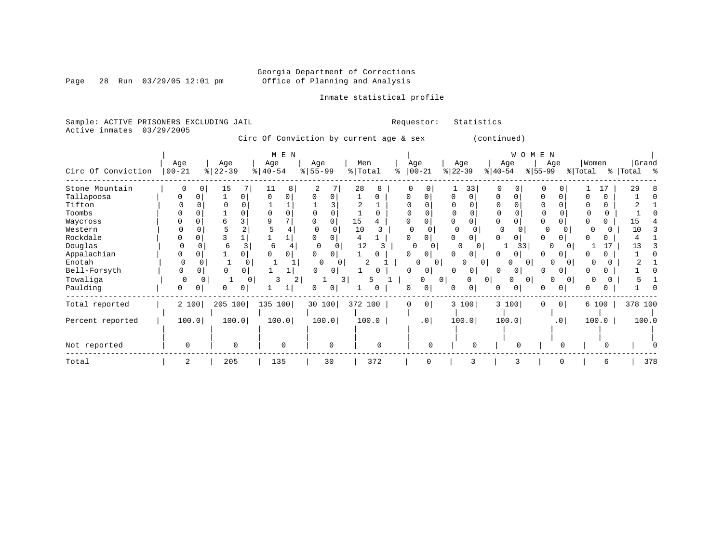Page 28 Run  $03/29/05$  12:01 pm

### Inmate statistical profile

Sample: ACTIVE PRISONERS EXCLUDING JAIL Requestor: Statistics Active inmates 03/29/2005

Circ Of Conviction by current age & sex (continued)

|                    |              |          |           |                       | M E N    |                       |                |         |          |               |                |           |              |              | W O M | Е         | N               |                |       |          |           |       |
|--------------------|--------------|----------|-----------|-----------------------|----------|-----------------------|----------------|---------|----------|---------------|----------------|-----------|--------------|--------------|-------|-----------|-----------------|----------------|-------|----------|-----------|-------|
|                    | Age          |          | Age       |                       | Age      | Age                   |                | Men     |          | Age           |                |           | Age          |              | Age   |           | Age             |                | Women |          | Grand     |       |
| Circ Of Conviction | $00 - 21$    |          | $ 22-39 $ | $\frac{1}{6}$   40-54 |          | $\frac{1}{6}$   55-99 |                | % Total |          | $8   00 - 21$ |                | $ 22-39 $ |              | $ 40-54 $    |       | $ 55-99 $ |                 | % Total        |       |          | % Total % |       |
| Stone Mountain     |              | $\Omega$ | 15        |                       | 8        |                       |                | 28      | 8        |               |                |           | 33           | $\Omega$     | 0     | $\Omega$  | U               |                |       | 17       | 29        |       |
| Tallapoosa         | O.           |          | 0         |                       |          |                       |                |         | 0        | <sup>0</sup>  | 0              |           | $\Omega$     | 0            |       |           |                 |                |       | 0        |           |       |
| Tifton             |              |          |           |                       |          |                       |                |         |          |               |                |           |              |              |       |           |                 |                |       | 0        |           |       |
| Toombs             |              |          |           |                       |          |                       |                |         |          |               |                |           |              |              |       | $\Omega$  |                 |                |       | $\Omega$ |           |       |
| Waycross           |              |          |           |                       |          |                       |                | 15      |          |               |                |           |              |              |       |           |                 |                |       |          |           |       |
| Western            |              |          |           |                       |          |                       |                | 10      |          |               |                |           |              | <sup>0</sup> |       |           | $\Omega$        |                |       |          | 10        |       |
| Rockdale           |              |          |           |                       |          |                       |                |         |          | U             | 0              |           |              |              |       |           |                 |                |       |          |           |       |
| Douglas            | <sup>0</sup> |          | 6         |                       | 6        | O                     | 0              | 12      | 3        |               | $\Omega$       |           | <sup>0</sup> |              | 33    |           | $\Omega$        | 0 <sup>1</sup> |       | 17       | 13        |       |
| Appalachian        |              |          |           |                       |          |                       |                |         |          |               | 0              |           | $\Omega$     |              |       |           |                 |                |       |          |           |       |
| Enotah             |              |          |           | 0                     |          |                       |                |         |          |               | N              |           |              | $\mathbf{0}$ |       | $\Omega$  |                 |                |       |          |           |       |
| Bell-Forsyth       |              |          |           |                       |          | U                     |                |         |          | <sup>n</sup>  | 0              | 0         | 0            | <sup>0</sup> |       |           |                 |                |       |          |           |       |
| Towaliga           | $\Omega$     |          |           |                       | 2        |                       |                | 3       | 5        |               | 0              | 01        |              | 0            | 0     | $\Omega$  |                 | 0              | O     |          |           |       |
| Paulding           | 0            |          | U         |                       |          |                       | 0 <sup>1</sup> |         |          | 0             | 0              | $\Omega$  | 0            | 0            |       |           |                 |                |       |          |           |       |
| Total reported     | 2 100        |          | 205 100   |                       | 135 100  | 30 100                |                | 372 100 |          | $\mathbf 0$   | 0 <sup>1</sup> |           | 3 100        |              | 3 100 | $\Omega$  | 0 <sup>1</sup>  |                | 6 100 |          | 378 100   |       |
| Percent reported   | 100.0        |          | 100.0     |                       | 100.0    |                       | 100.0          |         | 100.0    |               | .0             |           | 100.0        |              | 100.0 |           | .0 <sub>1</sub> |                | 100.0 |          |           | 100.0 |
|                    |              |          |           |                       |          |                       |                |         |          |               |                |           |              |              |       |           |                 |                |       |          |           |       |
| Not reported       | $\mathbf 0$  |          | $\Omega$  |                       | $\Omega$ |                       | $\Omega$       |         | $\Omega$ |               |                |           | O            |              | n     |           | ∩               |                |       |          |           |       |
| Total              | 2            |          | 205       |                       | 135      |                       | 30             |         | 372      |               | $\Omega$       |           |              |              |       |           | O               |                |       | 6        |           | 378   |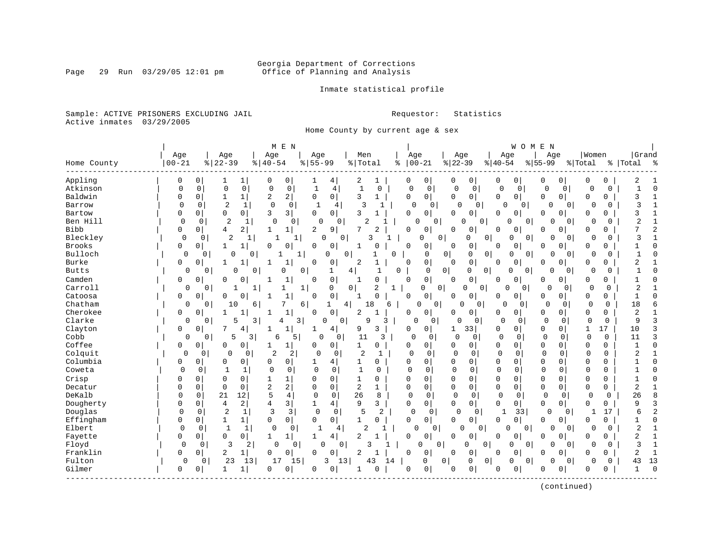# Georgia Department of Corrections<br>Page 29 Run 03/29/05 12:01 pm office of Planning and Analysis Office of Planning and Analysis

Inmate statistical profile

Sample: ACTIVE PRISONERS EXCLUDING JAIL **Requestor:** Statistics Active inmates 03/29/2005

Home County by current age & sex

|              |             |                            | M E N                                           |                            |                                |                     |                             |                            | W O M                         | E N                      |                          |                          |
|--------------|-------------|----------------------------|-------------------------------------------------|----------------------------|--------------------------------|---------------------|-----------------------------|----------------------------|-------------------------------|--------------------------|--------------------------|--------------------------|
|              | Age         | Age                        | Age                                             | Age                        | Men                            |                     | Age                         | Age                        | Age                           | Age                      | Women                    | Grand                    |
| Home County  | $00 - 21$   | $8   22 - 39$              | $8   40 - 54$                                   | $8 55-99$                  | % Total                        | ి                   | $ 00-21$                    | $ 22-39$                   | $ 40-54$                      | $ 55-99$                 | % Total                  | %   Total<br>း           |
| Appling      | 0           | 0<br>1                     | $\mathbf{1}$<br>0<br>0                          | 1<br>4                     | 2<br>1                         | 0                   | 0                           | 0<br>0                     | 0<br>0                        | 0<br>0                   | 0<br>0                   |                          |
| Atkinson     | 0           | $\mathbf 0$<br>$\Omega$    | $\mathbf 0$<br>$\mathbf 0$<br>0                 | $\mathbf{1}$<br>4          | $\mathbf{1}$<br>0              | 0                   | $\mathbf 0$                 | $\Omega$<br>$\overline{0}$ | $\mathbf 0$<br>$\mathbf 0$    | $\Omega$<br>$\mathbf 0$  | $\Omega$<br>0            | $\Omega$<br>1            |
| Baldwin      |             | $\overline{0}$<br>1        | 2 <br>$\overline{c}$<br>$1\vert$                | 0 <sup>1</sup><br>0        | 3<br>1                         | 0                   | $\overline{0}$              | $\mathbf 0$<br>0           | 0 <sup>1</sup><br>0           | 0<br>$\mathbf{0}$        | 0<br>0                   | 3<br>$\mathbf{1}$        |
| Barrow       | $\Omega$    | $\overline{2}$<br>0        | $\mathbf 0$<br>$\mathbf 0$<br>1                 | $\mathbf{1}$<br>4          | 3                              | $\mathbf{1}$        | $\Omega$<br>0               | $\Omega$<br>$\Omega$       | $\Omega$<br>0                 | 0<br>$\overline{0}$      | $\Omega$<br><sup>0</sup> | 3<br>$\mathbf{1}$        |
| Bartow       | $\Omega$    | $\Omega$<br>$\overline{0}$ | 3<br>3 <br>0                                    | $\mathbf{0}$<br>0          | ζ                              | 0                   | $\mathbf 0$                 | $\Omega$<br>0              | $\Omega$<br>$\mathbf 0$       | 0<br>$\Omega$            | $\Omega$<br>$\Omega$     | ζ<br>1                   |
| Ben Hill     | $\Omega$    | $\overline{2}$<br>$\Omega$ | $\Omega$<br>$\mathbf 0$                         | $\Omega$<br>0              | 2                              |                     | 0<br>C                      | <sup>0</sup><br>$\Omega$   | O                             | 0<br>$\Omega$<br>0       | $\cap$<br>$\Omega$       | 2<br>1                   |
| <b>Bibb</b>  | 0           | $\Omega$<br>4              | 2 <br>1<br>$1\vert$                             | $\overline{a}$<br>9        | 7<br>$\overline{c}$            | $\Omega$            | 0                           | 0<br>$\Omega$              | 0<br>$\Omega$                 | 0<br>0                   | $\Omega$<br>$\Omega$     | 7<br>2                   |
| Bleckley     | $\mathbf 0$ | 2<br>0                     | 1<br>1                                          | 1<br>0                     | 0                              |                     | 0<br>0                      | 0<br>0 <sup>1</sup>        | 0                             | 0<br>0<br>$\overline{0}$ | $\Omega$<br>$\Omega$     | 3                        |
| Brooks       | $\Omega$    | $\mathbf 0$<br>1           | $\mathbf{1}$<br>$\mathbf 0$<br>0                | 0<br>0                     | $\Omega$<br>1                  | $\Omega$            | 0                           | 0<br>0                     | 0<br>$\Omega$                 | $\mathbf 0$<br>0         | 0<br>$\Omega$            | O<br>$\mathbf{1}$        |
| Bulloch      | $\mathbf 0$ | 0<br>$\Omega$              | 0<br>1                                          | 0<br>1                     | $\Omega$                       | 0                   | $\Omega$                    | 0<br>$\overline{0}$<br>0   | $\Omega$                      | $\Omega$<br>0<br>0       | $\Omega$<br>$\Omega$     | $\Omega$                 |
| Burke        | $\Omega$    | $\mathbf 0$<br>1           | $\mathbf{1}$<br>$\mathbf 1$<br>1                | $\Omega$<br>0              | $\overline{2}$<br>$\mathbf{1}$ | $\Omega$            | 0                           | 0<br>$\mathbf 0$           | 0<br>0                        | $\mathbf 0$<br>0         | 0<br>$\mathbf 0$         | 2                        |
| <b>Butts</b> | 0           | 0<br>0                     | 0<br>0                                          | $\mathbf 0$<br>1           | 4<br>1                         | 0                   | $\Omega$                    | $\circ$<br>0<br>0          | $\Omega$                      | 0<br>$\circ$<br>$\Omega$ | O<br>0                   | $\Omega$<br>$\mathbf{1}$ |
| Camden       | $\Omega$    | $\mathbf 0$<br>O           | U<br>-1<br>1                                    | 0<br><sup>0</sup>          | $\Omega$<br>-1                 | $\Omega$            | $\mathbf 0$                 | 0<br>$\Omega$              | 0<br>0                        | $\mathbf 0$<br>0         | $\Omega$<br>0            | 1<br>U                   |
| Carroll      | 0           | 0                          | $\mathbf{1}$<br>ı                               | 0<br>1                     | $\overline{2}$<br>$\Omega$     | $\mathbf 1$         | 0<br>0                      | 0<br>$\Omega$              | 0<br>0                        | $\mathbf 0$<br>$\circ$   | $\Omega$<br>$\Omega$     | $\overline{2}$           |
| Catoosa      | $\Omega$    | $\mathbf 0$<br>O           | $\mathbf{1}$<br>0<br>1                          | 0<br>$\Omega$              | $\Omega$<br>1                  | $\Omega$            | $\Omega$                    | 0<br>$\Omega$              | 0<br>$\Omega$                 | 0<br>0,                  | 0<br>$\Omega$            | $\mathbf{1}$<br>U        |
| Chatham      | $\Omega$    | 0<br>10                    | 7<br>6                                          | 6<br>1                     | 18<br>4                        | 6                   | 0<br>$\mathbf 0$            | 0<br>0                     | $\Omega$<br>0                 | $\Omega$<br>0            | $\Omega$<br>$\Omega$     | 18<br>6                  |
| Cherokee     | $\Omega$    | $\mathbf 0$<br>1           | $\mathbf 1$<br>1                                | 0<br>$\Omega$              | $\overline{2}$                 | 0                   | $\Omega$                    | 0<br>$\Omega$              | 0<br>0                        | 0<br>$\Omega$            | 0<br>$\Omega$            | 2                        |
| Clarke       | 0           | 0<br>5                     | 3<br>4                                          | 3 <br>0                    | 9<br>$\mathbf 0$               | 3                   | $\mathbf 0$<br>$\mathbf{0}$ | $\Omega$<br>0              | $\mathbf 0$<br>$\mathbf 0$    | $\Omega$<br>$\mathbf 0$  | $\mathbf 0$<br>0         | 3<br>9                   |
| Clayton      | 0           | 0<br>7                     | 4<br>1<br>1                                     | 4<br>1                     | 3<br>9                         | 0                   | $\mathbf{0}$                | 33 <br>1                   | $\mathbf 0$<br>0              | 0<br>$\overline{0}$      | $\mathbf{1}$<br>17       | 3<br>10                  |
| Cobb         | 0           | 5<br>0                     | 6<br>3                                          | 5<br>0<br>0                | 11                             | 3<br>0              | 0                           | $\mathbf 0$<br>$\mathbf 0$ | $\overline{0}$<br>$\mathbf 0$ | $\Omega$<br>0            | $\mathbf 0$<br>0         | 3<br>11                  |
| Coffee       | 0           | 0<br>0                     | 0<br>$\mathbf 1$<br>1                           | $\mathbf{0}$<br>0          | 1<br>$\mathbf 0$               | 0                   | 0                           | 0<br>0                     | 0<br>0                        | 0<br>0                   | 0<br>0                   | $\Omega$<br>$\mathbf{1}$ |
| Colquit      | $\Omega$    | 0<br>0                     | $\overline{a}$<br>2<br>0                        | 0<br>0                     | 2                              | $\Omega$            | 0                           | $\Omega$<br>0              | $\mathbf 0$<br>0              | $\Omega$<br>0            | $\mathbf 0$<br>0         |                          |
| Columbia     | በ           | $\Omega$<br>O              | 0<br>$\Omega$<br>$\overline{0}$                 | 1<br>4                     | 1<br>$\Omega$                  | 0                   | $\Omega$                    | $\Omega$<br>0              | 0<br>0                        | 0<br>$\Omega$            | $\Omega$<br>$\Omega$     | U                        |
| Coweta       | $\Omega$    | 0                          | $\mathbf 0$<br>0<br>1                           | $\mathbf 0$<br>0           | 1<br>$\Omega$                  | $\Omega$            | $\Omega$                    | $\mathbf 0$<br>0           | $\Omega$<br>$\mathbf 0$       | 0<br>$\Omega$            | $\mathbf 0$<br>0         | O                        |
| Crisp        |             | $\Omega$<br>0              | $\Omega$<br>1<br>1                              | $\Omega$<br>0              | $\Omega$<br>1                  | $\Omega$            | $\Omega$                    | 0<br>$\Omega$              | 0<br>$\Omega$                 | 0<br>$\Omega$            | $\Omega$<br>0            | U                        |
| Decatur      |             | $\mathbf 0$<br>0           | $\overline{2}$<br>2 <br>0                       | 0<br>0                     | 2<br>$\mathbf{1}$              | $\Omega$            | 0                           | $\mathbf 0$<br>0           | 0<br>$\mathbf 0$              | 0<br>0                   | 0<br>$\mathbf 0$         | 2<br>$\mathbf{1}$        |
| DeKalb       | 0           | $\mathbf 0$<br>21          | 5<br>12<br>$\overline{4}$                       | $\mathbf 0$<br>$\mathbf 0$ | 26<br>8                        | $\Omega$            | $\mathbf 0$                 | 0<br>$\mathbf 0$           | $\mathbf 0$<br>0              | $\mathbf 0$<br>0         | $\mathbf 0$<br>0         | 26<br>8                  |
| Dougherty    | O           | 0<br>4                     | 2 <br>3 <br>4                                   | 4<br>1                     | 9<br>3                         | 0                   | 0                           | 0<br>0                     | $\mathbf 0$<br>0              | 0<br>$\overline{0}$      | 0<br>0                   | 9<br>3                   |
| Douglas      | $\Omega$    | $\overline{2}$<br>$\Omega$ | 3<br>3<br>1                                     | $\mathbf 0$<br>0           | 5                              | $\overline{a}$<br>0 | 0                           | $\cap$<br>0                | 33<br>1                       | $\Omega$<br>$\mathbf 0$  | 17<br>1                  | $\overline{2}$<br>6      |
| Effingham    | $\Omega$    | 0<br>1                     | $\mathbf 0$<br>0 <sup>1</sup><br>1 <sup>1</sup> | 0<br>0                     | 0<br>1                         | 0                   | 0                           | 0<br>0                     | 0 <sup>1</sup><br>0           | 0<br>0                   | 0<br>0                   | O<br>1                   |
| Elbert       | $\Omega$    | 0<br>$\mathbf{1}$          | $\mathbf{1}$<br>0<br>0                          | 1<br>4                     | $\overline{2}$                 | 1                   | $\Omega$<br>0 <sup>1</sup>  | 0 <sup>1</sup><br>$\Omega$ | $\Omega$<br>0                 | 0<br>0                   | 0<br>$\Omega$            | 2                        |
| Fayette      | O           | 0<br>0 <sup>1</sup>        | $\circ$<br>1<br>1                               | 4 <br>1                    | 2                              | 0                   | $\mathbf 0$                 | 0<br>$\Omega$              | 0<br>0                        | 0<br>N                   | $\Omega$<br>0            | $\overline{2}$<br>1      |
| Floyd        | $\Omega$    | 3<br>0                     | 2<br>0                                          | 0                          | 3<br>0                         |                     | $\Omega$<br>0               | U<br>0                     | O                             | 0<br>0<br>0              | 0                        | 3<br>1                   |
| Franklin     | 0           | 2<br>0                     | 0<br>$1\vert$<br>$\Omega$                       | 0<br>$\Omega$              | 2                              | <sup>0</sup>        | 0                           | 0<br>$\Omega$              | 0<br>$\Omega$                 | O<br>$\Omega$            | $\Omega$<br>$\Omega$     | 2<br>$\mathbf{1}$        |
| Fulton       | 0           | 23<br>0                    | 13<br>17                                        | 15<br>3                    | 13<br>43                       | 14                  | 0<br>0                      | $\mathbf{0}$<br>0          | 0                             | 0<br>$\Omega$<br>0       | $\cap$<br>0              | 13<br>43                 |
| Gilmer       | $\Omega$    | 0<br>1                     | $\overline{0}$<br>$1\vert$<br>0                 | 0<br>0                     | $\Omega$                       | 0                   | 0                           | 0<br>$\Omega$              | 0<br><sup>0</sup>             | 0<br>Ω                   | $\Omega$<br>0            | $\mathbf{1}$<br>$\Omega$ |
|              |             |                            |                                                 |                            |                                |                     |                             |                            |                               |                          |                          |                          |

(continued)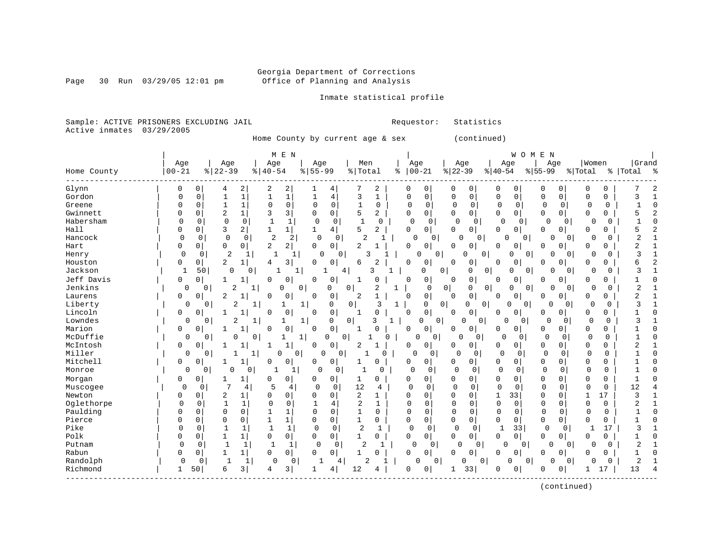Page 30 Run  $03/29/05$  12:01 pm

### Inmate statistical profile

Sample: ACTIVE PRISONERS EXCLUDING JAIL Requestor: Statistics Active inmates 03/29/2005

Home County by current age & sex (continued)

| Women<br>Grand<br>Age<br>Age<br>Age<br>Age<br>Men<br>Age<br>Age<br>Age<br>Age<br>$ 22-39$<br>$00 - 21$<br>$8   22 - 39$<br>$8   40 - 54$<br>$8 55-99$<br>% Total<br>$00 - 21$<br>$ 40-54$<br>$8 55-99$<br>% Total<br>%   Total<br>ႜ<br>್ಠಿ<br>2<br>2<br>0<br>$\mathbf 0$<br>0<br>$\Omega$<br>2<br>2<br>7<br>0<br>0<br>0<br>0<br>0<br>0<br>0<br>$\Omega$<br>4<br>4<br>1<br>0<br>0<br>0<br>$\mathbf{1}$<br>$\mathbf 1$<br>$\mathbf{1}$<br>3<br>$\Omega$<br>$\Omega$<br>$\mathbf 0$<br>0<br>$\mathbf 0$<br>$\mathbf 0$<br>3<br>O<br>$\Omega$<br>1<br>4<br>1<br>0<br>$\mathbf 0$<br>$\mathbf 1$<br>$\mathbf 0$<br>$\mathbf 0$<br>0<br>1<br>$\Omega$<br>0<br>$\Omega$<br>0<br>0<br>$\Omega$<br>0<br>$\Omega$<br>0<br>$\Omega$<br>O<br>O<br>1<br>$\Omega$<br>$\Omega$<br>3 <br>$\overline{0}$<br>2<br>3<br>0<br>5<br>2<br>0<br>0<br>$\Omega$<br>$\Omega$<br>$\mathbf 0$<br>5<br>0<br>$\Omega$<br>$\Omega$<br>$\Omega$<br>$\Omega$<br>0<br>Ω<br>$\Omega$<br>$\Omega$<br>$\mathbf{1}$<br>$\mathbf 1$<br>$\mathbf 0$<br>$\mathbf{1}$<br>$\circ$<br>$\mathbf{1}$<br>0<br>0<br>0<br>$\Omega$<br>0<br>O<br>$\Omega$<br>0<br>0<br>$\Omega$<br>0<br>0<br>∩<br>5<br>0<br>0<br>3<br>2<br>1<br>4 <br>5<br>2<br>0<br>0<br>0<br>$\mathbf 0$<br>0 <sup>1</sup><br>0<br>1<br>$\Omega$<br>0<br>$\Omega$<br>0<br>$\overline{2}$<br>$\overline{2}$<br>$\mathbf 0$<br>2<br>2<br>$\Omega$<br>0<br>$\Omega$<br>1<br>O<br>0<br>0<br>$\Omega$<br>0<br>0<br>$\cap$<br>0<br>$\Omega$<br>$\Omega$<br>$\overline{a}$<br>2<br>$\overline{0}$<br>2<br>2<br>0<br>0<br>$\Omega$<br>$\Omega$<br>$\Omega$<br>0<br>0<br>$\Omega$<br>0<br>0<br>$\Omega$<br>0<br>$\Omega$<br>0<br>0<br>2<br>$\mathbf{1}$<br>3<br>$\Omega$<br>0<br>$\mathbf{1}$<br>$\Omega$<br>0<br>3<br>0<br>$\mathbf{0}$<br>0<br>0<br>$\Omega$<br>$\overline{0}$<br>0<br>1<br>U<br>O<br>$\Omega$<br>2<br>3<br>0<br>0<br>2<br>0<br>$\overline{0}$<br>б<br>0<br>0<br>4<br>6<br>0<br>0<br>0<br>0<br>0<br>0<br>0<br>0<br>50<br>0<br>3<br>0<br>0<br>0<br>$\Omega$<br>$\overline{0}$<br>0<br>3<br>1<br>0<br>1<br>1<br>4<br>$\Omega$<br>0<br>0<br>0<br>Jeff Davis<br>0<br>0<br>0<br>0<br>0<br>$\overline{0}$<br>0<br>0<br>$\Omega$<br>$\Omega$<br>1<br>0<br>$\Omega$<br>0<br>0<br>$\Omega$<br>0<br>0<br>Jenkins<br>$\overline{c}$<br>2<br>$\Omega$<br>2<br>$\mathbf 1$<br>$\Omega$<br>0<br>0<br>0<br>1<br>$\Omega$<br>0 <sup>1</sup><br>0<br>0<br>0<br>0<br>$\overline{0}$<br>0<br>0<br>$\Omega$<br>$\Omega$<br>0<br>Laurens<br>$\overline{c}$<br>0<br>0<br>$\overline{2}$<br>$\mathbf 0$<br>2<br>0<br>$\mathbf 0$<br>$\Omega$<br>$\Omega$<br>0<br>0<br>$\Omega$<br>0<br>0<br>0<br>O<br>∩<br>Liberty<br>2<br>0<br>0<br>3<br>0<br>0<br>٦<br>0<br>0<br>1<br>0<br>0<br>O<br>0<br>$\Omega$<br>O<br>0<br>1<br>1<br>0<br>Lincoln<br>0<br>0<br>0<br>$\Omega$<br>$\Omega$<br>0<br>0<br>O<br>$\Omega$<br>$\Omega$<br>0<br>0<br>$\Omega$<br>O<br>0<br>-1<br>O<br>-1<br><sup>0</sup><br>3<br>O<br>2<br>1<br>$\Omega$<br>$\Omega$<br>0<br><sup>0</sup><br>$\Omega$<br>$\Omega$<br>$\Omega$<br>$\Omega$<br>1<br>1<br>1<br>$\Omega$<br>O<br>$\Omega$<br>$\Omega$<br>$\Omega$<br>3<br>Marion<br>$\mathbf{0}$<br>0<br>0<br>$\Omega$<br>U<br>0<br>0<br>0<br>0<br>0<br>0<br>0<br>0<br>0<br>0<br>0<br>0<br>0<br>$\circ$<br>$\mathbf 0$<br>$\Omega$<br>$\mathbf 0$<br>0<br>0<br>0<br>0<br>0<br>0<br>$\Omega$<br>0<br>$\Omega$<br>$\circ$<br>$\mathbf 0$<br>$\mathbf{1}$<br>1<br>$1\vert$<br>0<br>McIntosh<br>0<br>$\mathbf{1}$<br>$\circ$<br>2<br>0<br>$\mathbf 0$<br>0<br>$\Omega$<br>$\mathbf 0$<br>2<br>0<br>0<br>1<br>0<br>$\Omega$<br>0<br>0<br>0<br>0<br>$\Omega$<br>0<br>$\Omega$<br>$\Omega$<br>0<br>0<br>$\Omega$<br>0<br>$\Omega$<br>0<br>0<br>$\mathbf 0$<br>1<br>Ω<br>$\Omega$<br>0<br>0<br>1<br>1<br>11<br>Mitchell<br>0<br>0<br>0 <sup>1</sup><br>0<br>0<br>0<br>$\Omega$<br>0<br>0<br>0<br>0<br>0<br>0<br>0<br>0<br>0<br>0<br>$\Omega$<br>$\Omega$<br>$\Omega$<br>$\mathbf 0$<br>$\Omega$<br>$\mathbf 0$<br>0<br>1<br>-1<br>0<br>0<br>$\Omega$<br>0<br>0<br>$\Omega$<br>0<br>$\Omega$<br>O<br>∩<br>$\Omega$<br>Morgan<br>0<br>0<br>0<br>0<br>0<br>$\Omega$<br>$\Omega$<br>0<br>$\Omega$<br>$\Omega$<br>0<br>0<br>0<br>0<br>0<br>0<br>1<br>7<br>5<br>$\mathbf 0$<br>12<br>Muscogee<br>$\mathbf 0$<br>$\Omega$<br>0<br>12<br>$\Omega$<br>$\Omega$<br>0<br>0<br>$\Omega$<br>$\cap$<br>0<br>$\Omega$<br>$\Omega$<br>4<br>4<br>O<br>4<br>2<br>17<br>Newton<br>$\mathbf 0$<br>$\Omega$<br>$\mathbf 1$<br>33<br>$\mathbf{0}$<br>$\Omega$<br>3<br>2<br>$\Omega$<br>0<br>$\Omega$<br>0<br>0<br>1<br>0<br>0<br>O<br>1<br>$\overline{2}$<br>Oglethorpe<br>$\mathbf{1}$<br>$\mathbf 0$<br>$\mathbf 0$<br>$\mathbf 0$<br>$\mathbf 0$<br>$\Omega$<br>$\mathbf 0$<br>2<br>$\Omega$<br>0<br>$\mathbf 1$<br>$\Omega$<br>1<br>0<br>0<br>$\Omega$<br>0<br>4<br>$\Omega$<br>Paulding<br>$1\,$<br>$\Omega$<br>$\Omega$<br>0<br>$\mathbf 0$<br>$\mathbf{1}$<br>$\mathbf 0$<br>$\Omega$<br>$\mathbf 0$<br>0<br>$\Omega$<br>1<br>$\Omega$<br>0<br>0<br>$\Omega$<br>$\Omega$<br>$\Omega$<br>$\Omega$<br>$\Omega$<br>$\mathbf 1$<br>$\mathbf{1}$<br>0<br>Pierce<br>$\Omega$<br>0<br>$\Omega$<br>0<br>$\mathbf{0}$<br>$\mathbf 0$<br>$\mathbf 0$<br>$\mathbf 0$<br>0<br>$\mathbf 0$<br>0<br>0<br>0<br>1<br><sup>0</sup><br>0<br>0<br>Pike<br>$\Omega$<br>$\mathbf{1}$<br>$\mathbf{1}$<br>$\mathbf 0$<br>0<br>2<br>$\mathbf 0$<br>0<br>33<br>$\mathbf 0$<br>17<br>3<br>0<br>1<br>$\mathbf 1$<br>0<br>$\Omega$<br>1<br>0<br>1<br>Polk<br>0<br>0<br>0<br>$\Omega$<br>0<br>$\Omega$<br>$\mathbf{1}$<br>$\Omega$<br>$\Omega$<br>0 <sup>1</sup><br>0<br>0<br>0<br>$\Omega$<br>0<br>0<br>$\Omega$<br>1<br>O<br>$\mathbf{1}$<br>$\overline{2}$<br>Putnam<br>$\Omega$<br>0<br>1<br>1<br>$\Omega$<br>$\Omega$<br>1<br>0<br>$\Omega$<br>0<br>U<br>0<br>0<br>$\Omega$<br>$\Omega$<br>$\Omega$<br>2<br>0<br>Rabun<br>0<br>0<br>$\mathbf 0$<br>$\circ$<br>0<br>$\mathbf 0$<br>$\overline{0}$<br>$\mathbf 0$<br>0<br>0<br>1<br>1<br>0<br>0<br>$\Omega$<br>0<br>0<br>0<br>0<br>1<br>Randolph<br>2<br>2<br>0<br>$\Omega$<br> 0 <br>0<br>0<br>1<br>0<br>0<br>0<br>0<br>0<br>0<br>$\Omega$<br>0<br>$\Omega$<br>1<br>4<br>$\mathbf{1}$<br>3<br>3<br>12<br>0<br>33<br>$\overline{0}$<br>13<br>50<br>6<br>0<br>0<br>17<br>4<br>0<br>1<br>4<br>O<br>Δ<br>4 |             |  | M E N |  |  |  | WOMEN |  |
|---------------------------------------------------------------------------------------------------------------------------------------------------------------------------------------------------------------------------------------------------------------------------------------------------------------------------------------------------------------------------------------------------------------------------------------------------------------------------------------------------------------------------------------------------------------------------------------------------------------------------------------------------------------------------------------------------------------------------------------------------------------------------------------------------------------------------------------------------------------------------------------------------------------------------------------------------------------------------------------------------------------------------------------------------------------------------------------------------------------------------------------------------------------------------------------------------------------------------------------------------------------------------------------------------------------------------------------------------------------------------------------------------------------------------------------------------------------------------------------------------------------------------------------------------------------------------------------------------------------------------------------------------------------------------------------------------------------------------------------------------------------------------------------------------------------------------------------------------------------------------------------------------------------------------------------------------------------------------------------------------------------------------------------------------------------------------------------------------------------------------------------------------------------------------------------------------------------------------------------------------------------------------------------------------------------------------------------------------------------------------------------------------------------------------------------------------------------------------------------------------------------------------------------------------------------------------------------------------------------------------------------------------------------------------------------------------------------------------------------------------------------------------------------------------------------------------------------------------------------------------------------------------------------------------------------------------------------------------------------------------------------------------------------------------------------------------------------------------------------------------------------------------------------------------------------------------------------------------------------------------------------------------------------------------------------------------------------------------------------------------------------------------------------------------------------------------------------------------------------------------------------------------------------------------------------------------------------------------------------------------------------------------------------------------------------------------------------------------------------------------------------------------------------------------------------------------------------------------------------------------------------------------------------------------------------------------------------------------------------------------------------------------------------------------------------------------------------------------------------------------------------------------------------------------------------------------------------------------------------------------------------------------------------------------------------------------------------------------------------------------------------------------------------------------------------------------------------------------------------------------------------------------------------------------------------------------------------------------------------------------------------------------------------------------------------------------------------------------------------------------------------------------------------------------------------------------------------------------------------------------------------------------------------------------------------------------------------------------------------------------------------------------------------------------------------------------------------------------------------------------------------------------------------------------------------------------------------------------------------------------------------------------------------------------------------------------------------------------------------------------------------------------------------------------------------------------------------------------------------------------------------------------------------------------------------------------------------------------------------------------------------------------------------------------------------------------------------------------------------------------------------------------------------------------------------------------------------------------------------------------------------------------------------------------------------------------------------------------------------------------------------------------------------------------------------------------------------------------------------------------------------------------------------------------------------------------------------------|-------------|--|-------|--|--|--|-------|--|
|                                                                                                                                                                                                                                                                                                                                                                                                                                                                                                                                                                                                                                                                                                                                                                                                                                                                                                                                                                                                                                                                                                                                                                                                                                                                                                                                                                                                                                                                                                                                                                                                                                                                                                                                                                                                                                                                                                                                                                                                                                                                                                                                                                                                                                                                                                                                                                                                                                                                                                                                                                                                                                                                                                                                                                                                                                                                                                                                                                                                                                                                                                                                                                                                                                                                                                                                                                                                                                                                                                                                                                                                                                                                                                                                                                                                                                                                                                                                                                                                                                                                                                                                                                                                                                                                                                                                                                                                                                                                                                                                                                                                                                                                                                                                                                                                                                                                                                                                                                                                                                                                                                                                                                                                                                                                                                                                                                                                                                                                                                                                                                                                                                                                                                                                                                                                                                                                                                                                                                                                                                                                                                                                                                                                                     |             |  |       |  |  |  |       |  |
|                                                                                                                                                                                                                                                                                                                                                                                                                                                                                                                                                                                                                                                                                                                                                                                                                                                                                                                                                                                                                                                                                                                                                                                                                                                                                                                                                                                                                                                                                                                                                                                                                                                                                                                                                                                                                                                                                                                                                                                                                                                                                                                                                                                                                                                                                                                                                                                                                                                                                                                                                                                                                                                                                                                                                                                                                                                                                                                                                                                                                                                                                                                                                                                                                                                                                                                                                                                                                                                                                                                                                                                                                                                                                                                                                                                                                                                                                                                                                                                                                                                                                                                                                                                                                                                                                                                                                                                                                                                                                                                                                                                                                                                                                                                                                                                                                                                                                                                                                                                                                                                                                                                                                                                                                                                                                                                                                                                                                                                                                                                                                                                                                                                                                                                                                                                                                                                                                                                                                                                                                                                                                                                                                                                                                     | Home County |  |       |  |  |  |       |  |
|                                                                                                                                                                                                                                                                                                                                                                                                                                                                                                                                                                                                                                                                                                                                                                                                                                                                                                                                                                                                                                                                                                                                                                                                                                                                                                                                                                                                                                                                                                                                                                                                                                                                                                                                                                                                                                                                                                                                                                                                                                                                                                                                                                                                                                                                                                                                                                                                                                                                                                                                                                                                                                                                                                                                                                                                                                                                                                                                                                                                                                                                                                                                                                                                                                                                                                                                                                                                                                                                                                                                                                                                                                                                                                                                                                                                                                                                                                                                                                                                                                                                                                                                                                                                                                                                                                                                                                                                                                                                                                                                                                                                                                                                                                                                                                                                                                                                                                                                                                                                                                                                                                                                                                                                                                                                                                                                                                                                                                                                                                                                                                                                                                                                                                                                                                                                                                                                                                                                                                                                                                                                                                                                                                                                                     | Glynn       |  |       |  |  |  |       |  |
|                                                                                                                                                                                                                                                                                                                                                                                                                                                                                                                                                                                                                                                                                                                                                                                                                                                                                                                                                                                                                                                                                                                                                                                                                                                                                                                                                                                                                                                                                                                                                                                                                                                                                                                                                                                                                                                                                                                                                                                                                                                                                                                                                                                                                                                                                                                                                                                                                                                                                                                                                                                                                                                                                                                                                                                                                                                                                                                                                                                                                                                                                                                                                                                                                                                                                                                                                                                                                                                                                                                                                                                                                                                                                                                                                                                                                                                                                                                                                                                                                                                                                                                                                                                                                                                                                                                                                                                                                                                                                                                                                                                                                                                                                                                                                                                                                                                                                                                                                                                                                                                                                                                                                                                                                                                                                                                                                                                                                                                                                                                                                                                                                                                                                                                                                                                                                                                                                                                                                                                                                                                                                                                                                                                                                     | Gordon      |  |       |  |  |  |       |  |
|                                                                                                                                                                                                                                                                                                                                                                                                                                                                                                                                                                                                                                                                                                                                                                                                                                                                                                                                                                                                                                                                                                                                                                                                                                                                                                                                                                                                                                                                                                                                                                                                                                                                                                                                                                                                                                                                                                                                                                                                                                                                                                                                                                                                                                                                                                                                                                                                                                                                                                                                                                                                                                                                                                                                                                                                                                                                                                                                                                                                                                                                                                                                                                                                                                                                                                                                                                                                                                                                                                                                                                                                                                                                                                                                                                                                                                                                                                                                                                                                                                                                                                                                                                                                                                                                                                                                                                                                                                                                                                                                                                                                                                                                                                                                                                                                                                                                                                                                                                                                                                                                                                                                                                                                                                                                                                                                                                                                                                                                                                                                                                                                                                                                                                                                                                                                                                                                                                                                                                                                                                                                                                                                                                                                                     | Greene      |  |       |  |  |  |       |  |
|                                                                                                                                                                                                                                                                                                                                                                                                                                                                                                                                                                                                                                                                                                                                                                                                                                                                                                                                                                                                                                                                                                                                                                                                                                                                                                                                                                                                                                                                                                                                                                                                                                                                                                                                                                                                                                                                                                                                                                                                                                                                                                                                                                                                                                                                                                                                                                                                                                                                                                                                                                                                                                                                                                                                                                                                                                                                                                                                                                                                                                                                                                                                                                                                                                                                                                                                                                                                                                                                                                                                                                                                                                                                                                                                                                                                                                                                                                                                                                                                                                                                                                                                                                                                                                                                                                                                                                                                                                                                                                                                                                                                                                                                                                                                                                                                                                                                                                                                                                                                                                                                                                                                                                                                                                                                                                                                                                                                                                                                                                                                                                                                                                                                                                                                                                                                                                                                                                                                                                                                                                                                                                                                                                                                                     | Gwinnett    |  |       |  |  |  |       |  |
|                                                                                                                                                                                                                                                                                                                                                                                                                                                                                                                                                                                                                                                                                                                                                                                                                                                                                                                                                                                                                                                                                                                                                                                                                                                                                                                                                                                                                                                                                                                                                                                                                                                                                                                                                                                                                                                                                                                                                                                                                                                                                                                                                                                                                                                                                                                                                                                                                                                                                                                                                                                                                                                                                                                                                                                                                                                                                                                                                                                                                                                                                                                                                                                                                                                                                                                                                                                                                                                                                                                                                                                                                                                                                                                                                                                                                                                                                                                                                                                                                                                                                                                                                                                                                                                                                                                                                                                                                                                                                                                                                                                                                                                                                                                                                                                                                                                                                                                                                                                                                                                                                                                                                                                                                                                                                                                                                                                                                                                                                                                                                                                                                                                                                                                                                                                                                                                                                                                                                                                                                                                                                                                                                                                                                     | Habersham   |  |       |  |  |  |       |  |
|                                                                                                                                                                                                                                                                                                                                                                                                                                                                                                                                                                                                                                                                                                                                                                                                                                                                                                                                                                                                                                                                                                                                                                                                                                                                                                                                                                                                                                                                                                                                                                                                                                                                                                                                                                                                                                                                                                                                                                                                                                                                                                                                                                                                                                                                                                                                                                                                                                                                                                                                                                                                                                                                                                                                                                                                                                                                                                                                                                                                                                                                                                                                                                                                                                                                                                                                                                                                                                                                                                                                                                                                                                                                                                                                                                                                                                                                                                                                                                                                                                                                                                                                                                                                                                                                                                                                                                                                                                                                                                                                                                                                                                                                                                                                                                                                                                                                                                                                                                                                                                                                                                                                                                                                                                                                                                                                                                                                                                                                                                                                                                                                                                                                                                                                                                                                                                                                                                                                                                                                                                                                                                                                                                                                                     | Hall        |  |       |  |  |  |       |  |
|                                                                                                                                                                                                                                                                                                                                                                                                                                                                                                                                                                                                                                                                                                                                                                                                                                                                                                                                                                                                                                                                                                                                                                                                                                                                                                                                                                                                                                                                                                                                                                                                                                                                                                                                                                                                                                                                                                                                                                                                                                                                                                                                                                                                                                                                                                                                                                                                                                                                                                                                                                                                                                                                                                                                                                                                                                                                                                                                                                                                                                                                                                                                                                                                                                                                                                                                                                                                                                                                                                                                                                                                                                                                                                                                                                                                                                                                                                                                                                                                                                                                                                                                                                                                                                                                                                                                                                                                                                                                                                                                                                                                                                                                                                                                                                                                                                                                                                                                                                                                                                                                                                                                                                                                                                                                                                                                                                                                                                                                                                                                                                                                                                                                                                                                                                                                                                                                                                                                                                                                                                                                                                                                                                                                                     | Hancock     |  |       |  |  |  |       |  |
|                                                                                                                                                                                                                                                                                                                                                                                                                                                                                                                                                                                                                                                                                                                                                                                                                                                                                                                                                                                                                                                                                                                                                                                                                                                                                                                                                                                                                                                                                                                                                                                                                                                                                                                                                                                                                                                                                                                                                                                                                                                                                                                                                                                                                                                                                                                                                                                                                                                                                                                                                                                                                                                                                                                                                                                                                                                                                                                                                                                                                                                                                                                                                                                                                                                                                                                                                                                                                                                                                                                                                                                                                                                                                                                                                                                                                                                                                                                                                                                                                                                                                                                                                                                                                                                                                                                                                                                                                                                                                                                                                                                                                                                                                                                                                                                                                                                                                                                                                                                                                                                                                                                                                                                                                                                                                                                                                                                                                                                                                                                                                                                                                                                                                                                                                                                                                                                                                                                                                                                                                                                                                                                                                                                                                     | Hart        |  |       |  |  |  |       |  |
|                                                                                                                                                                                                                                                                                                                                                                                                                                                                                                                                                                                                                                                                                                                                                                                                                                                                                                                                                                                                                                                                                                                                                                                                                                                                                                                                                                                                                                                                                                                                                                                                                                                                                                                                                                                                                                                                                                                                                                                                                                                                                                                                                                                                                                                                                                                                                                                                                                                                                                                                                                                                                                                                                                                                                                                                                                                                                                                                                                                                                                                                                                                                                                                                                                                                                                                                                                                                                                                                                                                                                                                                                                                                                                                                                                                                                                                                                                                                                                                                                                                                                                                                                                                                                                                                                                                                                                                                                                                                                                                                                                                                                                                                                                                                                                                                                                                                                                                                                                                                                                                                                                                                                                                                                                                                                                                                                                                                                                                                                                                                                                                                                                                                                                                                                                                                                                                                                                                                                                                                                                                                                                                                                                                                                     | Henry       |  |       |  |  |  |       |  |
|                                                                                                                                                                                                                                                                                                                                                                                                                                                                                                                                                                                                                                                                                                                                                                                                                                                                                                                                                                                                                                                                                                                                                                                                                                                                                                                                                                                                                                                                                                                                                                                                                                                                                                                                                                                                                                                                                                                                                                                                                                                                                                                                                                                                                                                                                                                                                                                                                                                                                                                                                                                                                                                                                                                                                                                                                                                                                                                                                                                                                                                                                                                                                                                                                                                                                                                                                                                                                                                                                                                                                                                                                                                                                                                                                                                                                                                                                                                                                                                                                                                                                                                                                                                                                                                                                                                                                                                                                                                                                                                                                                                                                                                                                                                                                                                                                                                                                                                                                                                                                                                                                                                                                                                                                                                                                                                                                                                                                                                                                                                                                                                                                                                                                                                                                                                                                                                                                                                                                                                                                                                                                                                                                                                                                     | Houston     |  |       |  |  |  |       |  |
|                                                                                                                                                                                                                                                                                                                                                                                                                                                                                                                                                                                                                                                                                                                                                                                                                                                                                                                                                                                                                                                                                                                                                                                                                                                                                                                                                                                                                                                                                                                                                                                                                                                                                                                                                                                                                                                                                                                                                                                                                                                                                                                                                                                                                                                                                                                                                                                                                                                                                                                                                                                                                                                                                                                                                                                                                                                                                                                                                                                                                                                                                                                                                                                                                                                                                                                                                                                                                                                                                                                                                                                                                                                                                                                                                                                                                                                                                                                                                                                                                                                                                                                                                                                                                                                                                                                                                                                                                                                                                                                                                                                                                                                                                                                                                                                                                                                                                                                                                                                                                                                                                                                                                                                                                                                                                                                                                                                                                                                                                                                                                                                                                                                                                                                                                                                                                                                                                                                                                                                                                                                                                                                                                                                                                     | Jackson     |  |       |  |  |  |       |  |
|                                                                                                                                                                                                                                                                                                                                                                                                                                                                                                                                                                                                                                                                                                                                                                                                                                                                                                                                                                                                                                                                                                                                                                                                                                                                                                                                                                                                                                                                                                                                                                                                                                                                                                                                                                                                                                                                                                                                                                                                                                                                                                                                                                                                                                                                                                                                                                                                                                                                                                                                                                                                                                                                                                                                                                                                                                                                                                                                                                                                                                                                                                                                                                                                                                                                                                                                                                                                                                                                                                                                                                                                                                                                                                                                                                                                                                                                                                                                                                                                                                                                                                                                                                                                                                                                                                                                                                                                                                                                                                                                                                                                                                                                                                                                                                                                                                                                                                                                                                                                                                                                                                                                                                                                                                                                                                                                                                                                                                                                                                                                                                                                                                                                                                                                                                                                                                                                                                                                                                                                                                                                                                                                                                                                                     |             |  |       |  |  |  |       |  |
|                                                                                                                                                                                                                                                                                                                                                                                                                                                                                                                                                                                                                                                                                                                                                                                                                                                                                                                                                                                                                                                                                                                                                                                                                                                                                                                                                                                                                                                                                                                                                                                                                                                                                                                                                                                                                                                                                                                                                                                                                                                                                                                                                                                                                                                                                                                                                                                                                                                                                                                                                                                                                                                                                                                                                                                                                                                                                                                                                                                                                                                                                                                                                                                                                                                                                                                                                                                                                                                                                                                                                                                                                                                                                                                                                                                                                                                                                                                                                                                                                                                                                                                                                                                                                                                                                                                                                                                                                                                                                                                                                                                                                                                                                                                                                                                                                                                                                                                                                                                                                                                                                                                                                                                                                                                                                                                                                                                                                                                                                                                                                                                                                                                                                                                                                                                                                                                                                                                                                                                                                                                                                                                                                                                                                     |             |  |       |  |  |  |       |  |
|                                                                                                                                                                                                                                                                                                                                                                                                                                                                                                                                                                                                                                                                                                                                                                                                                                                                                                                                                                                                                                                                                                                                                                                                                                                                                                                                                                                                                                                                                                                                                                                                                                                                                                                                                                                                                                                                                                                                                                                                                                                                                                                                                                                                                                                                                                                                                                                                                                                                                                                                                                                                                                                                                                                                                                                                                                                                                                                                                                                                                                                                                                                                                                                                                                                                                                                                                                                                                                                                                                                                                                                                                                                                                                                                                                                                                                                                                                                                                                                                                                                                                                                                                                                                                                                                                                                                                                                                                                                                                                                                                                                                                                                                                                                                                                                                                                                                                                                                                                                                                                                                                                                                                                                                                                                                                                                                                                                                                                                                                                                                                                                                                                                                                                                                                                                                                                                                                                                                                                                                                                                                                                                                                                                                                     |             |  |       |  |  |  |       |  |
|                                                                                                                                                                                                                                                                                                                                                                                                                                                                                                                                                                                                                                                                                                                                                                                                                                                                                                                                                                                                                                                                                                                                                                                                                                                                                                                                                                                                                                                                                                                                                                                                                                                                                                                                                                                                                                                                                                                                                                                                                                                                                                                                                                                                                                                                                                                                                                                                                                                                                                                                                                                                                                                                                                                                                                                                                                                                                                                                                                                                                                                                                                                                                                                                                                                                                                                                                                                                                                                                                                                                                                                                                                                                                                                                                                                                                                                                                                                                                                                                                                                                                                                                                                                                                                                                                                                                                                                                                                                                                                                                                                                                                                                                                                                                                                                                                                                                                                                                                                                                                                                                                                                                                                                                                                                                                                                                                                                                                                                                                                                                                                                                                                                                                                                                                                                                                                                                                                                                                                                                                                                                                                                                                                                                                     |             |  |       |  |  |  |       |  |
|                                                                                                                                                                                                                                                                                                                                                                                                                                                                                                                                                                                                                                                                                                                                                                                                                                                                                                                                                                                                                                                                                                                                                                                                                                                                                                                                                                                                                                                                                                                                                                                                                                                                                                                                                                                                                                                                                                                                                                                                                                                                                                                                                                                                                                                                                                                                                                                                                                                                                                                                                                                                                                                                                                                                                                                                                                                                                                                                                                                                                                                                                                                                                                                                                                                                                                                                                                                                                                                                                                                                                                                                                                                                                                                                                                                                                                                                                                                                                                                                                                                                                                                                                                                                                                                                                                                                                                                                                                                                                                                                                                                                                                                                                                                                                                                                                                                                                                                                                                                                                                                                                                                                                                                                                                                                                                                                                                                                                                                                                                                                                                                                                                                                                                                                                                                                                                                                                                                                                                                                                                                                                                                                                                                                                     |             |  |       |  |  |  |       |  |
|                                                                                                                                                                                                                                                                                                                                                                                                                                                                                                                                                                                                                                                                                                                                                                                                                                                                                                                                                                                                                                                                                                                                                                                                                                                                                                                                                                                                                                                                                                                                                                                                                                                                                                                                                                                                                                                                                                                                                                                                                                                                                                                                                                                                                                                                                                                                                                                                                                                                                                                                                                                                                                                                                                                                                                                                                                                                                                                                                                                                                                                                                                                                                                                                                                                                                                                                                                                                                                                                                                                                                                                                                                                                                                                                                                                                                                                                                                                                                                                                                                                                                                                                                                                                                                                                                                                                                                                                                                                                                                                                                                                                                                                                                                                                                                                                                                                                                                                                                                                                                                                                                                                                                                                                                                                                                                                                                                                                                                                                                                                                                                                                                                                                                                                                                                                                                                                                                                                                                                                                                                                                                                                                                                                                                     | Lowndes     |  |       |  |  |  |       |  |
|                                                                                                                                                                                                                                                                                                                                                                                                                                                                                                                                                                                                                                                                                                                                                                                                                                                                                                                                                                                                                                                                                                                                                                                                                                                                                                                                                                                                                                                                                                                                                                                                                                                                                                                                                                                                                                                                                                                                                                                                                                                                                                                                                                                                                                                                                                                                                                                                                                                                                                                                                                                                                                                                                                                                                                                                                                                                                                                                                                                                                                                                                                                                                                                                                                                                                                                                                                                                                                                                                                                                                                                                                                                                                                                                                                                                                                                                                                                                                                                                                                                                                                                                                                                                                                                                                                                                                                                                                                                                                                                                                                                                                                                                                                                                                                                                                                                                                                                                                                                                                                                                                                                                                                                                                                                                                                                                                                                                                                                                                                                                                                                                                                                                                                                                                                                                                                                                                                                                                                                                                                                                                                                                                                                                                     |             |  |       |  |  |  |       |  |
|                                                                                                                                                                                                                                                                                                                                                                                                                                                                                                                                                                                                                                                                                                                                                                                                                                                                                                                                                                                                                                                                                                                                                                                                                                                                                                                                                                                                                                                                                                                                                                                                                                                                                                                                                                                                                                                                                                                                                                                                                                                                                                                                                                                                                                                                                                                                                                                                                                                                                                                                                                                                                                                                                                                                                                                                                                                                                                                                                                                                                                                                                                                                                                                                                                                                                                                                                                                                                                                                                                                                                                                                                                                                                                                                                                                                                                                                                                                                                                                                                                                                                                                                                                                                                                                                                                                                                                                                                                                                                                                                                                                                                                                                                                                                                                                                                                                                                                                                                                                                                                                                                                                                                                                                                                                                                                                                                                                                                                                                                                                                                                                                                                                                                                                                                                                                                                                                                                                                                                                                                                                                                                                                                                                                                     | McDuffie    |  |       |  |  |  |       |  |
|                                                                                                                                                                                                                                                                                                                                                                                                                                                                                                                                                                                                                                                                                                                                                                                                                                                                                                                                                                                                                                                                                                                                                                                                                                                                                                                                                                                                                                                                                                                                                                                                                                                                                                                                                                                                                                                                                                                                                                                                                                                                                                                                                                                                                                                                                                                                                                                                                                                                                                                                                                                                                                                                                                                                                                                                                                                                                                                                                                                                                                                                                                                                                                                                                                                                                                                                                                                                                                                                                                                                                                                                                                                                                                                                                                                                                                                                                                                                                                                                                                                                                                                                                                                                                                                                                                                                                                                                                                                                                                                                                                                                                                                                                                                                                                                                                                                                                                                                                                                                                                                                                                                                                                                                                                                                                                                                                                                                                                                                                                                                                                                                                                                                                                                                                                                                                                                                                                                                                                                                                                                                                                                                                                                                                     |             |  |       |  |  |  |       |  |
|                                                                                                                                                                                                                                                                                                                                                                                                                                                                                                                                                                                                                                                                                                                                                                                                                                                                                                                                                                                                                                                                                                                                                                                                                                                                                                                                                                                                                                                                                                                                                                                                                                                                                                                                                                                                                                                                                                                                                                                                                                                                                                                                                                                                                                                                                                                                                                                                                                                                                                                                                                                                                                                                                                                                                                                                                                                                                                                                                                                                                                                                                                                                                                                                                                                                                                                                                                                                                                                                                                                                                                                                                                                                                                                                                                                                                                                                                                                                                                                                                                                                                                                                                                                                                                                                                                                                                                                                                                                                                                                                                                                                                                                                                                                                                                                                                                                                                                                                                                                                                                                                                                                                                                                                                                                                                                                                                                                                                                                                                                                                                                                                                                                                                                                                                                                                                                                                                                                                                                                                                                                                                                                                                                                                                     | Miller      |  |       |  |  |  |       |  |
|                                                                                                                                                                                                                                                                                                                                                                                                                                                                                                                                                                                                                                                                                                                                                                                                                                                                                                                                                                                                                                                                                                                                                                                                                                                                                                                                                                                                                                                                                                                                                                                                                                                                                                                                                                                                                                                                                                                                                                                                                                                                                                                                                                                                                                                                                                                                                                                                                                                                                                                                                                                                                                                                                                                                                                                                                                                                                                                                                                                                                                                                                                                                                                                                                                                                                                                                                                                                                                                                                                                                                                                                                                                                                                                                                                                                                                                                                                                                                                                                                                                                                                                                                                                                                                                                                                                                                                                                                                                                                                                                                                                                                                                                                                                                                                                                                                                                                                                                                                                                                                                                                                                                                                                                                                                                                                                                                                                                                                                                                                                                                                                                                                                                                                                                                                                                                                                                                                                                                                                                                                                                                                                                                                                                                     |             |  |       |  |  |  |       |  |
|                                                                                                                                                                                                                                                                                                                                                                                                                                                                                                                                                                                                                                                                                                                                                                                                                                                                                                                                                                                                                                                                                                                                                                                                                                                                                                                                                                                                                                                                                                                                                                                                                                                                                                                                                                                                                                                                                                                                                                                                                                                                                                                                                                                                                                                                                                                                                                                                                                                                                                                                                                                                                                                                                                                                                                                                                                                                                                                                                                                                                                                                                                                                                                                                                                                                                                                                                                                                                                                                                                                                                                                                                                                                                                                                                                                                                                                                                                                                                                                                                                                                                                                                                                                                                                                                                                                                                                                                                                                                                                                                                                                                                                                                                                                                                                                                                                                                                                                                                                                                                                                                                                                                                                                                                                                                                                                                                                                                                                                                                                                                                                                                                                                                                                                                                                                                                                                                                                                                                                                                                                                                                                                                                                                                                     | Monroe      |  |       |  |  |  |       |  |
|                                                                                                                                                                                                                                                                                                                                                                                                                                                                                                                                                                                                                                                                                                                                                                                                                                                                                                                                                                                                                                                                                                                                                                                                                                                                                                                                                                                                                                                                                                                                                                                                                                                                                                                                                                                                                                                                                                                                                                                                                                                                                                                                                                                                                                                                                                                                                                                                                                                                                                                                                                                                                                                                                                                                                                                                                                                                                                                                                                                                                                                                                                                                                                                                                                                                                                                                                                                                                                                                                                                                                                                                                                                                                                                                                                                                                                                                                                                                                                                                                                                                                                                                                                                                                                                                                                                                                                                                                                                                                                                                                                                                                                                                                                                                                                                                                                                                                                                                                                                                                                                                                                                                                                                                                                                                                                                                                                                                                                                                                                                                                                                                                                                                                                                                                                                                                                                                                                                                                                                                                                                                                                                                                                                                                     |             |  |       |  |  |  |       |  |
|                                                                                                                                                                                                                                                                                                                                                                                                                                                                                                                                                                                                                                                                                                                                                                                                                                                                                                                                                                                                                                                                                                                                                                                                                                                                                                                                                                                                                                                                                                                                                                                                                                                                                                                                                                                                                                                                                                                                                                                                                                                                                                                                                                                                                                                                                                                                                                                                                                                                                                                                                                                                                                                                                                                                                                                                                                                                                                                                                                                                                                                                                                                                                                                                                                                                                                                                                                                                                                                                                                                                                                                                                                                                                                                                                                                                                                                                                                                                                                                                                                                                                                                                                                                                                                                                                                                                                                                                                                                                                                                                                                                                                                                                                                                                                                                                                                                                                                                                                                                                                                                                                                                                                                                                                                                                                                                                                                                                                                                                                                                                                                                                                                                                                                                                                                                                                                                                                                                                                                                                                                                                                                                                                                                                                     |             |  |       |  |  |  |       |  |
|                                                                                                                                                                                                                                                                                                                                                                                                                                                                                                                                                                                                                                                                                                                                                                                                                                                                                                                                                                                                                                                                                                                                                                                                                                                                                                                                                                                                                                                                                                                                                                                                                                                                                                                                                                                                                                                                                                                                                                                                                                                                                                                                                                                                                                                                                                                                                                                                                                                                                                                                                                                                                                                                                                                                                                                                                                                                                                                                                                                                                                                                                                                                                                                                                                                                                                                                                                                                                                                                                                                                                                                                                                                                                                                                                                                                                                                                                                                                                                                                                                                                                                                                                                                                                                                                                                                                                                                                                                                                                                                                                                                                                                                                                                                                                                                                                                                                                                                                                                                                                                                                                                                                                                                                                                                                                                                                                                                                                                                                                                                                                                                                                                                                                                                                                                                                                                                                                                                                                                                                                                                                                                                                                                                                                     |             |  |       |  |  |  |       |  |
|                                                                                                                                                                                                                                                                                                                                                                                                                                                                                                                                                                                                                                                                                                                                                                                                                                                                                                                                                                                                                                                                                                                                                                                                                                                                                                                                                                                                                                                                                                                                                                                                                                                                                                                                                                                                                                                                                                                                                                                                                                                                                                                                                                                                                                                                                                                                                                                                                                                                                                                                                                                                                                                                                                                                                                                                                                                                                                                                                                                                                                                                                                                                                                                                                                                                                                                                                                                                                                                                                                                                                                                                                                                                                                                                                                                                                                                                                                                                                                                                                                                                                                                                                                                                                                                                                                                                                                                                                                                                                                                                                                                                                                                                                                                                                                                                                                                                                                                                                                                                                                                                                                                                                                                                                                                                                                                                                                                                                                                                                                                                                                                                                                                                                                                                                                                                                                                                                                                                                                                                                                                                                                                                                                                                                     |             |  |       |  |  |  |       |  |
|                                                                                                                                                                                                                                                                                                                                                                                                                                                                                                                                                                                                                                                                                                                                                                                                                                                                                                                                                                                                                                                                                                                                                                                                                                                                                                                                                                                                                                                                                                                                                                                                                                                                                                                                                                                                                                                                                                                                                                                                                                                                                                                                                                                                                                                                                                                                                                                                                                                                                                                                                                                                                                                                                                                                                                                                                                                                                                                                                                                                                                                                                                                                                                                                                                                                                                                                                                                                                                                                                                                                                                                                                                                                                                                                                                                                                                                                                                                                                                                                                                                                                                                                                                                                                                                                                                                                                                                                                                                                                                                                                                                                                                                                                                                                                                                                                                                                                                                                                                                                                                                                                                                                                                                                                                                                                                                                                                                                                                                                                                                                                                                                                                                                                                                                                                                                                                                                                                                                                                                                                                                                                                                                                                                                                     |             |  |       |  |  |  |       |  |
|                                                                                                                                                                                                                                                                                                                                                                                                                                                                                                                                                                                                                                                                                                                                                                                                                                                                                                                                                                                                                                                                                                                                                                                                                                                                                                                                                                                                                                                                                                                                                                                                                                                                                                                                                                                                                                                                                                                                                                                                                                                                                                                                                                                                                                                                                                                                                                                                                                                                                                                                                                                                                                                                                                                                                                                                                                                                                                                                                                                                                                                                                                                                                                                                                                                                                                                                                                                                                                                                                                                                                                                                                                                                                                                                                                                                                                                                                                                                                                                                                                                                                                                                                                                                                                                                                                                                                                                                                                                                                                                                                                                                                                                                                                                                                                                                                                                                                                                                                                                                                                                                                                                                                                                                                                                                                                                                                                                                                                                                                                                                                                                                                                                                                                                                                                                                                                                                                                                                                                                                                                                                                                                                                                                                                     |             |  |       |  |  |  |       |  |
|                                                                                                                                                                                                                                                                                                                                                                                                                                                                                                                                                                                                                                                                                                                                                                                                                                                                                                                                                                                                                                                                                                                                                                                                                                                                                                                                                                                                                                                                                                                                                                                                                                                                                                                                                                                                                                                                                                                                                                                                                                                                                                                                                                                                                                                                                                                                                                                                                                                                                                                                                                                                                                                                                                                                                                                                                                                                                                                                                                                                                                                                                                                                                                                                                                                                                                                                                                                                                                                                                                                                                                                                                                                                                                                                                                                                                                                                                                                                                                                                                                                                                                                                                                                                                                                                                                                                                                                                                                                                                                                                                                                                                                                                                                                                                                                                                                                                                                                                                                                                                                                                                                                                                                                                                                                                                                                                                                                                                                                                                                                                                                                                                                                                                                                                                                                                                                                                                                                                                                                                                                                                                                                                                                                                                     |             |  |       |  |  |  |       |  |
|                                                                                                                                                                                                                                                                                                                                                                                                                                                                                                                                                                                                                                                                                                                                                                                                                                                                                                                                                                                                                                                                                                                                                                                                                                                                                                                                                                                                                                                                                                                                                                                                                                                                                                                                                                                                                                                                                                                                                                                                                                                                                                                                                                                                                                                                                                                                                                                                                                                                                                                                                                                                                                                                                                                                                                                                                                                                                                                                                                                                                                                                                                                                                                                                                                                                                                                                                                                                                                                                                                                                                                                                                                                                                                                                                                                                                                                                                                                                                                                                                                                                                                                                                                                                                                                                                                                                                                                                                                                                                                                                                                                                                                                                                                                                                                                                                                                                                                                                                                                                                                                                                                                                                                                                                                                                                                                                                                                                                                                                                                                                                                                                                                                                                                                                                                                                                                                                                                                                                                                                                                                                                                                                                                                                                     |             |  |       |  |  |  |       |  |
|                                                                                                                                                                                                                                                                                                                                                                                                                                                                                                                                                                                                                                                                                                                                                                                                                                                                                                                                                                                                                                                                                                                                                                                                                                                                                                                                                                                                                                                                                                                                                                                                                                                                                                                                                                                                                                                                                                                                                                                                                                                                                                                                                                                                                                                                                                                                                                                                                                                                                                                                                                                                                                                                                                                                                                                                                                                                                                                                                                                                                                                                                                                                                                                                                                                                                                                                                                                                                                                                                                                                                                                                                                                                                                                                                                                                                                                                                                                                                                                                                                                                                                                                                                                                                                                                                                                                                                                                                                                                                                                                                                                                                                                                                                                                                                                                                                                                                                                                                                                                                                                                                                                                                                                                                                                                                                                                                                                                                                                                                                                                                                                                                                                                                                                                                                                                                                                                                                                                                                                                                                                                                                                                                                                                                     |             |  |       |  |  |  |       |  |
|                                                                                                                                                                                                                                                                                                                                                                                                                                                                                                                                                                                                                                                                                                                                                                                                                                                                                                                                                                                                                                                                                                                                                                                                                                                                                                                                                                                                                                                                                                                                                                                                                                                                                                                                                                                                                                                                                                                                                                                                                                                                                                                                                                                                                                                                                                                                                                                                                                                                                                                                                                                                                                                                                                                                                                                                                                                                                                                                                                                                                                                                                                                                                                                                                                                                                                                                                                                                                                                                                                                                                                                                                                                                                                                                                                                                                                                                                                                                                                                                                                                                                                                                                                                                                                                                                                                                                                                                                                                                                                                                                                                                                                                                                                                                                                                                                                                                                                                                                                                                                                                                                                                                                                                                                                                                                                                                                                                                                                                                                                                                                                                                                                                                                                                                                                                                                                                                                                                                                                                                                                                                                                                                                                                                                     |             |  |       |  |  |  |       |  |
|                                                                                                                                                                                                                                                                                                                                                                                                                                                                                                                                                                                                                                                                                                                                                                                                                                                                                                                                                                                                                                                                                                                                                                                                                                                                                                                                                                                                                                                                                                                                                                                                                                                                                                                                                                                                                                                                                                                                                                                                                                                                                                                                                                                                                                                                                                                                                                                                                                                                                                                                                                                                                                                                                                                                                                                                                                                                                                                                                                                                                                                                                                                                                                                                                                                                                                                                                                                                                                                                                                                                                                                                                                                                                                                                                                                                                                                                                                                                                                                                                                                                                                                                                                                                                                                                                                                                                                                                                                                                                                                                                                                                                                                                                                                                                                                                                                                                                                                                                                                                                                                                                                                                                                                                                                                                                                                                                                                                                                                                                                                                                                                                                                                                                                                                                                                                                                                                                                                                                                                                                                                                                                                                                                                                                     |             |  |       |  |  |  |       |  |
|                                                                                                                                                                                                                                                                                                                                                                                                                                                                                                                                                                                                                                                                                                                                                                                                                                                                                                                                                                                                                                                                                                                                                                                                                                                                                                                                                                                                                                                                                                                                                                                                                                                                                                                                                                                                                                                                                                                                                                                                                                                                                                                                                                                                                                                                                                                                                                                                                                                                                                                                                                                                                                                                                                                                                                                                                                                                                                                                                                                                                                                                                                                                                                                                                                                                                                                                                                                                                                                                                                                                                                                                                                                                                                                                                                                                                                                                                                                                                                                                                                                                                                                                                                                                                                                                                                                                                                                                                                                                                                                                                                                                                                                                                                                                                                                                                                                                                                                                                                                                                                                                                                                                                                                                                                                                                                                                                                                                                                                                                                                                                                                                                                                                                                                                                                                                                                                                                                                                                                                                                                                                                                                                                                                                                     | Richmond    |  |       |  |  |  |       |  |

(continued)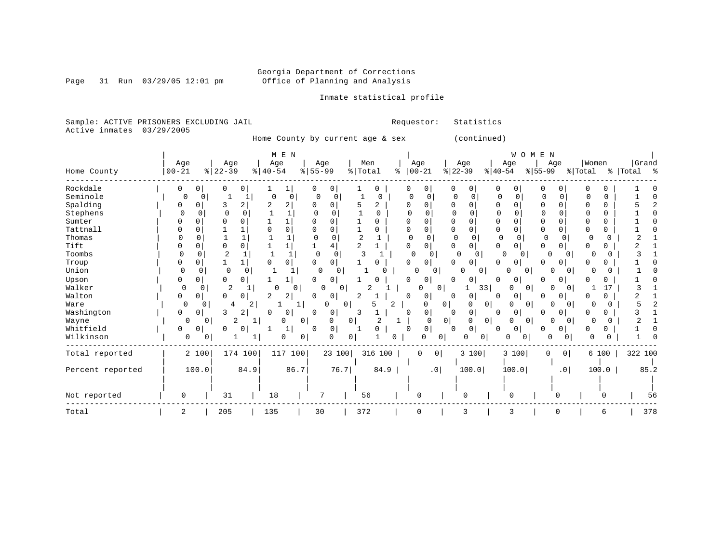Page 31 Run  $03/29/05$  12:01 pm

### Inmate statistical profile

Sample: ACTIVE PRISONERS EXCLUDING JAIL Requestor: Statistics Active inmates 03/29/2005

Home County by current age & sex (continued)

|                  |           |               |                  | M E N         |                         |                     |              |                |                     |                             | WOMEN                |                      |                   |           |
|------------------|-----------|---------------|------------------|---------------|-------------------------|---------------------|--------------|----------------|---------------------|-----------------------------|----------------------|----------------------|-------------------|-----------|
|                  | Age       |               | Age              | Age           | Age                     |                     | Men          | Age            |                     | Age                         | Age                  | Age                  | Women             | Grand     |
| Home County      | $00 - 21$ | $ 22-39$      |                  | $8   40 - 54$ | $8 55-99$               | $\frac{1}{6}$ Total |              | $ 00-21$<br>နွ |                     | $ 22-39$                    | $ 40-54$             | $8 55-99$            | % Total           | % Total % |
| Rockdale         | 0         | 0<br>0        | 0                | ı             | 0                       |                     | 0            | 0              | 0                   | 0                           | 0                    | O                    |                   |           |
| Seminole         | $\Omega$  |               |                  | 0             | 0                       |                     | <sup>0</sup> | $\Omega$       |                     |                             | $\Omega$             | O                    | $\Omega$          |           |
| Spalding         | 0         | 3             | 2                | 2<br>2        | O                       | 5                   | 2            | U              | 0                   | n<br><sup>0</sup>           | 0<br>U               | $\Omega$<br>$\Omega$ | $\mathbf 0$       |           |
| Stephens         | $\Omega$  | 0<br>$\Omega$ | $\Omega$         | $\mathbf{1}$  | O                       |                     | 0            |                |                     | $\cap$<br>U                 | $\Omega$             | O<br>∩               | $\Omega$          |           |
| Sumter           |           | $\Omega$      | $\Omega$         |               | $\Omega$                |                     | U            |                | 0                   | 0                           | 0<br>0               | $\Omega$             | 0                 |           |
| Tattnall         |           | $\Omega$      |                  | 0             | $\Omega$                |                     | U            | O              | 0                   | $\Omega$<br>$\Omega$        | 0<br>$\Omega$        | $\Omega$<br>O        | 0<br>U            |           |
| Thomas           |           |               |                  |               | $\Omega$                |                     |              | 0              | 0                   | 0<br>$\cap$                 | $\Omega$             | 0<br>$\Omega$        | ſ                 |           |
| Tift             |           | 0<br>$\Omega$ | $\Omega$         | 1             | 4                       | 2                   |              | 0              | 0                   | 0                           | 0<br>$\Omega$        | $\overline{0}$<br>O  | 0<br>0            |           |
| Toombs           |           | 2<br>$\Omega$ |                  |               | $\Omega$<br>$\Omega$    |                     |              | $\Omega$       | $\Omega$            | $\Omega$<br>$\Omega$        | $\Omega$<br>0        | $\Omega$<br>$\Omega$ | $\Omega$          |           |
| Troup            | 0         | 1<br>0        |                  | 0             | 0<br>$\Omega$           |                     |              | Ω              | 0                   | 0                           | 0                    | 0                    |                   |           |
| Union            | $\Omega$  | 0             | $\mathbf 0$<br>0 |               | $\Omega$                | 0                   |              | $\Omega$       | 0                   | 0<br>0                      | 0                    | O<br>0               | O                 |           |
| Upson            | 0         | 0             | 0                |               | $\Omega$<br>0           |                     |              | U              | 0                   | $\mathbf 0$<br><sup>0</sup> | 0<br>0               | 0<br>U               |                   |           |
| Walker           | 0         | O             | 2                | 0             | 0                       | O                   |              |                | 0                   | 33                          | 0<br>0               | 01<br>U              | 17                |           |
| Walton           | 0         | $\Omega$<br>0 | 0                | 2<br>2        | 0<br>0                  | 2                   |              | 0              | 0                   | 0                           | 0<br>0               | 0                    | 0                 |           |
| Ware             | $\Omega$  | 0             | 2<br>4           |               | U<br>1                  | 0                   | 2            |                | $\Omega$<br>$\circ$ | $\overline{0}$<br>0         | $\Omega$<br>$\Omega$ | $\Omega$<br>U        | O                 |           |
| Washington       | 0         | 3<br>0        | 2                | 0<br>C        | $\Omega$<br>0           | 3                   |              | $\Omega$       | 0                   | 0<br>$\Omega$               | 0<br>0               | 0  <br>U             |                   |           |
| Wayne            | 0         | 0             | 2                | 0             | 0<br>0                  | 0                   | 2            |                | 0 <sup>1</sup><br>0 | $\circ$<br>0                | $\Omega$<br>0        | 0<br>01              | 0                 |           |
| Whitfield        | 0         | 0<br>∩        |                  | 1             | $\mathbf 0$<br>$\Omega$ |                     | U            | 0              | 0                   | $\mathbf 0$<br>$\cap$       | 0<br>0               | 0<br>n               | <sup>0</sup><br>0 |           |
| Wilkinson        | 0         | 0             |                  | 0             | 0<br>O                  | 0                   | 0            |                | <sup>0</sup><br>0   | 0<br>0                      | 0<br><sup>0</sup>    | O<br>$\Omega$        | ∩                 |           |
| Total reported   |           | 2 100         | 174 100          | 117 100       |                         | 23 100              | 316 100      | 0              | 0 <sup>1</sup>      | 3 100                       | 3 100                | 0 <sup>1</sup><br>0  | 6 100             | 322 100   |
|                  |           |               |                  |               |                         |                     |              |                |                     |                             |                      |                      |                   |           |
| Percent reported |           | 100.0         | 84.9             | 86.7          |                         | 76.7                | 84.9         |                | .0 <sub>1</sub>     | 100.0                       | 100.0                | .0 <sub>1</sub>      | 100.0             | 85.2      |
|                  |           |               |                  |               |                         |                     |              |                |                     |                             |                      |                      |                   |           |
| Not reported     | 0         | 31            |                  | 18            | 7                       | 56                  |              | 0              |                     | $\Omega$                    | 0                    |                      |                   | 56        |
| Total            | 2         | 205           |                  | 135           | 30                      | 372                 |              | $\mathbf 0$    |                     | 3                           | 3                    | O                    | 6                 | 378       |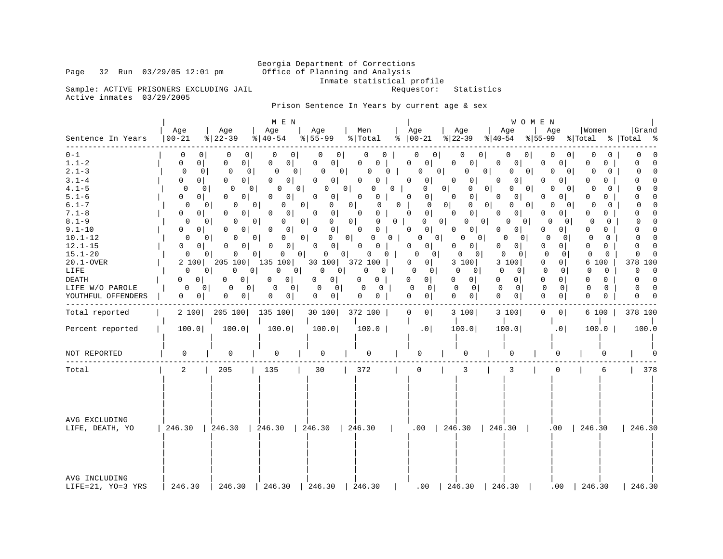Inmate statistical profile<br>Requestor: Statistics

Sample: ACTIVE PRISONERS EXCLUDING JAIL Active inmates 03/29/2005

Prison Sentence In Years by current age & sex

| Sentence In Years                                                                                                                                                                                                                                            | Age<br>  00-21                                                                                                                                                                                                                                                    | Age<br>$ 22-39 $                                                                                                                                                                                                                                                                                                                                                                                          | M E N<br>Age<br>$ 40-54 $                                                                                                                                                                                                                                        | Age<br>$\frac{1}{6}$   55-99                                                                                                                                                                                                                                                                                                                                          | Men<br>% Total                                                                                                                                                                                                                          | Age<br>$8   00-21$                                                                                                                                                                                                                                                                                                                                                                    | Age<br>$ \frac{1}{22-39} \cdot  \frac{1}{40-54} $                                                                                                                                                                                                                                                                                                                                                | WOMEN<br>Age<br>Age<br>%∣55-99                                                                                                                                                                                                                                                                                                                                                                                                                               | Women<br>% Total % Total                                                                                                                                                                                                                                                                                                                                                                                                                                             | Grand                                                                                                                                                                                                                                                                                                                                                                          |
|--------------------------------------------------------------------------------------------------------------------------------------------------------------------------------------------------------------------------------------------------------------|-------------------------------------------------------------------------------------------------------------------------------------------------------------------------------------------------------------------------------------------------------------------|-----------------------------------------------------------------------------------------------------------------------------------------------------------------------------------------------------------------------------------------------------------------------------------------------------------------------------------------------------------------------------------------------------------|------------------------------------------------------------------------------------------------------------------------------------------------------------------------------------------------------------------------------------------------------------------|-----------------------------------------------------------------------------------------------------------------------------------------------------------------------------------------------------------------------------------------------------------------------------------------------------------------------------------------------------------------------|-----------------------------------------------------------------------------------------------------------------------------------------------------------------------------------------------------------------------------------------|---------------------------------------------------------------------------------------------------------------------------------------------------------------------------------------------------------------------------------------------------------------------------------------------------------------------------------------------------------------------------------------|--------------------------------------------------------------------------------------------------------------------------------------------------------------------------------------------------------------------------------------------------------------------------------------------------------------------------------------------------------------------------------------------------|--------------------------------------------------------------------------------------------------------------------------------------------------------------------------------------------------------------------------------------------------------------------------------------------------------------------------------------------------------------------------------------------------------------------------------------------------------------|----------------------------------------------------------------------------------------------------------------------------------------------------------------------------------------------------------------------------------------------------------------------------------------------------------------------------------------------------------------------------------------------------------------------------------------------------------------------|--------------------------------------------------------------------------------------------------------------------------------------------------------------------------------------------------------------------------------------------------------------------------------------------------------------------------------------------------------------------------------|
| $0 - 1$<br>$1.1 - 2$<br>$2.1 - 3$<br>$3.1 - 4$<br>$4.1 - 5$<br>$5.1 - 6$<br>$6.1 - 7$<br>$7.1 - 8$<br>$8.1 - 9$<br>$9.1 - 10$<br>$10.1 - 12$<br>$12.1 - 15$<br>$15.1 - 20$<br>$20.1 - OVER$<br>LIFE<br><b>DEATH</b><br>LIFE W/O PAROLE<br>YOUTHFUL OFFENDERS | 0<br>0<br>$\overline{0}$<br>0<br>0<br>0<br>0 <sup>1</sup><br>0<br>0<br>0 <sup>1</sup><br>0<br>$\overline{0}$<br>0<br>0<br>0<br>$\overline{0}$<br>0<br>$\mathbf{0}$<br>0 I<br>0<br>2 100<br>$\Omega$<br>0 <sup>1</sup><br>0<br>0<br>0 <sup>1</sup><br>$\mathbf{0}$ | 0<br>0<br>$\overline{0}$<br>0<br>$\mathbf{0}$<br>0<br>0 I<br>0<br>0<br>0<br>0<br>0  <br>0<br>0<br>0<br>$\mathbf{0}$<br>0 <sup>1</sup><br>0<br>0<br>$\overline{0}$<br>0<br>0 <sup>1</sup><br>O<br>0<br>$\mathbf{0}$<br>0<br>0<br>0 <sup>1</sup><br>0<br>$\Omega$<br>205 100<br>$\Omega$<br>$\Omega$<br>0 <sup>1</sup><br>$\overline{0}$<br>$\Omega$<br>$\circ$<br>$\mathbf{0}$<br>0<br>$\overline{0}$<br>0 | 0<br>$\Omega$<br>0<br>0<br>0 <sup>1</sup><br>0<br>0<br>01<br>0<br>0<br>0<br>0<br>0<br>0<br>0<br>O<br>0 <sup>1</sup><br>0<br>0 <sup>1</sup><br>0<br>0<br>0 <sup>1</sup><br>0<br>135 100<br>0<br> 0 <br>$\circ$<br>0<br>0 <sup>1</sup><br>0<br>0 <sup>1</sup><br>0 | $\circ$<br>$\Omega$<br>0<br>$\circ$<br>0 <sup>1</sup><br>0<br>U<br>$\circ$<br>O<br>01<br>0<br> 0 <br>0<br>0 <sup>1</sup><br>$\circ$<br>0<br>0<br>0 <sup>1</sup><br>0<br>0 <sup>1</sup><br> 0 <br>0<br> 0 <br>$\circ$<br>0<br>0<br>0 <sup>1</sup><br>0<br>0 <sup>1</sup><br>30100<br>0 <sup>1</sup><br>0<br>0 <sup>1</sup><br>0<br>0<br>$\circ$<br>0<br>0 <sup>1</sup> | 0<br>0<br>0<br>0<br>O<br>$\Omega$<br>$\Omega$<br>0<br>0<br>0<br>0<br>0<br>0<br>0<br>0<br>0 <sup>1</sup><br>0<br>0<br>0<br>0<br>0<br>$\mathbf 0$<br>0<br>0<br>$\mathbf{0}$<br>372 100<br>0<br>$\mathbf{0}$<br>0<br>0<br>0<br>0<br>0<br>0 | 0 <br>0<br>0<br>0 <sup>1</sup><br> 0 <br>0<br>$\circ$<br>$\Omega$<br>0<br>0<br>$\circ$<br>$\mathbf 0$<br>$\circ$<br>0<br>$\mathbf 0$<br>0 <sup>1</sup><br>$\mathbf 0$<br>0 <sup>1</sup><br>0<br>0 <sup>1</sup><br>0<br>0 <sup>1</sup><br>$\Omega$<br>$\Omega$<br>0 <sup>1</sup><br>0<br>$\overline{0}$<br>0<br>0<br>0 <sup>1</sup><br>0<br>$\mathbf{0}$<br>$\Omega$<br>0 <sup>1</sup> | 0 <sup>1</sup><br>0<br>0<br>0<br>0<br>0 <sup>1</sup><br>0<br>0<br>0<br>0<br>0 <sup>1</sup><br>0<br>0<br>0<br>0<br>0<br>0 <sup>1</sup><br>0<br>$\circ$<br>0<br>0<br>0<br>0<br>0 <sup>1</sup><br>0<br>$\Omega$<br>0<br>0<br>0<br>0<br>0 <sup>1</sup><br>0<br>0<br>0 <sup>1</sup><br>3 100<br>$\Omega$<br>$\mathbf{0}$<br>0<br>0 <sup>1</sup><br>0<br>$\mathbf{0}$<br>0<br>0<br>$\overline{0}$<br>0 | 0<br>0<br>$\Omega$<br>0<br>0<br>0<br> 0 <br>0<br>0<br>0 <sup>1</sup><br>O<br>0<br>0<br>O<br>0 <sup>1</sup><br>O<br>0<br>$\circ$<br>$\Omega$<br>0 <sup>1</sup><br>0<br>0<br>0 <sup>1</sup><br>0<br>01<br>0<br>$\Omega$<br>$\Omega$<br>0<br>0 <sup>1</sup><br>0<br>0<br>$\mathbf{0}$<br>$\Omega$<br>3 100<br>0<br>$\mathbf 0$<br>$\Omega$<br>$\overline{0}$<br>0 <sup>1</sup><br>0<br>$\mathbf 0$<br>0<br>$\Omega$<br>$\Omega$<br>$\mathbf{0}$<br>$\mathbf{0}$ | 0<br>0<br>0<br>0<br>0<br>0 I<br>0<br>0<br>0 <sup>1</sup><br>O<br>$\Omega$<br>0<br>N<br>0<br>0 <sup>1</sup><br>0<br>0<br>0<br>- 0 I<br>0<br>$\overline{0}$<br>O<br>0<br>$\Omega$<br>- 0 I<br>$\Omega$<br>0<br>$\overline{0}$<br>0<br>$\Omega$<br>0<br>0<br>O<br><sup>o</sup><br>0 I<br>$\circ$<br>0<br>$\Omega$<br>0 <sup>1</sup><br>6<br>100<br>$\mathbf 0$<br>$\circ$<br>$\Omega$<br>$\Omega$<br>0<br>$\Omega$<br>$\Omega$<br>$\Omega$<br>$\Omega$<br>$\Omega$<br>0 | $\Omega$<br>$\mathbf 0$<br>$\Omega$<br>O<br>$\Omega$<br>$\Omega$<br>$\Omega$<br>$\Omega$<br>$\Omega$<br>O<br>0<br>$\Omega$<br>$\mathbf 0$<br>$\mathbf 0$<br>$\Omega$<br>0<br>0<br>$\Omega$<br>0<br>$\Omega$<br>$\Omega$<br>$\Omega$<br>$\Omega$<br>$\Omega$<br>U<br>$\Omega$<br>378<br>100<br>$\Omega$<br>$\Omega$<br>$\Omega$<br>$\Omega$<br>$\Omega$<br>$\Omega$<br>$\Omega$ |
| Total reported                                                                                                                                                                                                                                               | 2 100                                                                                                                                                                                                                                                             | 205 100                                                                                                                                                                                                                                                                                                                                                                                                   | 135 100                                                                                                                                                                                                                                                          | 30 100                                                                                                                                                                                                                                                                                                                                                                | 372 100                                                                                                                                                                                                                                 | $\mathbf 0$<br>0 <sup>1</sup>                                                                                                                                                                                                                                                                                                                                                         | 3 100                                                                                                                                                                                                                                                                                                                                                                                            | 3 100<br>$\Omega$<br>$\overline{0}$                                                                                                                                                                                                                                                                                                                                                                                                                          | 6 100                                                                                                                                                                                                                                                                                                                                                                                                                                                                | 378 100                                                                                                                                                                                                                                                                                                                                                                        |
| Percent reported                                                                                                                                                                                                                                             | 100.0                                                                                                                                                                                                                                                             | 100.0                                                                                                                                                                                                                                                                                                                                                                                                     | 100.0                                                                                                                                                                                                                                                            | 100.0                                                                                                                                                                                                                                                                                                                                                                 | 100.0                                                                                                                                                                                                                                   | .0                                                                                                                                                                                                                                                                                                                                                                                    | 100.0                                                                                                                                                                                                                                                                                                                                                                                            | 100.0<br>.0 <sub>1</sub>                                                                                                                                                                                                                                                                                                                                                                                                                                     | 100.0                                                                                                                                                                                                                                                                                                                                                                                                                                                                | 100.0                                                                                                                                                                                                                                                                                                                                                                          |
| NOT REPORTED                                                                                                                                                                                                                                                 | 0                                                                                                                                                                                                                                                                 | $\Omega$                                                                                                                                                                                                                                                                                                                                                                                                  | $\Omega$                                                                                                                                                                                                                                                         | 0                                                                                                                                                                                                                                                                                                                                                                     | 0                                                                                                                                                                                                                                       | U                                                                                                                                                                                                                                                                                                                                                                                     | 0                                                                                                                                                                                                                                                                                                                                                                                                | U                                                                                                                                                                                                                                                                                                                                                                                                                                                            |                                                                                                                                                                                                                                                                                                                                                                                                                                                                      |                                                                                                                                                                                                                                                                                                                                                                                |
| Total                                                                                                                                                                                                                                                        | $\overline{a}$                                                                                                                                                                                                                                                    | 205                                                                                                                                                                                                                                                                                                                                                                                                       | 135                                                                                                                                                                                                                                                              | 30                                                                                                                                                                                                                                                                                                                                                                    | 372                                                                                                                                                                                                                                     | $\mathbf 0$                                                                                                                                                                                                                                                                                                                                                                           | 3                                                                                                                                                                                                                                                                                                                                                                                                | 3<br>0                                                                                                                                                                                                                                                                                                                                                                                                                                                       | 6                                                                                                                                                                                                                                                                                                                                                                                                                                                                    | 378                                                                                                                                                                                                                                                                                                                                                                            |
| AVG EXCLUDING<br>LIFE, DEATH, YO                                                                                                                                                                                                                             | 246.30                                                                                                                                                                                                                                                            | 1246.30                                                                                                                                                                                                                                                                                                                                                                                                   | 246.30                                                                                                                                                                                                                                                           | 246.30                                                                                                                                                                                                                                                                                                                                                                | 246.30                                                                                                                                                                                                                                  | $.00$   246.30                                                                                                                                                                                                                                                                                                                                                                        |                                                                                                                                                                                                                                                                                                                                                                                                  | 246.30                                                                                                                                                                                                                                                                                                                                                                                                                                                       | $.00$   246.30                                                                                                                                                                                                                                                                                                                                                                                                                                                       | 246.30                                                                                                                                                                                                                                                                                                                                                                         |
| AVG INCLUDING<br>LIFE=21, YO=3 YRS                                                                                                                                                                                                                           | 246.30                                                                                                                                                                                                                                                            | 246.30                                                                                                                                                                                                                                                                                                                                                                                                    | 246.30                                                                                                                                                                                                                                                           | 246.30                                                                                                                                                                                                                                                                                                                                                                | 246.30                                                                                                                                                                                                                                  | .00                                                                                                                                                                                                                                                                                                                                                                                   | 246.30                                                                                                                                                                                                                                                                                                                                                                                           | 246.30<br>.00                                                                                                                                                                                                                                                                                                                                                                                                                                                | 246.30                                                                                                                                                                                                                                                                                                                                                                                                                                                               | 246.30                                                                                                                                                                                                                                                                                                                                                                         |

Page 32 Run 03/29/05 12:01 pm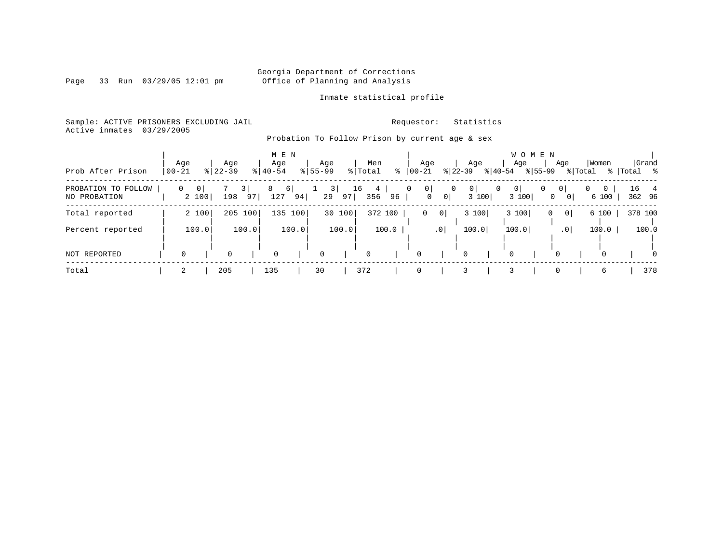Page 33 Run  $03/29/05$  12:01 pm

Inmate statistical profile

Sample: ACTIVE PRISONERS EXCLUDING JAIL Requestor: Statistics Active inmates 03/29/2005

Probation To Follow Prison by current age & sex

| Prob After Prison                   | Age<br>$00 - 21$ |             | Aqe<br>$8 22-39$ |          | M E N<br>Age<br>$8140 - 54$ |       | Age<br>$8155 - 99$  |        | % Total  | Men                         | $\frac{1}{6}$   00-21 | Age                                                      | Age<br>$ 22-39 $ | $ 40-54 $ | Age         | WOMEN<br>$8155 - 99$ | Age                                 | % Total | Women                   | %   Total %    | Grand    |
|-------------------------------------|------------------|-------------|------------------|----------|-----------------------------|-------|---------------------|--------|----------|-----------------------------|-----------------------|----------------------------------------------------------|------------------|-----------|-------------|----------------------|-------------------------------------|---------|-------------------------|----------------|----------|
| PROBATION TO FOLLOW<br>NO PROBATION | $\overline{0}$   | 0 <br>2 100 | 198              | 3 <br>97 | 8<br>$6 \mid$<br>127        | 94    | $\frac{3}{ }$<br>29 | 97     | 16       | 4 <sup>1</sup><br>96<br>356 | 0                     | 0 <br>$\overline{0}$<br>0 <sup>1</sup><br>$\overline{0}$ | 0<br>3 100       | 0         | 0<br>3 100  | 0                    | 0 <br>0 <sup>1</sup><br>$\mathbf 0$ | 0       | $\overline{0}$<br>6 100 | 16 4<br>362 96 |          |
| Total reported                      |                  | 2 100       | 205 100          |          | 135 100                     |       |                     | 30 100 |          | 372 100                     |                       | $\circ$<br>$\mathbf{0}$                                  | 3 100            |           | 3 100       | 0                    | 0                                   |         | 6 100                   | 378 100        |          |
| Percent reported                    |                  | 100.0       |                  | 100.0    |                             | 100.0 |                     | 100.0  |          | 100.0                       |                       | .0                                                       | 100.0            |           | 100.0       |                      | .0 <sup>1</sup>                     |         | 100.0                   |                | 100.0    |
| NOT REPORTED                        |                  |             | $\mathbf 0$      |          | $\Omega$                    |       | $\mathbf 0$         |        | $\Omega$ |                             | 0                     |                                                          | $\Omega$         |           | $\mathbf 0$ |                      | $\Omega$                            |         | $\Omega$                |                | $\Omega$ |
| Total                               |                  |             | 205              |          | 135                         |       | 30                  |        | 372      |                             | 0                     |                                                          |                  |           |             |                      |                                     |         | 6                       |                | 378      |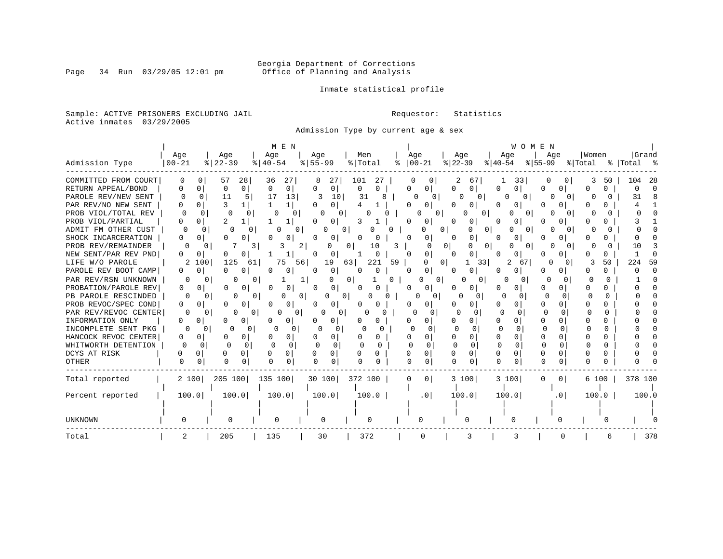# Georgia Department of Corrections<br>Page 34 Run 03/29/05 12:01 pm office of Planning and Analysis Office of Planning and Analysis

Inmate statistical profile

Sample: ACTIVE PRISONERS EXCLUDING JAIL **Requestor:** Statistics Active inmates 03/29/2005

Admission Type by current age & sex

|                      |              |                       |                | M E N              |                          |                 |                            |                      | W O M E N            |                     |                   |            |
|----------------------|--------------|-----------------------|----------------|--------------------|--------------------------|-----------------|----------------------------|----------------------|----------------------|---------------------|-------------------|------------|
|                      | Age          | Age                   |                | Age                | Aqe                      | Men             | Age                        | Age                  | Age                  | Age                 | Women             | Grand      |
| Admission Type       | $ 00 - 21$   | $\frac{1}{8}$   22-39 |                | $8   40 - 54$      | $8 55-99$                | % Total<br>ႜ    | $ 00-21 $                  | $ 22-39$             | $ 40-54$             | $ 55-99 $           | % Total           | % Total %  |
| COMMITTED FROM COURT | <sup>0</sup> | 57                    | 28             | 27<br>36           | 27                       | 101<br>27       | 0                          | $6^{\prime}$         | 33                   | 0                   | 50                | -28<br>104 |
| RETURN APPEAL/BOND   | 0            | 0<br>$\Omega$         | 0 <sup>1</sup> | 0<br>0             | 0<br>O                   | 0<br>0          | 0 I<br>Λ                   | 0<br>0               | U<br>0               | O                   | <sup>0</sup><br>∩ |            |
| PAROLE REV/NEW SENT  | 0            | 11<br>$\Omega$        |                | 13<br>17           | 3<br>10                  | 31<br>8         | 0<br>0                     | 0                    | U                    | 0                   |                   | 31         |
| PAR REV/NO NEW SENT  |              | 3                     |                |                    | 0<br>O                   |                 |                            | 0                    |                      |                     |                   |            |
| PROB VIOL/TOTAL REV  |              | $\Omega$<br>$\Omega$  | U              | U<br>0             | 0                        |                 | U                          | 0                    | 0                    |                     |                   |            |
| PROB VIOL/PARTIAL    | U            | 2<br>0                |                |                    | 0                        | 3               |                            | 0                    |                      |                     |                   |            |
| ADMIT FM OTHER CUST  | O            | O                     | 0              | 0                  | U<br>0                   | O               | 0                          | 0 <sup>1</sup><br>0  | U<br>$\Omega$        | O                   |                   |            |
| SHOCK INCARCERATION  | U            | 0<br>∩                | 0              | 0                  | 0                        | O<br>O          | n<br>0                     | 0<br>0               | 0                    |                     |                   |            |
| PROB REV/REMAINDER   | O            | 0                     | 3              | 2                  | O                        | 0<br>10<br>3    | $\Omega$                   | $\Omega$<br>0        | U<br>0               |                     |                   | 10         |
| NEW SENT/PAR REV PND | 0            | 0<br>O                | 0              | 1                  | O<br>0                   | 0               | $\overline{0}$<br>∩        | 0                    | 0                    |                     | U.                |            |
| LIFE W/O PAROLE      | 2            | 125<br>100            | 61             | 56<br>75           | 19                       | 63<br>221<br>59 | U                          | $\Omega$<br>1<br>331 | 67                   | 0<br>0              | 50                | 224<br>59  |
| PAROLE REV BOOT CAMP | 0            | 0<br>O                | 0              | 0                  | 0<br>0                   | 0<br>0          | $\overline{0}$<br>$\Omega$ | 0                    | 0                    | 0                   |                   |            |
| PAR REV/RSN UNKNOWN  | O            | <sup>0</sup>          | U<br>0         |                    |                          | 0<br>n          | Ω<br>0                     | O<br>$\Omega$        | 0                    |                     | n<br>U            |            |
| PROBATION/PAROLE REV | 0            | 0<br><sup>0</sup>     | O              | 0<br>O             | <sup>0</sup><br>$\Omega$ | 0               | 0<br>O                     | 0<br>O               | 0                    |                     | U                 |            |
| PB PAROLE RESCINDED  | O            | $\Omega$              | $\Omega$       | $\Omega$           | 0                        |                 | 0                          | n                    | ∩<br>0               | <sup>0</sup>        | O<br>n            |            |
| PROB REVOC/SPEC COND | 0            | O<br>∩                |                | 0<br>O             | 0                        |                 |                            | 0                    |                      | U                   |                   |            |
| PAR REV/REVOC CENTER | 0            | <sup>0</sup>          | 0              | $\Omega$           | 0                        | O               | <sup>0</sup>               | ∩                    | U                    |                     | U                 |            |
| INFORMATION ONLY     | 0            |                       |                |                    | 0                        |                 |                            | O.                   |                      | 0<br>U              |                   |            |
| INCOMPLETE SENT PKG  |              | 0                     | 0              | $\Omega$           | 0                        |                 |                            | O                    | ∩<br>0               | 0                   | N                 |            |
| HANCOCK REVOC CENTER | 0            | 0<br>n                | 0              | 0                  | 0                        |                 |                            | 0                    | $\Omega$             |                     |                   |            |
| WHITWORTH DETENTION  | n            | $\Omega$<br>U         | $\Omega$       | $\cap$<br>$\Omega$ | $\cap$                   | O               | $\Omega$                   | $\Omega$<br>O        | $\Omega$<br>$\Omega$ | <sup>n</sup>        | O                 |            |
| DCYS AT RISK         | U            | 0<br>U                | $\Omega$       | $\Omega$           | 0                        |                 | $\cap$<br>$\Omega$         | 0<br>U               | $\Omega$             | U<br><sup>n</sup>   |                   |            |
| OTHER                | $\Omega$     | ∩<br><sup>0</sup>     | 0              | 0                  |                          |                 | 0                          | $\Omega$             | <sup>n</sup>         | 0                   |                   |            |
| Total reported       | 2 100        | 205 100               |                | 135 100            | 30 100                   | 372 100         | 0 <sup>1</sup><br>O        | 3 100                | 3 100                | 0 <sup>1</sup><br>U | 6 100             | 378 100    |
|                      |              |                       |                |                    |                          |                 |                            |                      |                      |                     |                   |            |
| Percent reported     | 100.0        |                       | 100.0          | 100.0              | 100.0                    | 100.0           | $\cdot$ 0                  | 100.0                | 100.0                | .0                  | 100.0             | 100.0      |
|                      |              |                       |                |                    |                          |                 |                            |                      |                      |                     |                   |            |
|                      |              |                       |                |                    |                          |                 |                            |                      |                      |                     |                   |            |
| UNKNOWN              |              |                       |                | 0                  | 0                        | 0               | n                          | U                    |                      |                     |                   |            |
| Total                |              | 205                   |                | 135                | 30                       | 372             |                            |                      |                      | U                   |                   | 378        |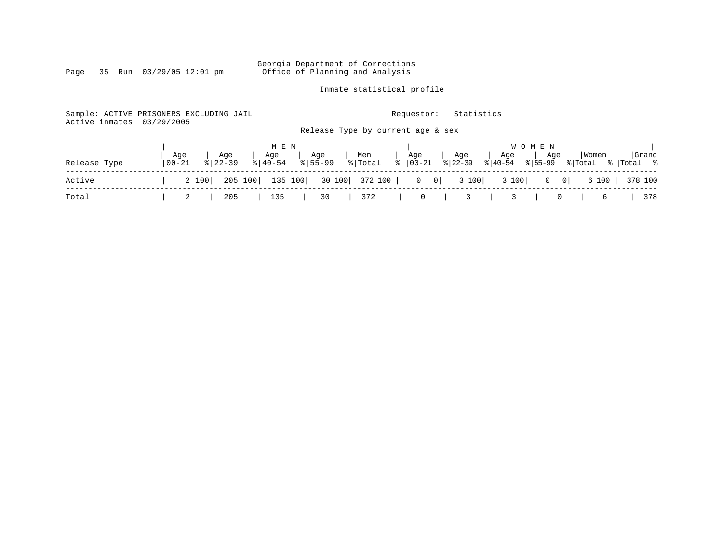Inmate statistical profile

Sample: ACTIVE PRISONERS EXCLUDING JAIL **Requestor:** Statistics Active inmates 03/29/2005 Release Type by current age & sex

|              |            |     |                       | MEN |                              |  |  |                                                                                                           |  | W O M E N |  |  |     |  |
|--------------|------------|-----|-----------------------|-----|------------------------------|--|--|-----------------------------------------------------------------------------------------------------------|--|-----------|--|--|-----|--|
|              |            | Age | Age                   |     | Age   Age<br>% 40-54 % 55-99 |  |  | Men   Age   Age   Age   Age   Women  Grand<br>  % Total % 00-21 % 22-39 % 40-54 % 55-99 % Total % Total % |  |           |  |  |     |  |
| Release Type | $100 - 21$ |     | $\frac{1}{8}$   22-39 |     |                              |  |  |                                                                                                           |  |           |  |  |     |  |
| Active       |            |     |                       |     |                              |  |  | 2 100   205 100   135 100   30 100   372 100   00   00   3 100   3 100   00   6 100   378 100             |  |           |  |  |     |  |
| Total        |            |     |                       |     |                              |  |  | 2   205   135   30   372   0   3   3   0   6                                                              |  |           |  |  | 378 |  |

Page 35 Run  $03/29/05$  12:01 pm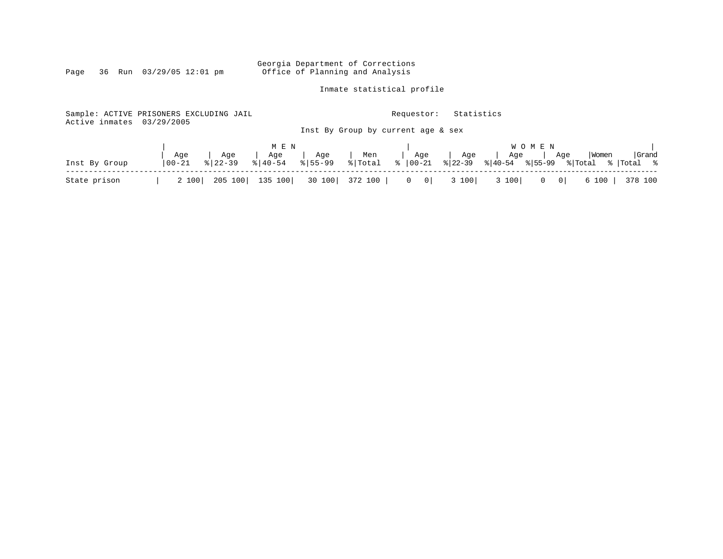Georgia Department of Corrections<br>Page 36 Run 03/29/05 12:01 pm office of Planning and Analysis Office of Planning and Analysis

Inmate statistical profile

| Sample: ACTIVE PRISONERS EXCLUDING JAIL<br>Active inmates | 03/29/2005  |             |                |                |         | Requestor:                                   | Statistics |                                        |                             |       |            |
|-----------------------------------------------------------|-------------|-------------|----------------|----------------|---------|----------------------------------------------|------------|----------------------------------------|-----------------------------|-------|------------|
|                                                           |             |             |                |                |         | Inst By Group by current age & sex           |            |                                        |                             |       |            |
|                                                           |             |             | M E N          |                |         |                                              |            |                                        | <b>WOMEN</b>                |       |            |
|                                                           | Age         | Age         | Age<br>% 40-54 | Age<br>8 55-99 | Men     | Age                                          | Age        | Age                                    | Aqe                         | Women | Grand      |
| Inst By Group                                             | $ 00 - 21 $ | $8122 - 39$ |                |                |         | $\sqrt[6]{\text{Total}}$ $\sqrt[6]{ 00-21 }$ |            | $ 22-39 $ $ 40-54 $ $ 55-99 $ $ Total$ |                             |       | %  Total % |
| State prison                                              | 2 100       | 205 100     | 135 100        | 30 100         | 372 100 | $0 \qquad 0$                                 | 3 100      | 3 100                                  | $\circ$  <br>$\overline{0}$ | 6 100 | 378 100    |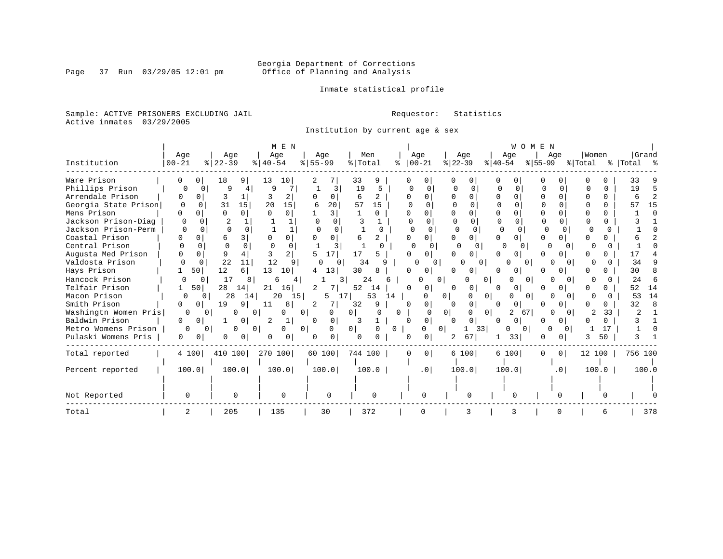Inmate statistical profile

Sample: ACTIVE PRISONERS EXCLUDING JAIL **Requestor:** Statistics Active inmates 03/29/2005

Institution by current age & sex

|                      |           |              |          |              |           | M E N    |                |                 |    |          |    |          |                 |                |               |                |              | WOMEN    |           |                 |         |              |           |     |
|----------------------|-----------|--------------|----------|--------------|-----------|----------|----------------|-----------------|----|----------|----|----------|-----------------|----------------|---------------|----------------|--------------|----------|-----------|-----------------|---------|--------------|-----------|-----|
|                      | Age       |              | Age      |              | Age       |          |                | Age             |    | Men      |    |          | Age             |                | Age           |                | Age          |          |           | Aqe             | Women   |              | Grand     |     |
| Institution          | $00 - 21$ |              | $ 22-39$ |              | $ 40-54 $ |          | $8 55-99$      |                 |    | % Total  |    |          | $ 00-21 $       |                | $ 22-39 $     | $ 40-54 $      |              |          | $ 55-99 $ |                 | % Total |              | % Total % |     |
| Ware Prison          |           |              | 18       | 9.           | 13        | 10       |                |                 | 33 | 9        |    |          |                 |                |               | 0              |              |          |           |                 |         |              | 33        |     |
| Phillips Prison      | $\Omega$  | O            | 9        |              | Q         |          |                | 3               | 19 |          |    | O        |                 |                |               | $\Omega$       |              |          |           | 0               |         | <sup>0</sup> | 19        |     |
| Arrendale Prison     | O         | 0            |          |              |           | 2        |                |                 | 6  |          |    |          |                 |                |               | U              |              |          |           |                 |         | 0            |           |     |
| Georgia State Prison | 0         | 0            | 31       | 15           | 20        | 15       | 6              | 20              | 57 | 15       |    |          |                 |                | $\Omega$      |                |              |          |           |                 |         | O            |           | 15  |
| Mens Prison          |           |              | 0        | $\cap$       | $\cap$    | $\Omega$ |                | $\mathcal{R}$   |    | $\Omega$ |    | U        |                 |                | $\Omega$      | U              |              |          | O         |                 |         |              |           |     |
| Jackson Prison-Diag  |           |              |          |              |           |          |                | $\Omega$        |    |          |    |          |                 |                |               | $\Omega$       |              |          |           |                 |         |              |           |     |
| Jackson Prison-Perm  |           | $\Omega$     | $\Omega$ |              |           |          |                | $\Omega$        |    |          | 0  | $\Omega$ | 0               |                | $\Omega$      |                | O            |          | $\Omega$  |                 |         |              |           |     |
| Coastal Prison       |           | <sup>0</sup> | 6        | 3            |           | 0        |                | $\Omega$        | 6  | 2        |    |          | 0               |                | $\Omega$      | U              |              |          |           | $\Omega$        |         |              |           |     |
| Central Prison       |           | $\Omega$     | $\Omega$ |              |           | $\Omega$ |                | २               |    |          |    |          | <sup>n</sup>    |                |               |                |              |          | U         |                 |         |              |           |     |
| Augusta Med Prison   |           | 0            | 9        |              |           | 2        |                | 17 <sub>1</sub> | 17 |          |    |          | 0               |                |               |                |              |          |           |                 |         |              |           |     |
| Valdosta Prison      |           | $\Omega$     | 22       | 11           | 12        |          | n              | 0               |    | 34       | a  |          | 0               |                | O<br>$\Omega$ |                |              | 0        | U         |                 |         |              | 34        |     |
| Hays Prison          |           | 50           | 12       | 6.           | 13        | 10       | 4              | 13              | 30 | 8        |    |          | 0               |                | 0             | 0              | Ü            |          |           | 0               |         |              | 30        |     |
| Hancock Prison       |           | 0            | 17       | 8            | 6         | 4        |                |                 |    | 24       |    |          |                 | 0              | <sup>0</sup>  | 0              |              | 0        |           | $\Omega$        |         |              | 24        |     |
| Telfair Prison       |           | 50           | 28       | 14           | 21        | 16       | $\overline{2}$ |                 | 52 | 14       |    | U        | 0               |                | 0             | 0              | $\mathbf{0}$ |          |           |                 |         |              | 52        | 14  |
| Macon Prison         | O         | 0            | 28       | 14           | 20        | 15       |                | 5.              | 17 | 53       | 14 |          |                 | $^{\circ}$     | 0             | 0 <sup>1</sup> | O            | 0        |           | O               |         |              | 53        | 14  |
| Smith Prison         |           | $\Omega$     | 19       | 9            | 11        | 8        | 2              |                 | 32 | 9        |    |          | 0               |                | $\Omega$      | U              | $\Omega$     |          |           | 0               |         |              | 32        |     |
| Washingtn Women Pris | $\Omega$  |              | O        | $\Omega$     |           | U        | 0 <sup>1</sup> | 0               |    |          |    | 0        |                 | $\overline{0}$ | 0             | 0 <sup>1</sup> | 2            | 67       |           | $\Omega$        |         | 33           |           |     |
| Baldwin Prison       | 0         | 0            |          | 0            | 2         | 1        |                | 0               | 3  |          |    | $\Omega$ | 0               |                | 0             | $\Omega$       | $\Omega$     |          |           | 01              |         | U            |           |     |
| Metro Womens Prison  | $\Omega$  | 0            | $\Omega$ | $\Omega$     |           | 0        | 0 <sup>1</sup> | 0               | 0  |          | 0  |          | O               | $\mathbf{0}$   | 33<br>1       |                | 0            | $\Omega$ | O         | $\Omega$        |         | 17           |           |     |
| Pulaski Womens Pris  | $\Omega$  | $\Omega$     | 0        | $\mathbf{0}$ |           | 0        |                |                 | 0  |          |    | $\Omega$ | 0               | 2.             | 67            |                | 33           |          | O         | $\Omega$        |         | 50           |           |     |
| Total reported       | 4 100     |              | 410 100  |              | 270 100   |          |                | 60 100          |    | 744 100  |    | 0        | $\overline{0}$  |                | 6 100         |                | 6 100        |          | $\Omega$  | 0 <sup>1</sup>  | 12 100  |              | 756 100   |     |
| Percent reported     | 100.0     |              | 100.0    |              | 100.0     |          |                | 100.0           |    | 100.0    |    |          | .0 <sub>1</sub> |                | 100.0         |                | 100.0        |          |           | .0 <sub>1</sub> | 100.0   |              | 100.0     |     |
|                      |           |              |          |              |           |          |                |                 |    |          |    |          |                 |                |               |                |              |          |           |                 |         |              |           |     |
| Not Reported         | 0         |              | 0        |              |           | $\Omega$ |                | 0               |    |          |    |          |                 |                |               |                | O            |          |           |                 |         |              |           |     |
| Total                | 2         |              | 205      |              | 135       |          |                | 30              |    | 372      |    |          |                 |                |               |                | 3            |          |           | $\Omega$        |         |              |           | 378 |

Page 37 Run 03/29/05 12:01 pm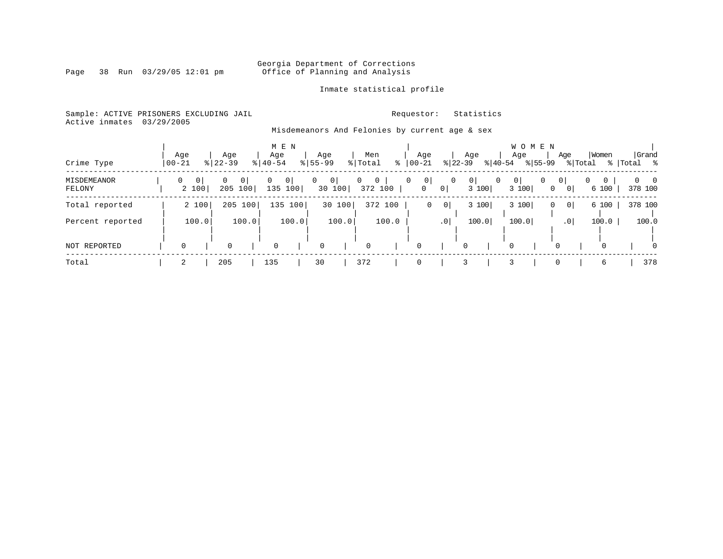# Georgia Department of Corrections<br>Page 38 Run 03/29/05 12:01 pm office of Planning and Analysis Office of Planning and Analysis

### Inmate statistical profile

Sample: ACTIVE PRISONERS EXCLUDING JAIL **Requestor:** Statistics

Active inmates 03/29/2005

# Misdemeanors And Felonies by current age & sex

| Crime Type            | Age<br>$00 - 21$  |         | Age<br>$8$   22-39 |                | Age<br>$8   40 - 54$ | M E N                     | Age<br>$8 55-99$ |             | Men<br>% Total | ႜ                       | Age<br>$00 - 21$  |                                  | $ 22-39 $      | Age<br>$ 40-54$  | Age         | WOMEN<br>$ 55-99$ | Age                 | % Total         | Women                        | Grand<br>%   Total % |          |
|-----------------------|-------------------|---------|--------------------|----------------|----------------------|---------------------------|------------------|-------------|----------------|-------------------------|-------------------|----------------------------------|----------------|------------------|-------------|-------------------|---------------------|-----------------|------------------------------|----------------------|----------|
| MISDEMEANOR<br>FELONY | $\Omega$<br>2 100 | $\circ$ | 0<br>205 100       | 0 <sup>1</sup> | 0                    | 0 <sup>1</sup><br>135 100 | 0                | 0 <br>30100 | 0              | $\mathbf{0}$<br>372 100 | $\mathbf{0}$<br>0 | 0<br>$\circ$                     | $\overline{0}$ | 0 <br>0<br>3 100 | 0 <br>3 100 | 0                 | 0 <sup>1</sup><br>0 | 0 <sup>1</sup>  | $\circ$<br>$\Omega$<br>6 100 | 378 100              | $\Omega$ |
| Total reported        | 2 100             |         | 205 100            |                |                      | 135 100                   |                  | 30 100      |                | 372 100                 |                   | 0 <sup>1</sup><br>$\overline{0}$ |                | 3 100            | 3 100       |                   | 0                   | 0               | 6 100                        | 378 100              |          |
| Percent reported      |                   | 100.0   |                    | 100.0          |                      | 100.0                     |                  | 100.0       |                | 100.0                   |                   | .0 <sup>1</sup>                  |                | 100.0            | 100.0       |                   |                     | .0 <sup>1</sup> | 100.0                        | 100.0                |          |
| NOT REPORTED          | $\Omega$          |         | $\mathbf 0$        |                | 0                    |                           | $\mathbf 0$      |             | $\Omega$       |                         | 0                 |                                  | 0              |                  | $\Omega$    |                   |                     |                 | 0                            |                      | $\Omega$ |
| Total                 |                   |         | 205                |                | 135                  |                           | 30               |             | 372            |                         | 0                 |                                  |                |                  |             |                   | 0                   |                 | 6                            | 378                  |          |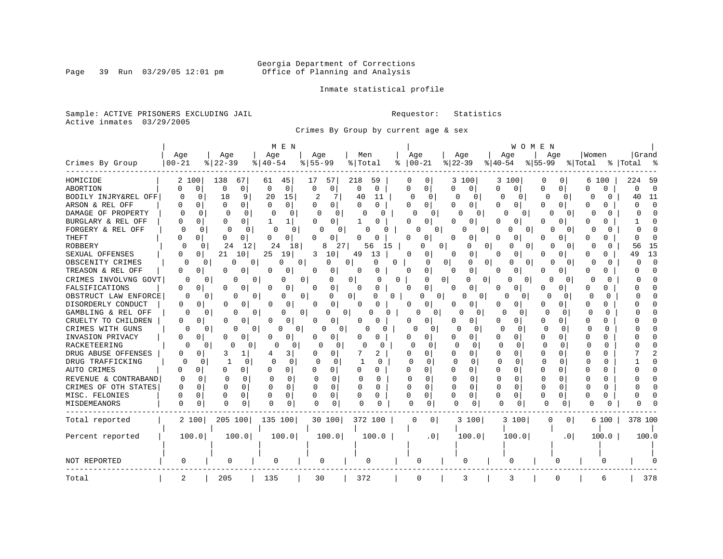# Georgia Department of Corrections<br>Page 39 Run 03/29/05 12:01 pm office of Planning and Analysis Office of Planning and Analysis

Inmate statistical profile

Sample: ACTIVE PRISONERS EXCLUDING JAIL **Requestor:** Statistics Active inmates 03/29/2005

Crimes By Group by current age & sex

|                      |                   |                          | M E N                    |                          |                               |                          |                          | WOMEN                    |                          |                      |                          |
|----------------------|-------------------|--------------------------|--------------------------|--------------------------|-------------------------------|--------------------------|--------------------------|--------------------------|--------------------------|----------------------|--------------------------|
|                      | Age               | Age                      | Age                      | Age                      | Men                           | Age                      | Age                      | Age                      | Age                      | Women                | Grand                    |
| Crimes By Group      | $00 - 21$         | $8   22 - 39$            | $8   40 - 54$            | $8155 - 99$              | % Total                       | $ 00 - 21 $<br>°         | $ 22-39$                 | $ 40-54 $                | $ 55-99 $                | % Total              | %   Total<br>ু ⊱         |
| HOMICIDE             | 2 100             | 138<br>67                | 45<br>61                 | 57<br>17                 | 218<br>59                     | 0<br>0                   | 3 100                    | 3 100                    | 0<br>0                   | 6 100                | 224<br>- 59              |
| <b>ABORTION</b>      | 0<br><sup>0</sup> | 0<br>0                   | $\Omega$<br>0            | 0<br>$\Omega$            | $\mathbf 0$<br>0              | $\Omega$<br>0            | 0<br>0                   | 0<br>0 <sup>1</sup>      | U<br>0                   | $\Omega$<br>$\Omega$ | $\Omega$<br><sup>0</sup> |
| BODILY INJRY&REL OFF | 0<br>0            | 9<br>18                  | 20<br>15                 | 2<br>7                   | 40<br>11                      | $\Omega$<br>0            | 0<br>O                   | 0<br>0                   | $\Omega$<br>0            | O<br>0               | 11<br>40                 |
| ARSON & REL OFF      | 0                 | $\Omega$<br>0            | 0<br>0                   | 0<br>O                   | 0<br>0                        | O<br>01                  | 0<br>O                   | O<br>0                   | U<br>0                   | ∩<br>U               | n                        |
| DAMAGE OF PROPERTY   | $\cap$<br>0       | $\Omega$<br><sup>0</sup> | 0<br>C                   | $\Omega$<br>$\Omega$     | 0<br>U                        | O<br>$\Omega$            | $\Omega$<br>$\Omega$     | U<br>$\Omega$            | $\cap$<br>$\Omega$       | U<br>O               | $\cap$<br>n              |
| BURGLARY & REL OFF   | O<br>0            | $\Omega$<br>0            | 1<br>1                   | 0<br>0                   | U                             | <sup>0</sup><br>0        | O<br>0                   | 0<br>0                   | O<br>0                   | 0<br>U               | n                        |
| FORGERY & REL OFF    | $\Omega$          | $\Omega$<br>$\Omega$     | $\Omega$<br>0            | 0<br>O                   | O<br>0                        |                          | 0<br>O<br>0              | U<br>0                   | 0<br>$\Omega$            | O<br>O               | $\cap$                   |
| <b>THEFT</b>         | $\Omega$          | 0<br>0                   | $\Omega$<br>0            | 0<br>U                   | 0                             | 0<br>n                   | 0<br>n                   | $\Omega$<br>U            | O.<br>0                  | n<br>0               | n                        |
| <b>ROBBERY</b>       | n                 | 24<br>0<br>12            | 24<br>18                 | 8<br>27                  | 56<br>15                      | በ                        | 0<br>0<br>0              | U<br>0                   | $\Omega$                 | O                    | 15<br>56                 |
| SEXUAL OFFENSES      | O<br>$\Omega$     | 21<br>10                 | 25<br>19                 | 10<br>3                  | 49<br>13                      | $\Omega$<br>0            | <sup>0</sup><br>0        | 0<br>O                   | O<br>O                   | O<br>U               | 13<br>49                 |
| OBSCENITY CRIMES     | 0                 | 0<br>0                   | 0<br>$\Omega$            | 0<br>0                   | 0<br>0                        | 0<br>O                   | $\overline{0}$<br>0<br>0 | 0<br>0                   | $\Omega$<br>O            | O<br>0               | $\Omega$<br>O            |
| TREASON & REL OFF    | 0<br>0            | O<br>0                   | 0<br>0                   | O<br>0                   | O<br>0                        | 0<br>0                   | 0<br>0                   | 0                        | 0<br>0                   | 0<br>O               | n                        |
| CRIMES INVOLVNG GOVT | $\Omega$          | $\Omega$<br>O            | 0<br>0                   | 0<br>0                   | 0 <sup>1</sup><br>U           | 0<br>0                   | 0<br>$\Omega$<br>0       | ∩<br>0                   | $\Omega$<br>$\Omega$     | U<br>$\Omega$        |                          |
| FALSIFICATIONS       | 0<br>$\mathbf 0$  | 0<br>O                   | 0<br>$\Omega$            | 0<br>$\Omega$            | 0<br>O                        | 0<br>$\Omega$            | 0<br>U                   | 0<br>U                   | U<br>0                   | <sup>0</sup><br>0    |                          |
| OBSTRUCT LAW ENFORCE | ∩                 | N<br>0                   | 0<br>U                   | 0<br>0                   | 0<br><sup>0</sup><br>$\Omega$ | 0                        | 0<br>O<br>0              | O<br>0                   | O<br>$\Omega$            | O                    |                          |
| DISORDERLY CONDUCT   | 0<br>0            | O<br>0                   | 0<br>O                   | $\Omega$<br><sup>0</sup> | 0                             | $\Omega$<br>0            | $\Omega$<br>U            | <sup>0</sup><br>O.       | O<br>U                   | 0<br>n               |                          |
| GAMBLING & REL OFF   | $\Omega$          | 0<br>O                   | 0<br>0                   | 0<br>0                   | 0 <sup>1</sup><br>N<br>0      | U                        | 0<br>U<br>0              | $\Omega$<br>0            | $\Omega$<br><sup>0</sup> | O<br>$\Omega$        |                          |
| CRUELTY TO CHILDREN  | 0<br>0            | 0<br>0                   | 0<br>0                   | $\circ$<br>$\Omega$      | O.<br>0                       | 0<br>0                   | 0<br>O                   | 0<br>0                   | 0<br>0                   | O<br>$\Omega$        |                          |
| CRIMES WITH GUNS     | $\Omega$          | 0<br>0                   | O<br>0<br>0 <sup>1</sup> | 0<br>0 <sup>1</sup>      | O<br>O                        | 0<br>0                   | O<br>0                   | ∩<br>$\Omega$            | $\Omega$<br>$\Omega$     | O<br>$\Omega$        |                          |
| INVASION PRIVACY     | 0<br>0            | 0<br>0                   | 0<br>O                   | <sup>0</sup><br>0        | U<br>0                        | U<br>0                   | O<br>0                   | 0<br>0                   | O<br>0                   | <sup>0</sup><br>O    |                          |
| RACKETEERING         |                   | U<br>$\Omega$<br>O       | O<br>0                   | n<br>U                   | ∩<br>n                        | ſ<br>$\Omega$            | U<br>$\Omega$            | $\Omega$<br><sup>0</sup> | U<br><sup>0</sup>        | $\Omega$<br>∩        |                          |
| DRUG ABUSE OFFENSES  | O<br>U            | 3<br>1                   | 3<br>4                   | O<br>$\Omega$            | 7<br>2                        | $\Omega$<br>0            | 0<br>O                   | O<br><sup>0</sup>        | O<br><sup>n</sup>        | 0<br><sup>0</sup>    |                          |
| DRUG TRAFFICKING     | 0                 | 0<br>1<br>0              | 0<br>$\circ$             | O<br>0                   | O                             | U<br>$\Omega$            | $\Omega$<br>U            | $\Omega$<br>O            | $\Omega$<br>$\Omega$     | U<br>O               |                          |
| AUTO CRIMES          | U<br>0            | U<br>0                   | ∩<br>0                   | $\Omega$<br>U            | $\Omega$<br>$\Omega$          | $\Omega$<br>0            | O<br>0                   | <sup>0</sup><br>$\Omega$ | 0<br>U                   | n<br><sup>0</sup>    |                          |
| REVENUE & CONTRABAND | $\Omega$<br>C     | $\cap$<br>0              | $\Omega$<br>$\mathbf 0$  | $\Omega$<br>$\Omega$     | n<br>0                        | U<br>$\Omega$            | $\Omega$<br>$\Omega$     | $\Omega$<br>O            | $\Omega$<br>∩            | 0<br>n               |                          |
| CRIMES OF OTH STATES | U<br>$\Omega$     | $\cap$<br>$\Omega$       | 0<br>$\Omega$            | $\Omega$<br>$\Omega$     | O<br>U                        | 0<br>C                   | $\Omega$<br>$\Omega$     | 0<br>$\Omega$            | $\Omega$<br>$\Omega$     | U<br>0               |                          |
| MISC. FELONIES       | 0                 | O<br>0                   | 0<br>$\Omega$            | 0<br><sup>0</sup>        | 0<br>$\Omega$                 | 0<br>$\Omega$            | 0<br>0                   | U<br>0                   | U<br>0                   | U                    |                          |
| MISDEMEANORS         | 0<br>0            | $\Omega$<br>0            | 0                        | $\Omega$<br>0            | $\Omega$<br>0                 | <sup>0</sup><br>$\Omega$ | $\Omega$<br>$\Omega$     | O<br>0                   | $\Omega$<br>0            | ∩                    |                          |
| Total reported       | 2 100             | 205 100                  | 135 100                  | 30 100                   | 372 100                       | 0 <sup>1</sup>           | 3 100                    | 3 100                    | 0<br>0 <sup>1</sup>      | 6 100                | 378 100                  |
|                      |                   |                          |                          |                          |                               |                          |                          |                          |                          |                      |                          |
| Percent reported     | 100.0             | 100.0                    | 100.0                    | 100.0                    | 100.0                         | .0 <sub>1</sub>          | 100.0                    | 100.0                    | .0 <sub>1</sub>          | 100.0                | 100.0                    |
|                      |                   |                          |                          |                          |                               |                          |                          |                          |                          |                      |                          |
|                      |                   |                          |                          |                          |                               |                          |                          |                          |                          |                      |                          |
| NOT REPORTED         | 0                 | 0                        | 0                        | 0                        | 0                             | 0                        | 0                        | O                        |                          | O                    |                          |
| Total                | 2                 | 205                      | 135                      | 30                       | 372                           | 0                        | 3                        | 3                        | $\Omega$                 | 6                    | 378                      |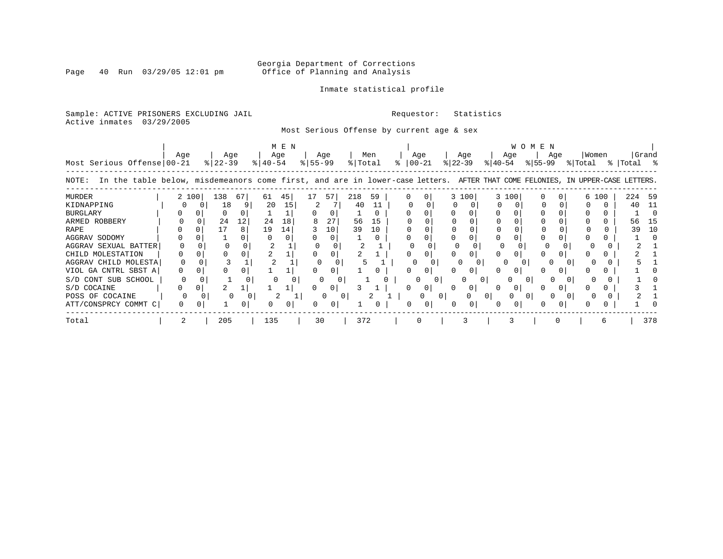# Georgia Department of Corrections<br>Page 40 Run 03/29/05 12:01 pm office of Planning and Analysis Office of Planning and Analysis

### Inmate statistical profile

Sample: ACTIVE PRISONERS EXCLUDING JAIL **Requestor:** Statistics Active inmates 03/29/2005

Most Serious Offense by current age & sex

|                                                                                                                                      | M E N |   |           |          |             |     |           |        |         |     |  |               |                |           |          | <b>WOMEN</b> |       |           |          |  |         |   |           |       |  |  |
|--------------------------------------------------------------------------------------------------------------------------------------|-------|---|-----------|----------|-------------|-----|-----------|--------|---------|-----|--|---------------|----------------|-----------|----------|--------------|-------|-----------|----------|--|---------|---|-----------|-------|--|--|
|                                                                                                                                      | Aqe   |   | Age       |          |             | Age |           | Age    |         | Men |  | Age           |                |           | Age      |              | Age   |           | Age      |  | Women   |   |           | Grand |  |  |
| Most Serious Offense 00-21                                                                                                           |       |   | $ 22-39 $ |          | $8140 - 54$ |     | $8 55-99$ |        | % Total |     |  | $8   00 - 21$ |                | $ 22-39 $ |          | $ 40-54 $    |       | $ 55-99 $ |          |  | % Total |   | % Total % |       |  |  |
| In the table below, misdemeanors come first, and are in lower-case letters. AFTER THAT COME FELONIES, IN UPPER-CASE LETTERS<br>NOTE: |       |   |           |          |             |     |           |        |         |     |  |               |                |           |          |              |       |           |          |  |         |   |           |       |  |  |
| <b>MURDER</b>                                                                                                                        | 2 100 |   | 138       | 67       | 61          | 45  | 17        | 57     | 218     | 59  |  |               |                |           | 3 100    |              | 3 100 |           | 0        |  | 6 100   |   | 224       | - 59  |  |  |
| KIDNAPPING                                                                                                                           |       |   | 18        |          | 20          | 15  | 2         |        | 40      | 11  |  |               |                |           |          |              |       |           |          |  |         | 0 | 40        | - 11  |  |  |
| <b>BURGLARY</b>                                                                                                                      |       |   |           |          |             |     |           |        |         |     |  |               |                |           |          |              |       |           |          |  |         |   |           |       |  |  |
| ARMED ROBBERY                                                                                                                        |       |   | 24        | 12       | 24          | 18  |           | 27     | 56      | 15  |  |               |                |           |          |              |       |           |          |  |         |   | 56        | -15   |  |  |
| RAPE                                                                                                                                 |       |   |           |          | 19          | 14  |           | 10     | 39      | 10  |  |               |                |           |          |              |       |           |          |  |         |   | 39        | 10    |  |  |
| AGGRAV SODOMY                                                                                                                        |       |   |           |          |             |     |           |        |         |     |  |               |                |           |          |              |       |           |          |  |         |   |           |       |  |  |
| AGGRAV SEXUAL BATTER                                                                                                                 |       |   |           |          |             |     |           |        |         |     |  |               |                |           |          |              |       |           | $\Omega$ |  |         |   |           |       |  |  |
| CHILD MOLESTATION                                                                                                                    |       |   |           |          |             |     |           |        |         |     |  |               |                |           |          |              |       |           |          |  |         |   |           |       |  |  |
| AGGRAV CHILD MOLESTA                                                                                                                 |       |   |           |          |             |     |           |        |         |     |  |               |                |           |          |              |       |           |          |  |         |   |           |       |  |  |
| VIOL GA CNTRL SBST A                                                                                                                 |       |   |           |          |             |     |           |        |         |     |  |               |                |           |          |              |       |           |          |  |         |   |           |       |  |  |
| S/D CONT SUB SCHOOL                                                                                                                  |       |   |           |          | 0           |     | 0         | 0      |         |     |  | 0             | $\overline{0}$ |           | $\Omega$ | 0            | 0     |           |          |  |         |   |           |       |  |  |
| S/D COCAINE                                                                                                                          | 0     | 0 |           |          |             |     |           | 0      |         |     |  |               | 0              |           | 0        |              |       |           |          |  |         |   |           |       |  |  |
| POSS OF COCAINE                                                                                                                      | O     |   |           | $\Omega$ |             | 2   |           | 0<br>0 |         | 2   |  |               | 0              |           | $\Omega$ | 0            | 0     |           |          |  |         |   |           |       |  |  |
| ATT/CONSPRCY COMMT C                                                                                                                 | 0     |   |           | 0        |             | 0   |           |        |         |     |  | <sup>0</sup>  | 0              |           | 0        |              |       |           |          |  |         |   |           |       |  |  |
| Total                                                                                                                                |       |   | 205       |          | 135         |     | 30        |        | 372     |     |  | 0             |                |           |          |              |       |           |          |  |         |   |           | 378   |  |  |